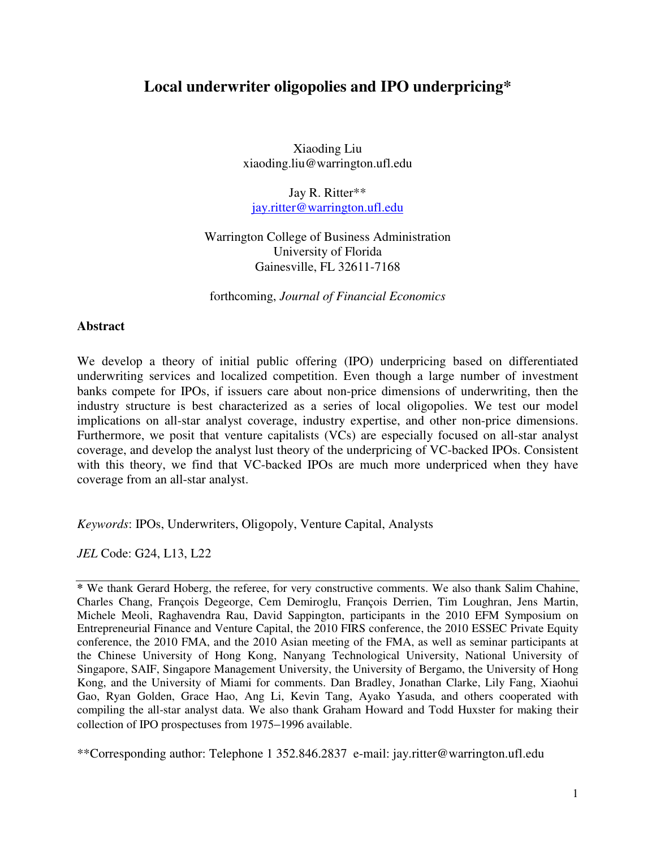# **Local underwriter oligopolies and IPO underpricing\***

Xiaoding Liu xiaoding.liu@warrington.ufl.edu

Jay R. Ritter\*\* jay.ritter@warrington.ufl.edu

Warrington College of Business Administration University of Florida Gainesville, FL 32611-7168

forthcoming, *Journal of Financial Economics*

## **Abstract**

We develop a theory of initial public offering (IPO) underpricing based on differentiated underwriting services and localized competition. Even though a large number of investment banks compete for IPOs, if issuers care about non-price dimensions of underwriting, then the industry structure is best characterized as a series of local oligopolies. We test our model implications on all-star analyst coverage, industry expertise, and other non-price dimensions. Furthermore, we posit that venture capitalists (VCs) are especially focused on all-star analyst coverage, and develop the analyst lust theory of the underpricing of VC-backed IPOs. Consistent with this theory, we find that VC-backed IPOs are much more underpriced when they have coverage from an all-star analyst.

*Keywords*: IPOs, Underwriters, Oligopoly, Venture Capital, Analysts

*JEL* Code: G24, L13, L22

\*\*Corresponding author: Telephone 1 352.846.2837 e-mail: jay.ritter@warrington.ufl.edu

**<sup>\*</sup>** We thank Gerard Hoberg, the referee, for very constructive comments. We also thank Salim Chahine, Charles Chang, François Degeorge, Cem Demiroglu, François Derrien, Tim Loughran, Jens Martin, Michele Meoli, Raghavendra Rau, David Sappington, participants in the 2010 EFM Symposium on Entrepreneurial Finance and Venture Capital, the 2010 FIRS conference, the 2010 ESSEC Private Equity conference, the 2010 FMA, and the 2010 Asian meeting of the FMA, as well as seminar participants at the Chinese University of Hong Kong, Nanyang Technological University, National University of Singapore, SAIF, Singapore Management University, the University of Bergamo, the University of Hong Kong, and the University of Miami for comments. Dan Bradley, Jonathan Clarke, Lily Fang, Xiaohui Gao, Ryan Golden, Grace Hao, Ang Li, Kevin Tang, Ayako Yasuda, and others cooperated with compiling the all-star analyst data. We also thank Graham Howard and Todd Huxster for making their collection of IPO prospectuses from 1975–1996 available.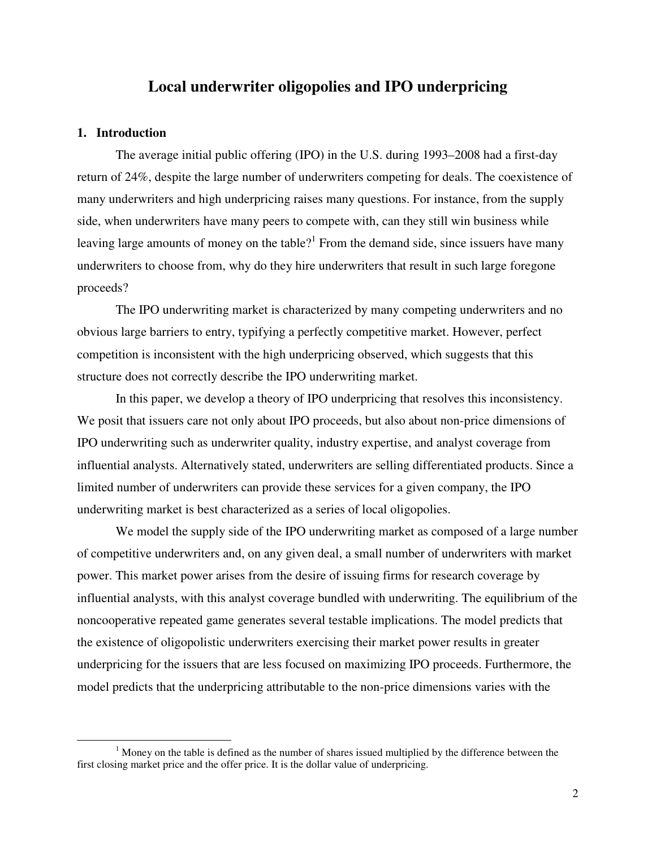## **Local underwriter oligopolies and IPO underpricing**

#### **1. Introduction**

l

The average initial public offering (IPO) in the U.S. during 1993–2008 had a first-day return of 24%, despite the large number of underwriters competing for deals. The coexistence of many underwriters and high underpricing raises many questions. For instance, from the supply side, when underwriters have many peers to compete with, can they still win business while leaving large amounts of money on the table?<sup>1</sup> From the demand side, since issuers have many underwriters to choose from, why do they hire underwriters that result in such large foregone proceeds?

 The IPO underwriting market is characterized by many competing underwriters and no obvious large barriers to entry, typifying a perfectly competitive market. However, perfect competition is inconsistent with the high underpricing observed, which suggests that this structure does not correctly describe the IPO underwriting market.

In this paper, we develop a theory of IPO underpricing that resolves this inconsistency. We posit that issuers care not only about IPO proceeds, but also about non-price dimensions of IPO underwriting such as underwriter quality, industry expertise, and analyst coverage from influential analysts. Alternatively stated, underwriters are selling differentiated products. Since a limited number of underwriters can provide these services for a given company, the IPO underwriting market is best characterized as a series of local oligopolies.

We model the supply side of the IPO underwriting market as composed of a large number of competitive underwriters and, on any given deal, a small number of underwriters with market power. This market power arises from the desire of issuing firms for research coverage by influential analysts, with this analyst coverage bundled with underwriting. The equilibrium of the noncooperative repeated game generates several testable implications. The model predicts that the existence of oligopolistic underwriters exercising their market power results in greater underpricing for the issuers that are less focused on maximizing IPO proceeds. Furthermore, the model predicts that the underpricing attributable to the non-price dimensions varies with the

 $1$  Money on the table is defined as the number of shares issued multiplied by the difference between the first closing market price and the offer price. It is the dollar value of underpricing.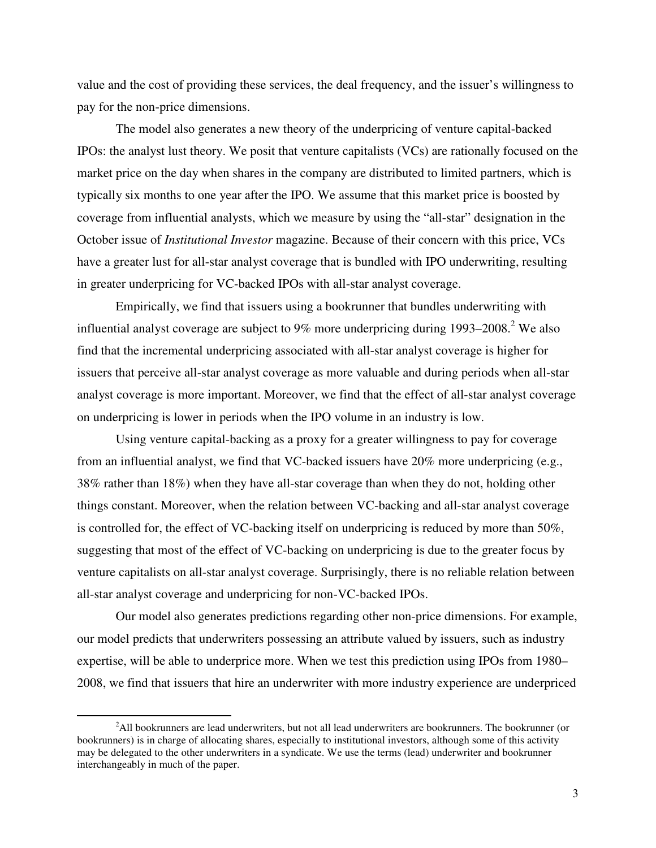value and the cost of providing these services, the deal frequency, and the issuer's willingness to pay for the non-price dimensions.

The model also generates a new theory of the underpricing of venture capital-backed IPOs: the analyst lust theory. We posit that venture capitalists (VCs) are rationally focused on the market price on the day when shares in the company are distributed to limited partners, which is typically six months to one year after the IPO. We assume that this market price is boosted by coverage from influential analysts, which we measure by using the "all-star" designation in the October issue of *Institutional Investor* magazine. Because of their concern with this price, VCs have a greater lust for all-star analyst coverage that is bundled with IPO underwriting, resulting in greater underpricing for VC-backed IPOs with all-star analyst coverage.

Empirically, we find that issuers using a bookrunner that bundles underwriting with influential analyst coverage are subject to 9% more underpricing during 1993–2008.<sup>2</sup> We also find that the incremental underpricing associated with all-star analyst coverage is higher for issuers that perceive all-star analyst coverage as more valuable and during periods when all-star analyst coverage is more important. Moreover, we find that the effect of all-star analyst coverage on underpricing is lower in periods when the IPO volume in an industry is low.

Using venture capital-backing as a proxy for a greater willingness to pay for coverage from an influential analyst, we find that VC-backed issuers have 20% more underpricing (e.g., 38% rather than 18%) when they have all-star coverage than when they do not, holding other things constant. Moreover, when the relation between VC-backing and all-star analyst coverage is controlled for, the effect of VC-backing itself on underpricing is reduced by more than 50%, suggesting that most of the effect of VC-backing on underpricing is due to the greater focus by venture capitalists on all-star analyst coverage. Surprisingly, there is no reliable relation between all-star analyst coverage and underpricing for non-VC-backed IPOs.

Our model also generates predictions regarding other non-price dimensions. For example, our model predicts that underwriters possessing an attribute valued by issuers, such as industry expertise, will be able to underprice more. When we test this prediction using IPOs from 1980– 2008, we find that issuers that hire an underwriter with more industry experience are underpriced

l

<sup>&</sup>lt;sup>2</sup>All bookrunners are lead underwriters, but not all lead underwriters are bookrunners. The bookrunner (or bookrunners) is in charge of allocating shares, especially to institutional investors, although some of this activity may be delegated to the other underwriters in a syndicate. We use the terms (lead) underwriter and bookrunner interchangeably in much of the paper.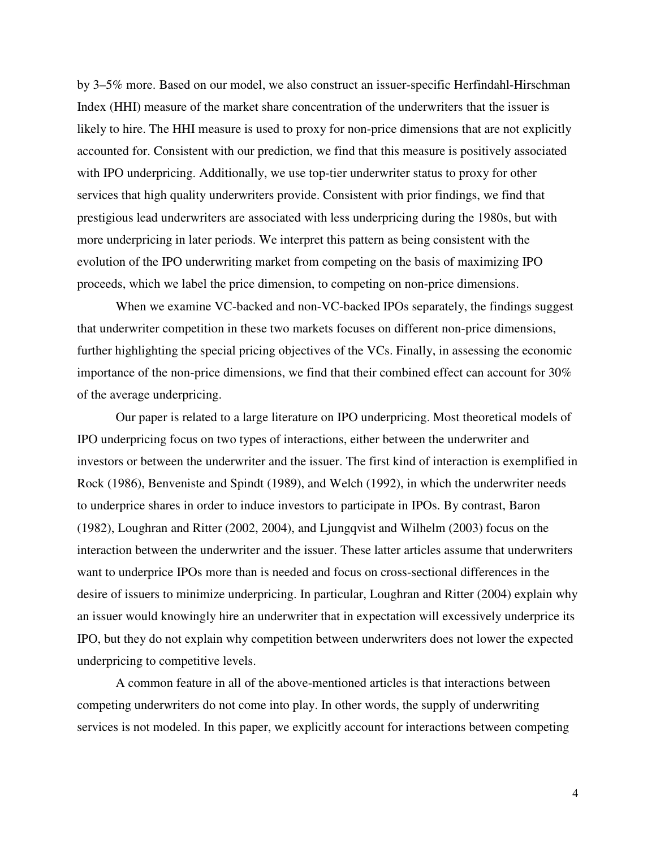by 3–5% more. Based on our model, we also construct an issuer-specific Herfindahl-Hirschman Index (HHI) measure of the market share concentration of the underwriters that the issuer is likely to hire. The HHI measure is used to proxy for non-price dimensions that are not explicitly accounted for. Consistent with our prediction, we find that this measure is positively associated with IPO underpricing. Additionally, we use top-tier underwriter status to proxy for other services that high quality underwriters provide. Consistent with prior findings, we find that prestigious lead underwriters are associated with less underpricing during the 1980s, but with more underpricing in later periods. We interpret this pattern as being consistent with the evolution of the IPO underwriting market from competing on the basis of maximizing IPO proceeds, which we label the price dimension, to competing on non-price dimensions.

When we examine VC-backed and non-VC-backed IPOs separately, the findings suggest that underwriter competition in these two markets focuses on different non-price dimensions, further highlighting the special pricing objectives of the VCs. Finally, in assessing the economic importance of the non-price dimensions, we find that their combined effect can account for 30% of the average underpricing.

Our paper is related to a large literature on IPO underpricing. Most theoretical models of IPO underpricing focus on two types of interactions, either between the underwriter and investors or between the underwriter and the issuer. The first kind of interaction is exemplified in Rock (1986), Benveniste and Spindt (1989), and Welch (1992), in which the underwriter needs to underprice shares in order to induce investors to participate in IPOs. By contrast, Baron (1982), Loughran and Ritter (2002, 2004), and Ljungqvist and Wilhelm (2003) focus on the interaction between the underwriter and the issuer. These latter articles assume that underwriters want to underprice IPOs more than is needed and focus on cross-sectional differences in the desire of issuers to minimize underpricing. In particular, Loughran and Ritter (2004) explain why an issuer would knowingly hire an underwriter that in expectation will excessively underprice its IPO, but they do not explain why competition between underwriters does not lower the expected underpricing to competitive levels.

A common feature in all of the above-mentioned articles is that interactions between competing underwriters do not come into play. In other words, the supply of underwriting services is not modeled. In this paper, we explicitly account for interactions between competing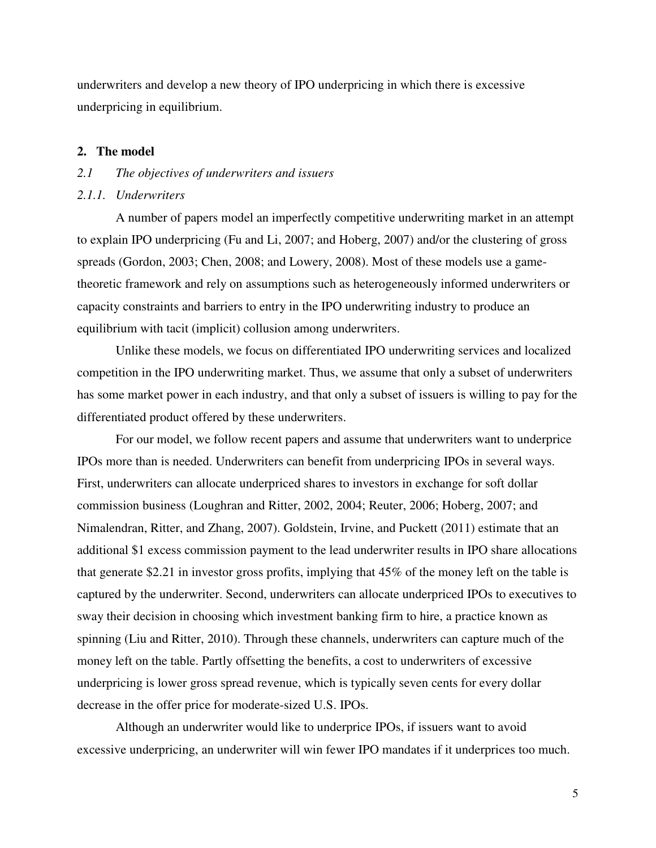underwriters and develop a new theory of IPO underpricing in which there is excessive underpricing in equilibrium.

#### **2. The model**

## *2.1 The objectives of underwriters and issuers*

## *2.1.1. Underwriters*

A number of papers model an imperfectly competitive underwriting market in an attempt to explain IPO underpricing (Fu and Li, 2007; and Hoberg, 2007) and/or the clustering of gross spreads (Gordon, 2003; Chen, 2008; and Lowery, 2008). Most of these models use a gametheoretic framework and rely on assumptions such as heterogeneously informed underwriters or capacity constraints and barriers to entry in the IPO underwriting industry to produce an equilibrium with tacit (implicit) collusion among underwriters.

Unlike these models, we focus on differentiated IPO underwriting services and localized competition in the IPO underwriting market. Thus, we assume that only a subset of underwriters has some market power in each industry, and that only a subset of issuers is willing to pay for the differentiated product offered by these underwriters.

For our model, we follow recent papers and assume that underwriters want to underprice IPOs more than is needed. Underwriters can benefit from underpricing IPOs in several ways. First, underwriters can allocate underpriced shares to investors in exchange for soft dollar commission business (Loughran and Ritter, 2002, 2004; Reuter, 2006; Hoberg, 2007; and Nimalendran, Ritter, and Zhang, 2007). Goldstein, Irvine, and Puckett (2011) estimate that an additional \$1 excess commission payment to the lead underwriter results in IPO share allocations that generate \$2.21 in investor gross profits, implying that 45% of the money left on the table is captured by the underwriter. Second, underwriters can allocate underpriced IPOs to executives to sway their decision in choosing which investment banking firm to hire, a practice known as spinning (Liu and Ritter, 2010). Through these channels, underwriters can capture much of the money left on the table. Partly offsetting the benefits, a cost to underwriters of excessive underpricing is lower gross spread revenue, which is typically seven cents for every dollar decrease in the offer price for moderate-sized U.S. IPOs.

Although an underwriter would like to underprice IPOs, if issuers want to avoid excessive underpricing, an underwriter will win fewer IPO mandates if it underprices too much.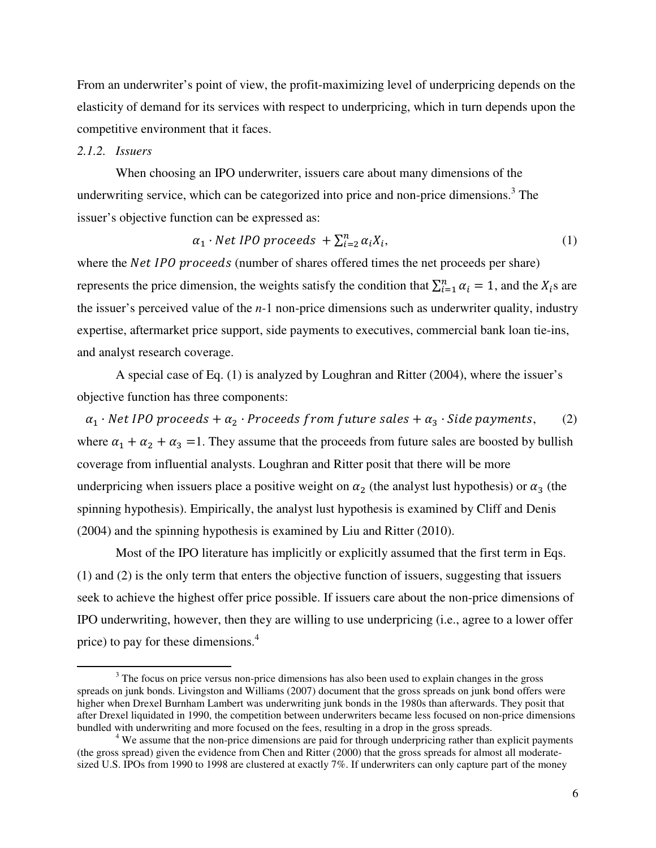From an underwriter's point of view, the profit-maximizing level of underpricing depends on the elasticity of demand for its services with respect to underpricing, which in turn depends upon the competitive environment that it faces.

#### *2.1.2. Issuers*

 $\overline{a}$ 

When choosing an IPO underwriter, issuers care about many dimensions of the underwriting service, which can be categorized into price and non-price dimensions.<sup>3</sup> The issuer's objective function can be expressed as:

$$
\alpha_1 \cdot Net\ IPO\ proceeds\ + \sum_{i=2}^n \alpha_i X_i,\tag{1}
$$

where the Net IPO proceeds (number of shares offered times the net proceeds per share) represents the price dimension, the weights satisfy the condition that  $\sum_{i=1}^{n} \alpha_i = 1$ , and the  $X_i$ s are the issuer's perceived value of the *n-*1 non-price dimensions such as underwriter quality, industry expertise, aftermarket price support, side payments to executives, commercial bank loan tie-ins, and analyst research coverage.

A special case of Eq. (1) is analyzed by Loughran and Ritter (2004), where the issuer's objective function has three components:

 $\alpha_1 \cdot$  Net IPO proceeds +  $\alpha_2 \cdot$  Proceeds from future sales +  $\alpha_3 \cdot$  Side payments, (2) where  $\alpha_1 + \alpha_2 + \alpha_3 = 1$ . They assume that the proceeds from future sales are boosted by bullish coverage from influential analysts. Loughran and Ritter posit that there will be more underpricing when issuers place a positive weight on  $\alpha_2$  (the analyst lust hypothesis) or  $\alpha_3$  (the spinning hypothesis). Empirically, the analyst lust hypothesis is examined by Cliff and Denis (2004) and the spinning hypothesis is examined by Liu and Ritter (2010).

 Most of the IPO literature has implicitly or explicitly assumed that the first term in Eqs. (1) and (2) is the only term that enters the objective function of issuers, suggesting that issuers seek to achieve the highest offer price possible. If issuers care about the non-price dimensions of IPO underwriting, however, then they are willing to use underpricing (i.e., agree to a lower offer price) to pay for these dimensions.<sup>4</sup>

 $3$  The focus on price versus non-price dimensions has also been used to explain changes in the gross spreads on junk bonds. Livingston and Williams (2007) document that the gross spreads on junk bond offers were higher when Drexel Burnham Lambert was underwriting junk bonds in the 1980s than afterwards. They posit that after Drexel liquidated in 1990, the competition between underwriters became less focused on non-price dimensions bundled with underwriting and more focused on the fees, resulting in a drop in the gross spreads.

<sup>&</sup>lt;sup>4</sup> We assume that the non-price dimensions are paid for through underpricing rather than explicit payments (the gross spread) given the evidence from Chen and Ritter (2000) that the gross spreads for almost all moderatesized U.S. IPOs from 1990 to 1998 are clustered at exactly 7%. If underwriters can only capture part of the money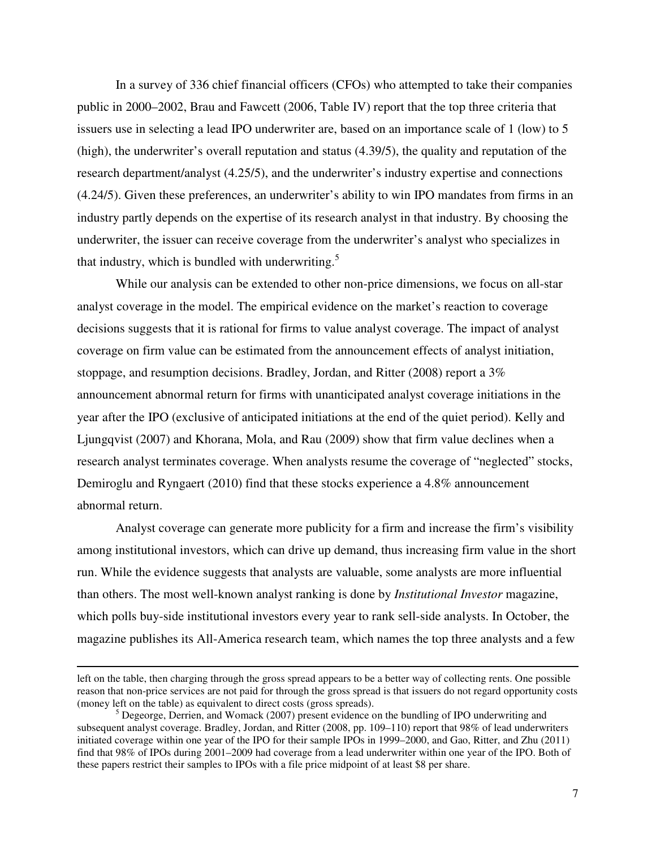In a survey of 336 chief financial officers (CFOs) who attempted to take their companies public in 2000–2002, Brau and Fawcett (2006, Table IV) report that the top three criteria that issuers use in selecting a lead IPO underwriter are, based on an importance scale of 1 (low) to 5 (high), the underwriter's overall reputation and status (4.39/5), the quality and reputation of the research department/analyst (4.25/5), and the underwriter's industry expertise and connections (4.24/5). Given these preferences, an underwriter's ability to win IPO mandates from firms in an industry partly depends on the expertise of its research analyst in that industry. By choosing the underwriter, the issuer can receive coverage from the underwriter's analyst who specializes in that industry, which is bundled with underwriting.<sup>5</sup>

While our analysis can be extended to other non-price dimensions, we focus on all-star analyst coverage in the model. The empirical evidence on the market's reaction to coverage decisions suggests that it is rational for firms to value analyst coverage. The impact of analyst coverage on firm value can be estimated from the announcement effects of analyst initiation, stoppage, and resumption decisions. Bradley, Jordan, and Ritter (2008) report a 3% announcement abnormal return for firms with unanticipated analyst coverage initiations in the year after the IPO (exclusive of anticipated initiations at the end of the quiet period). Kelly and Ljungqvist (2007) and Khorana, Mola, and Rau (2009) show that firm value declines when a research analyst terminates coverage. When analysts resume the coverage of "neglected" stocks, Demiroglu and Ryngaert (2010) find that these stocks experience a 4.8% announcement abnormal return.

Analyst coverage can generate more publicity for a firm and increase the firm's visibility among institutional investors, which can drive up demand, thus increasing firm value in the short run. While the evidence suggests that analysts are valuable, some analysts are more influential than others. The most well-known analyst ranking is done by *Institutional Investor* magazine, which polls buy-side institutional investors every year to rank sell-side analysts. In October, the magazine publishes its All-America research team, which names the top three analysts and a few

 $\overline{a}$ 

left on the table, then charging through the gross spread appears to be a better way of collecting rents. One possible reason that non-price services are not paid for through the gross spread is that issuers do not regard opportunity costs (money left on the table) as equivalent to direct costs (gross spreads).

<sup>&</sup>lt;sup>5</sup> Degeorge, Derrien, and Womack (2007) present evidence on the bundling of IPO underwriting and subsequent analyst coverage. Bradley, Jordan, and Ritter (2008, pp. 109–110) report that 98% of lead underwriters initiated coverage within one year of the IPO for their sample IPOs in 1999–2000, and Gao, Ritter, and Zhu (2011) find that 98% of IPOs during 2001–2009 had coverage from a lead underwriter within one year of the IPO. Both of these papers restrict their samples to IPOs with a file price midpoint of at least \$8 per share.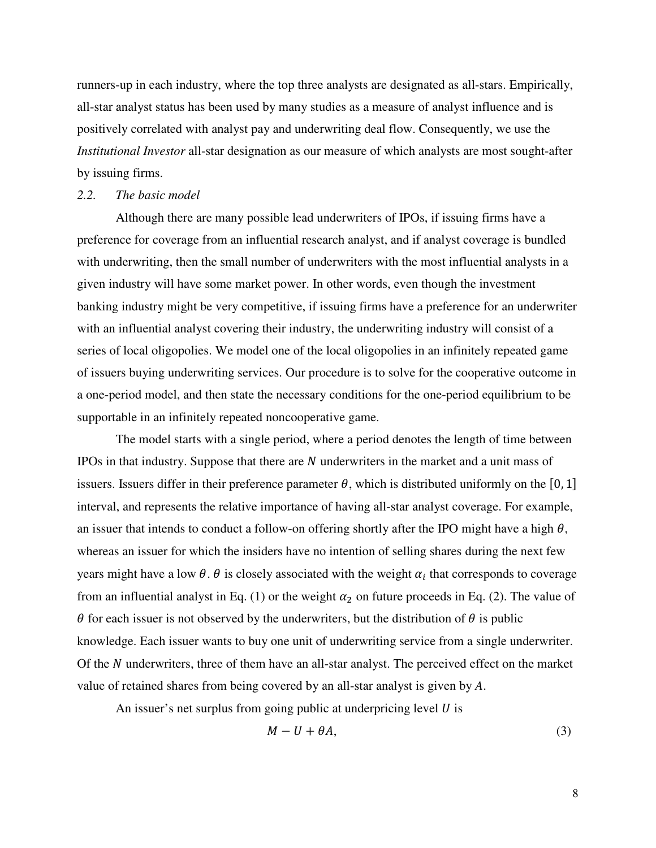runners-up in each industry, where the top three analysts are designated as all-stars. Empirically, all-star analyst status has been used by many studies as a measure of analyst influence and is positively correlated with analyst pay and underwriting deal flow. Consequently, we use the *Institutional Investor* all-star designation as our measure of which analysts are most sought-after by issuing firms.

#### *2.2. The basic model*

Although there are many possible lead underwriters of IPOs, if issuing firms have a preference for coverage from an influential research analyst, and if analyst coverage is bundled with underwriting, then the small number of underwriters with the most influential analysts in a given industry will have some market power. In other words, even though the investment banking industry might be very competitive, if issuing firms have a preference for an underwriter with an influential analyst covering their industry, the underwriting industry will consist of a series of local oligopolies. We model one of the local oligopolies in an infinitely repeated game of issuers buying underwriting services. Our procedure is to solve for the cooperative outcome in a one-period model, and then state the necessary conditions for the one-period equilibrium to be supportable in an infinitely repeated noncooperative game.

The model starts with a single period, where a period denotes the length of time between IPOs in that industry. Suppose that there are  $N$  underwriters in the market and a unit mass of issuers. Issuers differ in their preference parameter  $\theta$ , which is distributed uniformly on the [0, 1] interval, and represents the relative importance of having all-star analyst coverage. For example, an issuer that intends to conduct a follow-on offering shortly after the IPO might have a high  $\theta$ , whereas an issuer for which the insiders have no intention of selling shares during the next few years might have a low  $\theta$ .  $\theta$  is closely associated with the weight  $\alpha_i$  that corresponds to coverage from an influential analyst in Eq. (1) or the weight  $\alpha_2$  on future proceeds in Eq. (2). The value of  $\theta$  for each issuer is not observed by the underwriters, but the distribution of  $\theta$  is public knowledge. Each issuer wants to buy one unit of underwriting service from a single underwriter. Of the *N* underwriters, three of them have an all-star analyst. The perceived effect on the market value of retained shares from being covered by an all-star analyst is given by *A*.

An issuer's net surplus from going public at underpricing level  $U$  is

$$
M - U + \theta A, \tag{3}
$$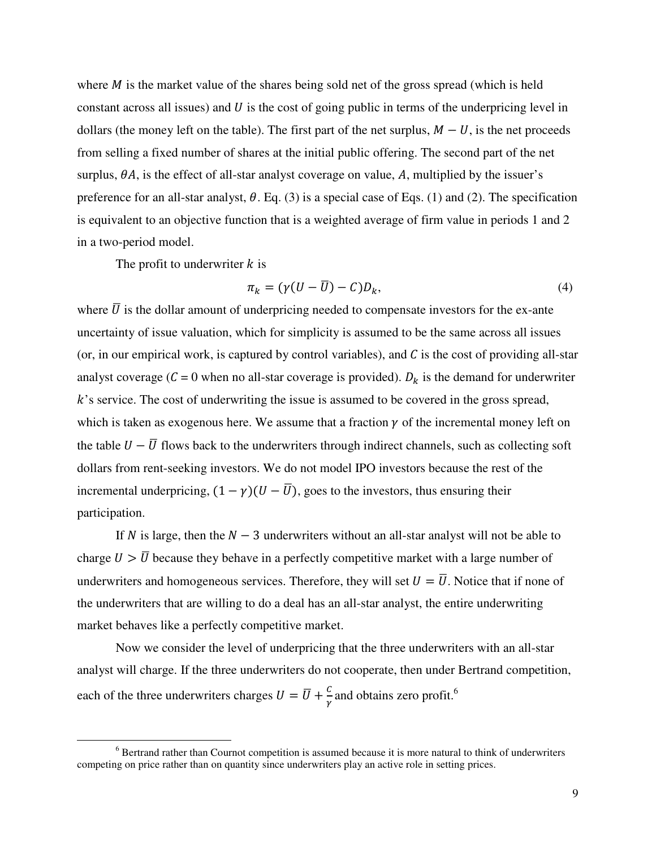where  $M$  is the market value of the shares being sold net of the gross spread (which is held constant across all issues) and  $U$  is the cost of going public in terms of the underpricing level in dollars (the money left on the table). The first part of the net surplus,  $M - U$ , is the net proceeds from selling a fixed number of shares at the initial public offering. The second part of the net surplus,  $\theta A$ , is the effect of all-star analyst coverage on value, A, multiplied by the issuer's preference for an all-star analyst,  $\theta$ . Eq. (3) is a special case of Eqs. (1) and (2). The specification is equivalent to an objective function that is a weighted average of firm value in periods 1 and 2 in a two-period model.

The profit to underwriter  $k$  is

l

$$
\pi_k = (\gamma (U - \overline{U}) - C)D_k,\tag{4}
$$

where  $\overline{U}$  is the dollar amount of underpricing needed to compensate investors for the ex-ante uncertainty of issue valuation, which for simplicity is assumed to be the same across all issues (or, in our empirical work, is captured by control variables), and  $C$  is the cost of providing all-star analyst coverage ( $C = 0$  when no all-star coverage is provided).  $D_k$  is the demand for underwriter  $k$ 's service. The cost of underwriting the issue is assumed to be covered in the gross spread, which is taken as exogenous here. We assume that a fraction  $\gamma$  of the incremental money left on the table  $U - \overline{U}$  flows back to the underwriters through indirect channels, such as collecting soft dollars from rent-seeking investors. We do not model IPO investors because the rest of the incremental underpricing,  $(1 - \gamma)(U - \overline{U})$ , goes to the investors, thus ensuring their participation.

If N is large, then the  $N - 3$  underwriters without an all-star analyst will not be able to charge  $U > \overline{U}$  because they behave in a perfectly competitive market with a large number of underwriters and homogeneous services. Therefore, they will set  $U = \overline{U}$ . Notice that if none of the underwriters that are willing to do a deal has an all-star analyst, the entire underwriting market behaves like a perfectly competitive market.

Now we consider the level of underpricing that the three underwriters with an all-star analyst will charge. If the three underwriters do not cooperate, then under Bertrand competition, each of the three underwriters charges  $U = \overline{U} + \frac{c}{v}$  $\frac{c}{\gamma}$  and obtains zero profit.<sup>6</sup>

<sup>&</sup>lt;sup>6</sup> Bertrand rather than Cournot competition is assumed because it is more natural to think of underwriters competing on price rather than on quantity since underwriters play an active role in setting prices.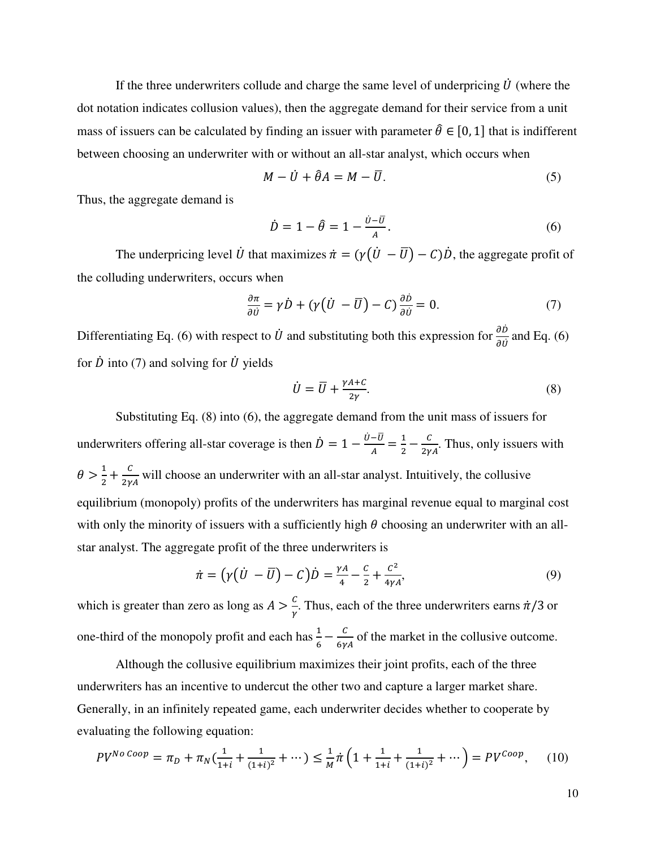If the three underwriters collude and charge the same level of underpricing  $\dot{U}$  (where the dot notation indicates collusion values), then the aggregate demand for their service from a unit mass of issuers can be calculated by finding an issuer with parameter  $\hat{\theta} \in [0, 1]$  that is indifferent between choosing an underwriter with or without an all-star analyst, which occurs when

$$
M - \dot{U} + \hat{\theta}A = M - \overline{U}.
$$
 (5)

Thus, the aggregate demand is

$$
\dot{D} = 1 - \hat{\theta} = 1 - \frac{\dot{U} - \bar{U}}{A}.
$$
\n(6)

The underpricing level  $\dot{U}$  that maximizes  $\dot{\pi} = (\gamma(\dot{U} - \overline{U}) - C)\dot{D}$ , the aggregate profit of the colluding underwriters, occurs when

$$
\frac{\partial \pi}{\partial \dot{v}} = \gamma \dot{D} + (\gamma (\dot{U} - \overline{U}) - C) \frac{\partial \dot{D}}{\partial \dot{v}} = 0.
$$
 (7)

Differentiating Eq. (6) with respect to  $\dot{U}$  and substituting both this expression for  $\frac{\partial \dot{D}}{\partial \dot{U}}$  and Eq. (6) for  $\dot{D}$  into (7) and solving for  $\dot{U}$  yields

$$
\dot{U} = \overline{U} + \frac{\gamma A + C}{2\gamma}.\tag{8}
$$

Substituting Eq. (8) into (6), the aggregate demand from the unit mass of issuers for underwriters offering all-star coverage is then  $\dot{D} = 1 - \frac{\dot{U} - \overline{U}}{A} = \frac{1}{2} - \frac{C}{2\gamma}$  $\frac{e}{2\gamma A}$ . Thus, only issuers with  $\theta > \frac{1}{2} + \frac{c}{2\gamma}$  $\frac{C}{2\gamma A}$  will choose an underwriter with an all-star analyst. Intuitively, the collusive equilibrium (monopoly) profits of the underwriters has marginal revenue equal to marginal cost with only the minority of issuers with a sufficiently high  $\theta$  choosing an underwriter with an allstar analyst. The aggregate profit of the three underwriters is

$$
\dot{\pi} = \left(\gamma(\dot{U} - \overline{U}) - C\right)\dot{D} = \frac{\gamma A}{4} - \frac{C}{2} + \frac{C^2}{4\gamma A},\tag{9}
$$

which is greater than zero as long as  $A > \frac{c}{\gamma}$ . Thus, each of the three underwriters earns  $\pi/3$  or one-third of the monopoly profit and each has  $\frac{1}{6} - \frac{C}{6\gamma}$  $\frac{C}{6\gamma A}$  of the market in the collusive outcome.

 Although the collusive equilibrium maximizes their joint profits, each of the three underwriters has an incentive to undercut the other two and capture a larger market share. Generally, in an infinitely repeated game, each underwriter decides whether to cooperate by evaluating the following equation:

$$
PV^{No\text{ Coop}} = \pi_D + \pi_N \left( \frac{1}{1+i} + \frac{1}{(1+i)^2} + \cdots \right) \le \frac{1}{M} \pi \left( 1 + \frac{1}{1+i} + \frac{1}{(1+i)^2} + \cdots \right) = PV^{Coop}, \tag{10}
$$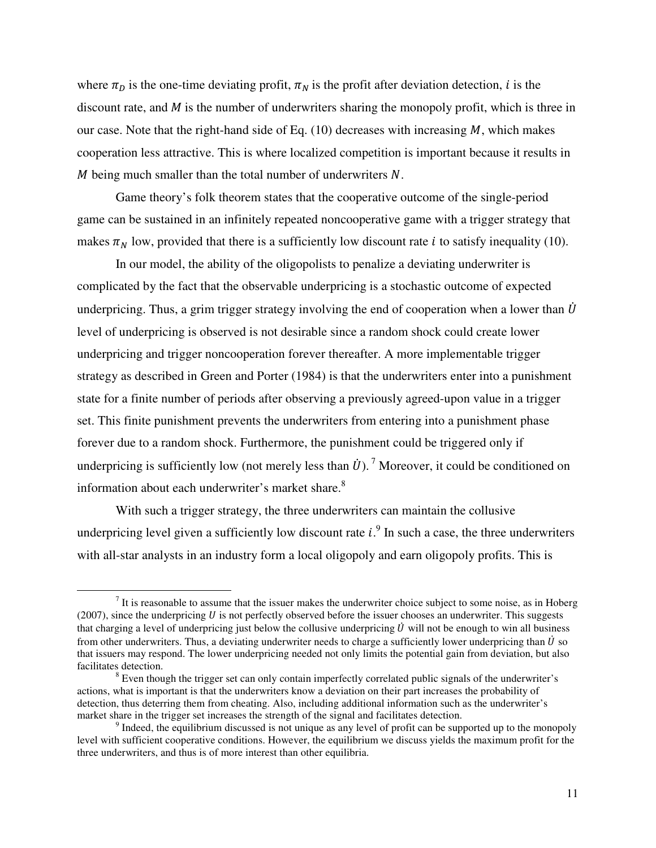where  $\pi_D$  is the one-time deviating profit,  $\pi_N$  is the profit after deviation detection, *i* is the discount rate, and  $M$  is the number of underwriters sharing the monopoly profit, which is three in our case. Note that the right-hand side of Eq.  $(10)$  decreases with increasing  $M$ , which makes cooperation less attractive. This is where localized competition is important because it results in  *being much smaller than the total number of underwriters*  $*N*$ *.* 

 Game theory's folk theorem states that the cooperative outcome of the single-period game can be sustained in an infinitely repeated noncooperative game with a trigger strategy that makes  $\pi_N$  low, provided that there is a sufficiently low discount rate *i* to satisfy inequality (10).

In our model, the ability of the oligopolists to penalize a deviating underwriter is complicated by the fact that the observable underpricing is a stochastic outcome of expected underpricing. Thus, a grim trigger strategy involving the end of cooperation when a lower than  $\hat{U}$ level of underpricing is observed is not desirable since a random shock could create lower underpricing and trigger noncooperation forever thereafter. A more implementable trigger strategy as described in Green and Porter (1984) is that the underwriters enter into a punishment state for a finite number of periods after observing a previously agreed-upon value in a trigger set. This finite punishment prevents the underwriters from entering into a punishment phase forever due to a random shock. Furthermore, the punishment could be triggered only if underpricing is sufficiently low (not merely less than  $\dot{U}$ ).<sup>7</sup> Moreover, it could be conditioned on information about each underwriter's market share.<sup>8</sup>

 With such a trigger strategy, the three underwriters can maintain the collusive underpricing level given a sufficiently low discount rate  $i$ . In such a case, the three underwriters with all-star analysts in an industry form a local oligopoly and earn oligopoly profits. This is

l

 $<sup>7</sup>$  It is reasonable to assume that the issuer makes the underwriter choice subject to some noise, as in Hoberg</sup> (2007), since the underpricing  $U$  is not perfectly observed before the issuer chooses an underwriter. This suggests that charging a level of underpricing just below the collusive underpricing  $\dot{U}$  will not be enough to win all business from other underwriters. Thus, a deviating underwriter needs to charge a sufficiently lower underpricing than  $\dot{U}$  so that issuers may respond. The lower underpricing needed not only limits the potential gain from deviation, but also facilitates detection.

 $8$  Even though the trigger set can only contain imperfectly correlated public signals of the underwriter's actions, what is important is that the underwriters know a deviation on their part increases the probability of detection, thus deterring them from cheating. Also, including additional information such as the underwriter's market share in the trigger set increases the strength of the signal and facilitates detection.

<sup>&</sup>lt;sup>9</sup> Indeed, the equilibrium discussed is not unique as any level of profit can be supported up to the monopoly level with sufficient cooperative conditions. However, the equilibrium we discuss yields the maximum profit for the three underwriters, and thus is of more interest than other equilibria.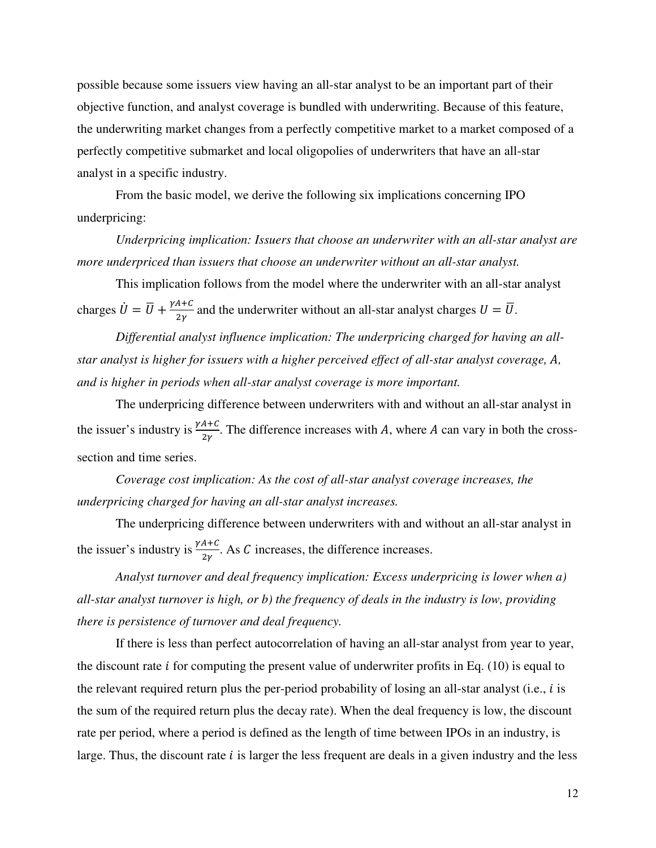possible because some issuers view having an all-star analyst to be an important part of their objective function, and analyst coverage is bundled with underwriting. Because of this feature, the underwriting market changes from a perfectly competitive market to a market composed of a perfectly competitive submarket and local oligopolies of underwriters that have an all-star analyst in a specific industry.

From the basic model, we derive the following six implications concerning IPO underpricing:

*Underpricing implication: Issuers that choose an underwriter with an all-star analyst are more underpriced than issuers that choose an underwriter without an all-star analyst.* 

This implication follows from the model where the underwriter with an all-star analyst charges  $\dot{U} = \overline{U} + \frac{\gamma A + C}{2\nu}$  $\frac{d+L}{2\gamma}$  and the underwriter without an all-star analyst charges  $U = \overline{U}$ .

*Differential analyst influence implication: The underpricing charged for having an allstar analyst is higher for issuers with a higher perceived effect of all-star analyst coverage, A, and is higher in periods when all-star analyst coverage is more important.* 

The underpricing difference between underwriters with and without an all-star analyst in the issuer's industry is  $\frac{\gamma A+C}{2\gamma}$ . The difference increases with A, where A can vary in both the crosssection and time series.

*Coverage cost implication: As the cost of all-star analyst coverage increases, the underpricing charged for having an all-star analyst increases.* 

The underpricing difference between underwriters with and without an all-star analyst in the issuer's industry is  $\frac{\gamma A + C}{2\gamma}$ . As C increases, the difference increases.

*Analyst turnover and deal frequency implication: Excess underpricing is lower when a) all-star analyst turnover is high, or b) the frequency of deals in the industry is low, providing there is persistence of turnover and deal frequency.* 

If there is less than perfect autocorrelation of having an all-star analyst from year to year, the discount rate  $i$  for computing the present value of underwriter profits in Eq. (10) is equal to the relevant required return plus the per-period probability of losing an all-star analyst (i.e.,  $i$  is the sum of the required return plus the decay rate). When the deal frequency is low, the discount rate per period, where a period is defined as the length of time between IPOs in an industry, is large. Thus, the discount rate *i* is larger the less frequent are deals in a given industry and the less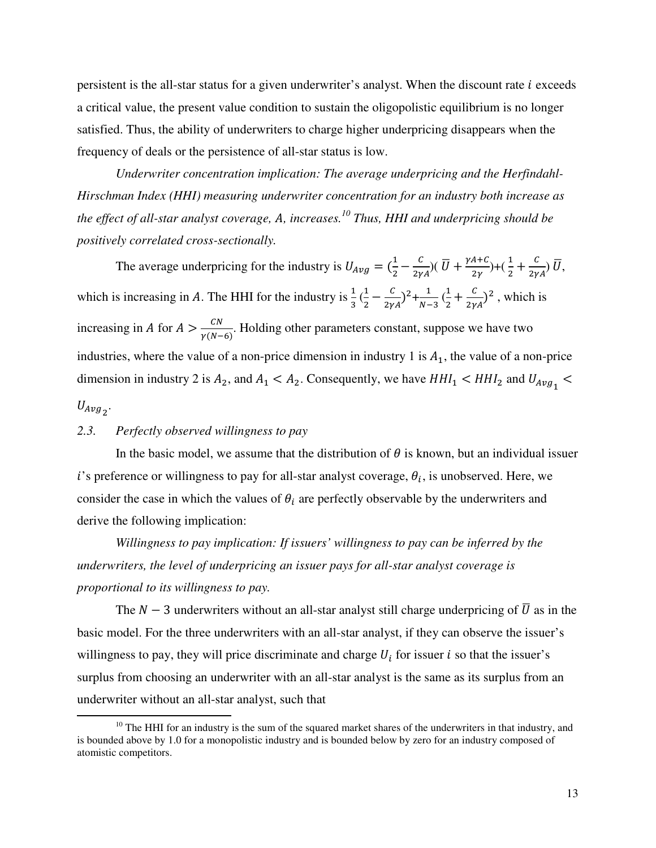persistent is the all-star status for a given underwriter's analyst. When the discount rate i exceeds a critical value, the present value condition to sustain the oligopolistic equilibrium is no longer satisfied. Thus, the ability of underwriters to charge higher underpricing disappears when the frequency of deals or the persistence of all-star status is low.

*Underwriter concentration implication: The average underpricing and the Herfindahl-Hirschman Index (HHI) measuring underwriter concentration for an industry both increase as the effect of all-star analyst coverage, A, increases.*<sup>*10</sup></sup> <i>Thus, HHI and underpricing should be*</sup> *positively correlated cross-sectionally.* 

The average underpricing for the industry is  $U_{Avg} = (\frac{1}{2} - \frac{C}{2\gamma})$  $\frac{c}{2\gamma A}$ )( $\bar{U} + \frac{\gamma A + C}{2\gamma}$  $\frac{A+C}{2\gamma}$  +  $(\frac{1}{2} + \frac{C}{2\gamma})$  $\frac{c}{2\gamma A}$ )  $\overline{U}$ , which is increasing in A. The HHI for the industry is  $\frac{1}{3}(\frac{1}{2} - \frac{c}{2y})$  $(\frac{c}{2\gamma A})^2 + \frac{1}{N-3}(\frac{1}{2} + \frac{c}{2\gamma})$  $\frac{c}{2\gamma A}$ <sup>2</sup>, which is increasing in A for  $A > \frac{CN}{\gamma(N-6)}$ . Holding other parameters constant, suppose we have two industries, where the value of a non-price dimension in industry 1 is  $A_1$ , the value of a non-price dimension in industry 2 is  $A_2$ , and  $A_1 < A_2$ . Consequently, we have  $HHI_1 < HHI_2$  and  $U_{Avg_1} <$  $U_{Avg}$ .

#### *2.3. Perfectly observed willingness to pay*

l

In the basic model, we assume that the distribution of  $\theta$  is known, but an individual issuer i's preference or willingness to pay for all-star analyst coverage,  $\theta_i$ , is unobserved. Here, we consider the case in which the values of  $\theta_i$  are perfectly observable by the underwriters and derive the following implication:

*Willingness to pay implication: If issuers' willingness to pay can be inferred by the underwriters, the level of underpricing an issuer pays for all-star analyst coverage is proportional to its willingness to pay.* 

The  $N - 3$  underwriters without an all-star analyst still charge underpricing of  $\overline{U}$  as in the basic model. For the three underwriters with an all-star analyst, if they can observe the issuer's willingness to pay, they will price discriminate and charge  $U_i$  for issuer i so that the issuer's surplus from choosing an underwriter with an all-star analyst is the same as its surplus from an underwriter without an all-star analyst, such that

<sup>&</sup>lt;sup>10</sup> The HHI for an industry is the sum of the squared market shares of the underwriters in that industry, and is bounded above by 1.0 for a monopolistic industry and is bounded below by zero for an industry composed of atomistic competitors.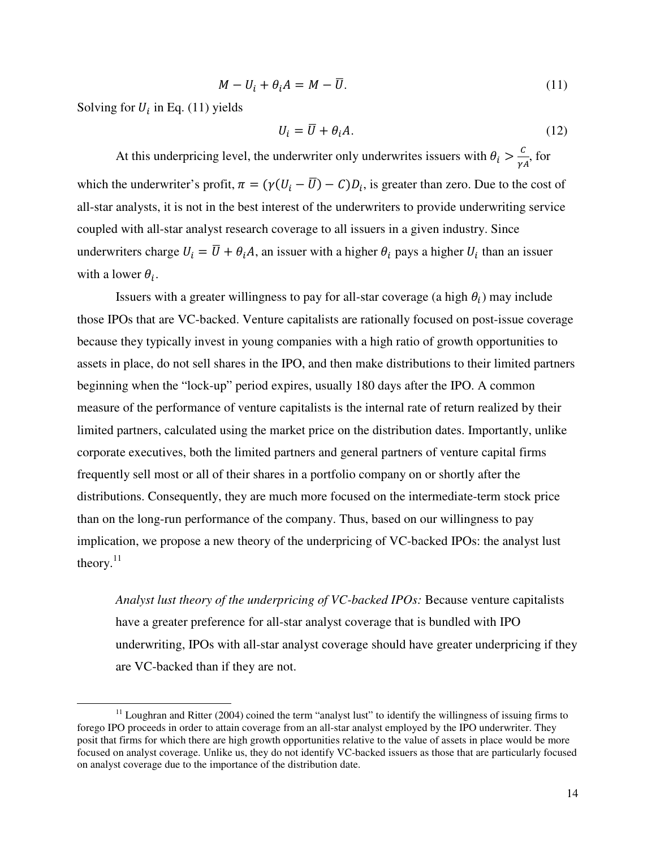$$
M - U_i + \theta_i A = M - \overline{U}.
$$
\n<sup>(11)</sup>

Solving for  $U_i$  in Eq. (11) yields

 $\overline{a}$ 

$$
U_i = \overline{U} + \theta_i A. \tag{12}
$$

At this underpricing level, the underwriter only underwrites issuers with  $\theta_i > \frac{c}{v}$  $\frac{c}{\gamma A}$ , for which the underwriter's profit,  $\pi = (\gamma (U_i - \overline{U}) - C)D_i$ , is greater than zero. Due to the cost of all-star analysts, it is not in the best interest of the underwriters to provide underwriting service coupled with all-star analyst research coverage to all issuers in a given industry. Since underwriters charge  $U_i = \overline{U} + \theta_i A$ , an issuer with a higher  $\theta_i$  pays a higher  $U_i$  than an issuer with a lower  $\theta_i$ .

Issuers with a greater willingness to pay for all-star coverage (a high  $\theta_i$ ) may include those IPOs that are VC-backed. Venture capitalists are rationally focused on post-issue coverage because they typically invest in young companies with a high ratio of growth opportunities to assets in place, do not sell shares in the IPO, and then make distributions to their limited partners beginning when the "lock-up" period expires, usually 180 days after the IPO. A common measure of the performance of venture capitalists is the internal rate of return realized by their limited partners, calculated using the market price on the distribution dates. Importantly, unlike corporate executives, both the limited partners and general partners of venture capital firms frequently sell most or all of their shares in a portfolio company on or shortly after the distributions. Consequently, they are much more focused on the intermediate-term stock price than on the long-run performance of the company. Thus, based on our willingness to pay implication, we propose a new theory of the underpricing of VC-backed IPOs: the analyst lust theory. $11$ 

*Analyst lust theory of the underpricing of VC-backed IPOs:* Because venture capitalists have a greater preference for all-star analyst coverage that is bundled with IPO underwriting, IPOs with all-star analyst coverage should have greater underpricing if they are VC-backed than if they are not.

 $11$  Loughran and Ritter (2004) coined the term "analyst lust" to identify the willingness of issuing firms to forego IPO proceeds in order to attain coverage from an all-star analyst employed by the IPO underwriter. They posit that firms for which there are high growth opportunities relative to the value of assets in place would be more focused on analyst coverage. Unlike us, they do not identify VC-backed issuers as those that are particularly focused on analyst coverage due to the importance of the distribution date.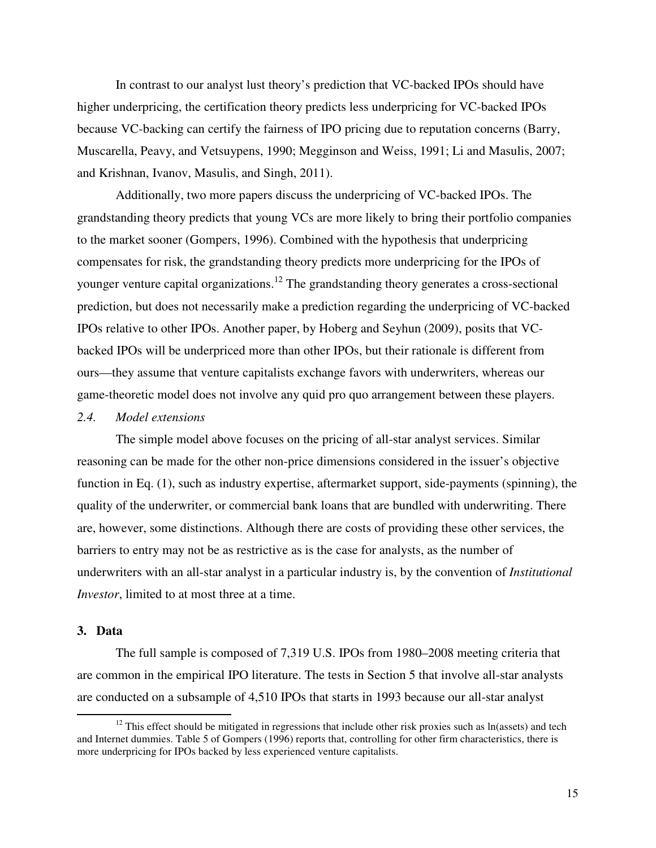In contrast to our analyst lust theory's prediction that VC-backed IPOs should have higher underpricing, the certification theory predicts less underpricing for VC-backed IPOs because VC-backing can certify the fairness of IPO pricing due to reputation concerns (Barry, Muscarella, Peavy, and Vetsuypens, 1990; Megginson and Weiss, 1991; Li and Masulis, 2007; and Krishnan, Ivanov, Masulis, and Singh, 2011).

Additionally, two more papers discuss the underpricing of VC-backed IPOs. The grandstanding theory predicts that young VCs are more likely to bring their portfolio companies to the market sooner (Gompers, 1996). Combined with the hypothesis that underpricing compensates for risk, the grandstanding theory predicts more underpricing for the IPOs of younger venture capital organizations.<sup>12</sup> The grandstanding theory generates a cross-sectional prediction, but does not necessarily make a prediction regarding the underpricing of VC-backed IPOs relative to other IPOs. Another paper, by Hoberg and Seyhun (2009), posits that VCbacked IPOs will be underpriced more than other IPOs, but their rationale is different from ours—they assume that venture capitalists exchange favors with underwriters, whereas our game-theoretic model does not involve any quid pro quo arrangement between these players.

#### *2.4. Model extensions*

The simple model above focuses on the pricing of all-star analyst services. Similar reasoning can be made for the other non-price dimensions considered in the issuer's objective function in Eq. (1), such as industry expertise, aftermarket support, side-payments (spinning), the quality of the underwriter, or commercial bank loans that are bundled with underwriting. There are, however, some distinctions. Although there are costs of providing these other services, the barriers to entry may not be as restrictive as is the case for analysts, as the number of underwriters with an all-star analyst in a particular industry is, by the convention of *Institutional Investor*, limited to at most three at a time.

## **3. Data**

 $\overline{a}$ 

The full sample is composed of 7,319 U.S. IPOs from 1980–2008 meeting criteria that are common in the empirical IPO literature. The tests in Section 5 that involve all-star analysts are conducted on a subsample of 4,510 IPOs that starts in 1993 because our all-star analyst

<sup>&</sup>lt;sup>12</sup> This effect should be mitigated in regressions that include other risk proxies such as ln(assets) and tech and Internet dummies. Table 5 of Gompers (1996) reports that, controlling for other firm characteristics, there is more underpricing for IPOs backed by less experienced venture capitalists.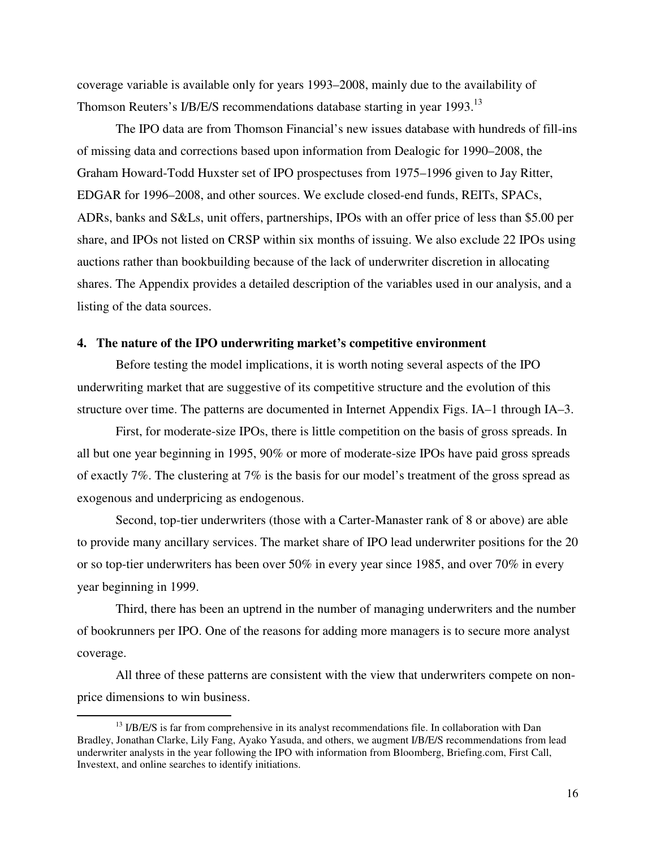coverage variable is available only for years 1993–2008, mainly due to the availability of Thomson Reuters's I/B/E/S recommendations database starting in year 1993.<sup>13</sup>

The IPO data are from Thomson Financial's new issues database with hundreds of fill-ins of missing data and corrections based upon information from Dealogic for 1990–2008, the Graham Howard-Todd Huxster set of IPO prospectuses from 1975–1996 given to Jay Ritter, EDGAR for 1996–2008, and other sources. We exclude closed-end funds, REITs, SPACs, ADRs, banks and S&Ls, unit offers, partnerships, IPOs with an offer price of less than \$5.00 per share, and IPOs not listed on CRSP within six months of issuing. We also exclude 22 IPOs using auctions rather than bookbuilding because of the lack of underwriter discretion in allocating shares. The Appendix provides a detailed description of the variables used in our analysis, and a listing of the data sources.

#### **4. The nature of the IPO underwriting market's competitive environment**

Before testing the model implications, it is worth noting several aspects of the IPO underwriting market that are suggestive of its competitive structure and the evolution of this structure over time. The patterns are documented in Internet Appendix Figs. IA–1 through IA–3.

First, for moderate-size IPOs, there is little competition on the basis of gross spreads. In all but one year beginning in 1995, 90% or more of moderate-size IPOs have paid gross spreads of exactly 7%. The clustering at 7% is the basis for our model's treatment of the gross spread as exogenous and underpricing as endogenous.

Second, top-tier underwriters (those with a Carter-Manaster rank of 8 or above) are able to provide many ancillary services. The market share of IPO lead underwriter positions for the 20 or so top-tier underwriters has been over 50% in every year since 1985, and over 70% in every year beginning in 1999.

Third, there has been an uptrend in the number of managing underwriters and the number of bookrunners per IPO. One of the reasons for adding more managers is to secure more analyst coverage.

All three of these patterns are consistent with the view that underwriters compete on nonprice dimensions to win business.

l

 $<sup>13</sup>$  I/B/E/S is far from comprehensive in its analyst recommendations file. In collaboration with Dan</sup> Bradley, Jonathan Clarke, Lily Fang, Ayako Yasuda, and others, we augment I/B/E/S recommendations from lead underwriter analysts in the year following the IPO with information from Bloomberg, Briefing.com, First Call, Investext, and online searches to identify initiations.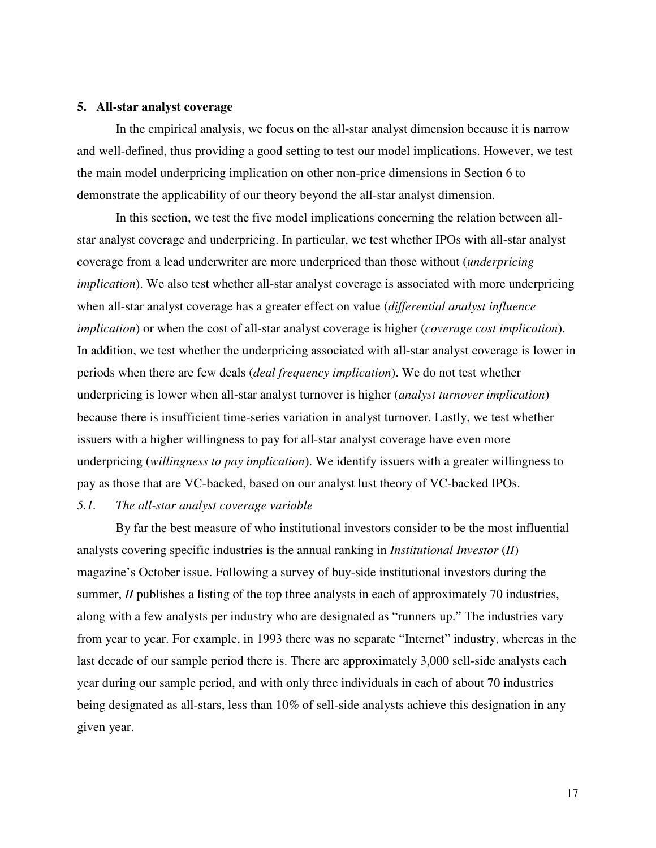#### **5. All-star analyst coverage**

In the empirical analysis, we focus on the all-star analyst dimension because it is narrow and well-defined, thus providing a good setting to test our model implications. However, we test the main model underpricing implication on other non-price dimensions in Section 6 to demonstrate the applicability of our theory beyond the all-star analyst dimension.

In this section, we test the five model implications concerning the relation between allstar analyst coverage and underpricing. In particular, we test whether IPOs with all-star analyst coverage from a lead underwriter are more underpriced than those without (*underpricing implication*). We also test whether all-star analyst coverage is associated with more underpricing when all-star analyst coverage has a greater effect on value (*differential analyst influence implication*) or when the cost of all-star analyst coverage is higher (*coverage cost implication*). In addition, we test whether the underpricing associated with all-star analyst coverage is lower in periods when there are few deals (*deal frequency implication*). We do not test whether underpricing is lower when all-star analyst turnover is higher (*analyst turnover implication*) because there is insufficient time-series variation in analyst turnover. Lastly, we test whether issuers with a higher willingness to pay for all-star analyst coverage have even more underpricing (*willingness to pay implication*). We identify issuers with a greater willingness to pay as those that are VC-backed, based on our analyst lust theory of VC-backed IPOs.

## *5.1. The all-star analyst coverage variable*

By far the best measure of who institutional investors consider to be the most influential analysts covering specific industries is the annual ranking in *Institutional Investor* (*II*) magazine's October issue. Following a survey of buy-side institutional investors during the summer, *II* publishes a listing of the top three analysts in each of approximately 70 industries, along with a few analysts per industry who are designated as "runners up." The industries vary from year to year. For example, in 1993 there was no separate "Internet" industry, whereas in the last decade of our sample period there is. There are approximately 3,000 sell-side analysts each year during our sample period, and with only three individuals in each of about 70 industries being designated as all-stars, less than 10% of sell-side analysts achieve this designation in any given year.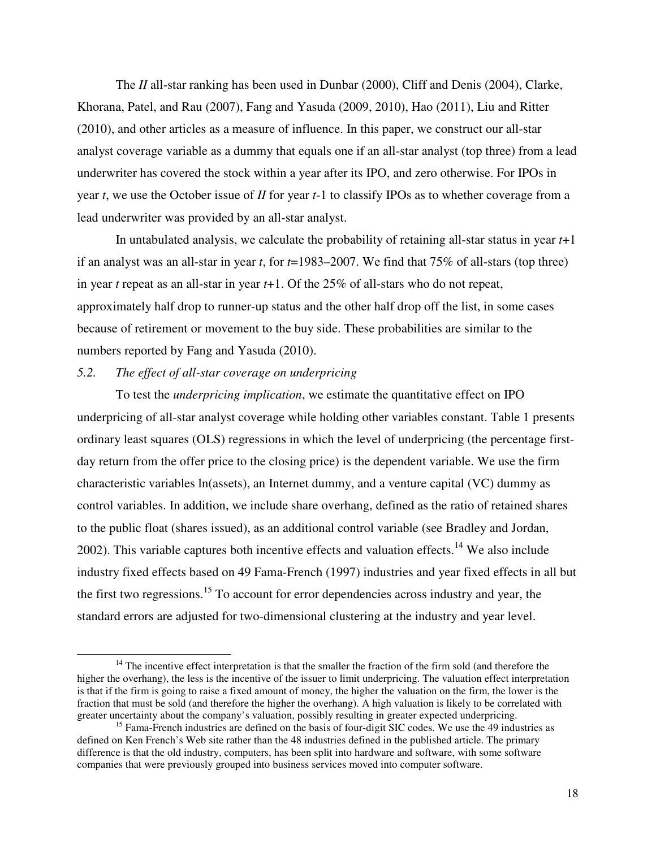The *II* all-star ranking has been used in Dunbar (2000), Cliff and Denis (2004), Clarke, Khorana, Patel, and Rau (2007), Fang and Yasuda (2009, 2010), Hao (2011), Liu and Ritter (2010), and other articles as a measure of influence. In this paper, we construct our all-star analyst coverage variable as a dummy that equals one if an all-star analyst (top three) from a lead underwriter has covered the stock within a year after its IPO, and zero otherwise. For IPOs in year *t*, we use the October issue of *II* for year *t*-1 to classify IPOs as to whether coverage from a lead underwriter was provided by an all-star analyst.

In untabulated analysis, we calculate the probability of retaining all-star status in year *t*+1 if an analyst was an all-star in year *t*, for *t*=1983–2007. We find that 75% of all-stars (top three) in year *t* repeat as an all-star in year *t*+1. Of the 25% of all-stars who do not repeat, approximately half drop to runner-up status and the other half drop off the list, in some cases because of retirement or movement to the buy side. These probabilities are similar to the numbers reported by Fang and Yasuda (2010).

## *5.2. The effect of all-star coverage on underpricing*

 $\overline{a}$ 

To test the *underpricing implication*, we estimate the quantitative effect on IPO underpricing of all-star analyst coverage while holding other variables constant. Table 1 presents ordinary least squares (OLS) regressions in which the level of underpricing (the percentage firstday return from the offer price to the closing price) is the dependent variable. We use the firm characteristic variables ln(assets), an Internet dummy, and a venture capital (VC) dummy as control variables. In addition, we include share overhang, defined as the ratio of retained shares to the public float (shares issued), as an additional control variable (see Bradley and Jordan, 2002). This variable captures both incentive effects and valuation effects.<sup>14</sup> We also include industry fixed effects based on 49 Fama-French (1997) industries and year fixed effects in all but the first two regressions.<sup>15</sup> To account for error dependencies across industry and year, the standard errors are adjusted for two-dimensional clustering at the industry and year level.

 $14$  The incentive effect interpretation is that the smaller the fraction of the firm sold (and therefore the higher the overhang), the less is the incentive of the issuer to limit underpricing. The valuation effect interpretation is that if the firm is going to raise a fixed amount of money, the higher the valuation on the firm, the lower is the fraction that must be sold (and therefore the higher the overhang). A high valuation is likely to be correlated with greater uncertainty about the company's valuation, possibly resulting in greater expected underpricing.

<sup>&</sup>lt;sup>15</sup> Fama-French industries are defined on the basis of four-digit SIC codes. We use the 49 industries as defined on Ken French's Web site rather than the 48 industries defined in the published article. The primary difference is that the old industry, computers, has been split into hardware and software, with some software companies that were previously grouped into business services moved into computer software.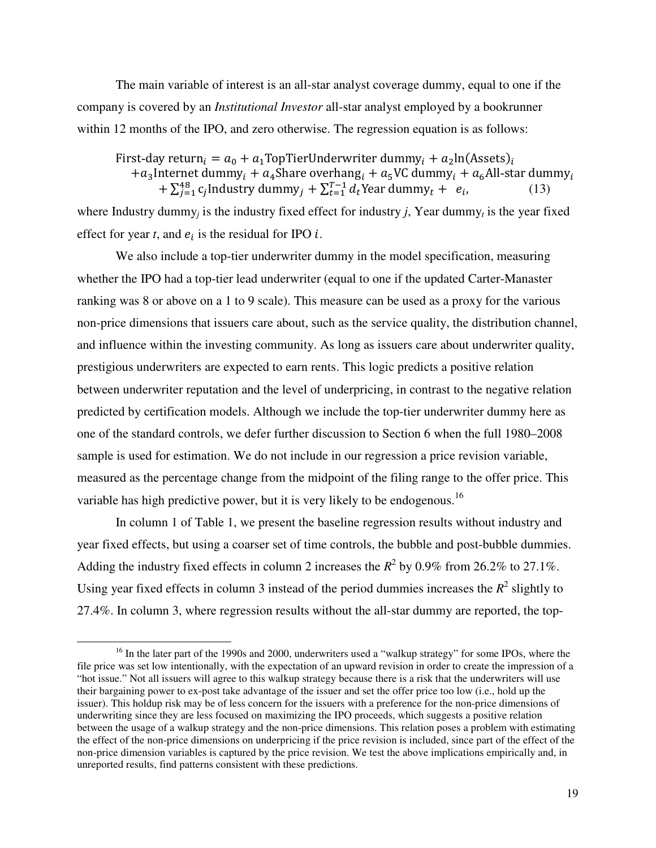The main variable of interest is an all-star analyst coverage dummy, equal to one if the company is covered by an *Institutional Investor* all-star analyst employed by a bookrunner within 12 months of the IPO, and zero otherwise. The regression equation is as follows:

First-day return<sub>i</sub> =  $a_0 + a_1$ TopTierUnderwriter dummy<sub>i</sub> +  $a_2$ ln(Assets)<sub>i</sub>  $+a_3$ Internet dummy<sub>i</sub> +  $a_4$ Share overhang<sub>i</sub> +  $a_5$ VC dummy<sub>i</sub> +  $a_6$ All-star dummy<sub>i</sub>  $+\sum_{j=1}^{48} c_j$ Industry dummy<sub>j</sub> +  $\sum_{t=1}^{T-1} d_t$ Year dummy<sub>t</sub> +  $e_i$ , (13)

where Industry dummy<sub>j</sub> is the industry fixed effect for industry *j*, Year dummy<sub>t</sub> is the year fixed effect for year *t*, and  $e_i$  is the residual for IPO *i*.

We also include a top-tier underwriter dummy in the model specification, measuring whether the IPO had a top-tier lead underwriter (equal to one if the updated Carter-Manaster ranking was 8 or above on a 1 to 9 scale). This measure can be used as a proxy for the various non-price dimensions that issuers care about, such as the service quality, the distribution channel, and influence within the investing community. As long as issuers care about underwriter quality, prestigious underwriters are expected to earn rents. This logic predicts a positive relation between underwriter reputation and the level of underpricing, in contrast to the negative relation predicted by certification models. Although we include the top-tier underwriter dummy here as one of the standard controls, we defer further discussion to Section 6 when the full 1980–2008 sample is used for estimation. We do not include in our regression a price revision variable, measured as the percentage change from the midpoint of the filing range to the offer price. This variable has high predictive power, but it is very likely to be endogenous.<sup>16</sup>

In column 1 of Table 1, we present the baseline regression results without industry and year fixed effects, but using a coarser set of time controls, the bubble and post-bubble dummies. Adding the industry fixed effects in column 2 increases the  $R^2$  by 0.9% from 26.2% to 27.1%. Using year fixed effects in column 3 instead of the period dummies increases the  $R^2$  slightly to 27.4%. In column 3, where regression results without the all-star dummy are reported, the top-

l

<sup>&</sup>lt;sup>16</sup> In the later part of the 1990s and 2000, underwriters used a "walkup strategy" for some IPOs, where the file price was set low intentionally, with the expectation of an upward revision in order to create the impression of a "hot issue." Not all issuers will agree to this walkup strategy because there is a risk that the underwriters will use their bargaining power to ex-post take advantage of the issuer and set the offer price too low (i.e., hold up the issuer). This holdup risk may be of less concern for the issuers with a preference for the non-price dimensions of underwriting since they are less focused on maximizing the IPO proceeds, which suggests a positive relation between the usage of a walkup strategy and the non-price dimensions. This relation poses a problem with estimating the effect of the non-price dimensions on underpricing if the price revision is included, since part of the effect of the non-price dimension variables is captured by the price revision. We test the above implications empirically and, in unreported results, find patterns consistent with these predictions.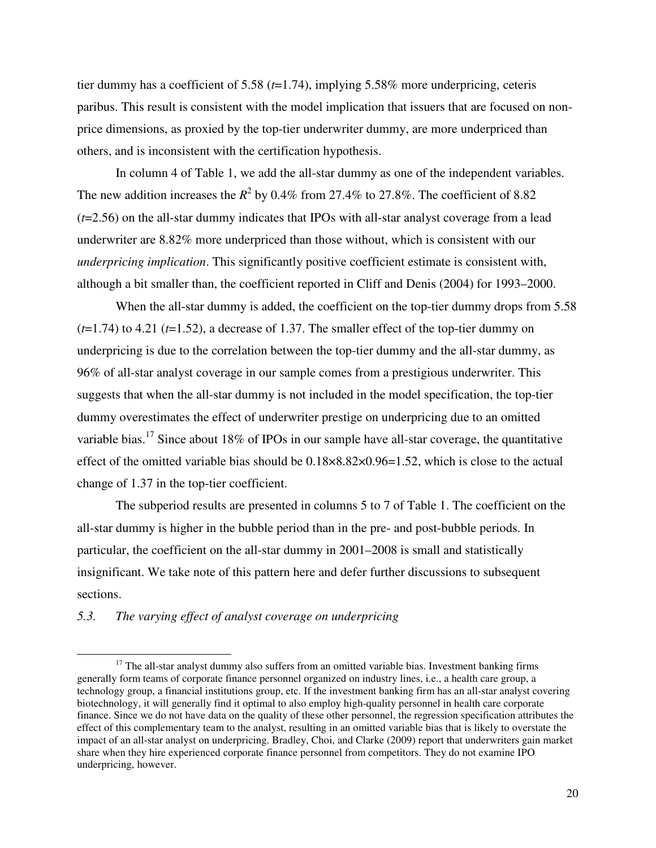tier dummy has a coefficient of 5.58 (*t*=1.74), implying 5.58% more underpricing, ceteris paribus. This result is consistent with the model implication that issuers that are focused on nonprice dimensions, as proxied by the top-tier underwriter dummy, are more underpriced than others, and is inconsistent with the certification hypothesis.

In column 4 of Table 1, we add the all-star dummy as one of the independent variables. The new addition increases the  $R^2$  by 0.4% from 27.4% to 27.8%. The coefficient of 8.82 (*t*=2.56) on the all-star dummy indicates that IPOs with all-star analyst coverage from a lead underwriter are 8.82% more underpriced than those without, which is consistent with our *underpricing implication*. This significantly positive coefficient estimate is consistent with, although a bit smaller than, the coefficient reported in Cliff and Denis (2004) for 1993–2000.

When the all-star dummy is added, the coefficient on the top-tier dummy drops from 5.58 (*t*=1.74) to 4.21 (*t*=1.52), a decrease of 1.37. The smaller effect of the top-tier dummy on underpricing is due to the correlation between the top-tier dummy and the all-star dummy, as 96% of all-star analyst coverage in our sample comes from a prestigious underwriter. This suggests that when the all-star dummy is not included in the model specification, the top-tier dummy overestimates the effect of underwriter prestige on underpricing due to an omitted variable bias.<sup>17</sup> Since about 18% of IPOs in our sample have all-star coverage, the quantitative effect of the omitted variable bias should be 0.18×8.82×0.96=1.52, which is close to the actual change of 1.37 in the top-tier coefficient.

The subperiod results are presented in columns 5 to 7 of Table 1. The coefficient on the all-star dummy is higher in the bubble period than in the pre- and post-bubble periods. In particular, the coefficient on the all-star dummy in 2001–2008 is small and statistically insignificant. We take note of this pattern here and defer further discussions to subsequent sections.

#### *5.3. The varying effect of analyst coverage on underpricing*

 $\overline{a}$ 

<sup>&</sup>lt;sup>17</sup> The all-star analyst dummy also suffers from an omitted variable bias. Investment banking firms generally form teams of corporate finance personnel organized on industry lines, i.e., a health care group, a technology group, a financial institutions group, etc. If the investment banking firm has an all-star analyst covering biotechnology, it will generally find it optimal to also employ high-quality personnel in health care corporate finance. Since we do not have data on the quality of these other personnel, the regression specification attributes the effect of this complementary team to the analyst, resulting in an omitted variable bias that is likely to overstate the impact of an all-star analyst on underpricing. Bradley, Choi, and Clarke (2009) report that underwriters gain market share when they hire experienced corporate finance personnel from competitors. They do not examine IPO underpricing, however.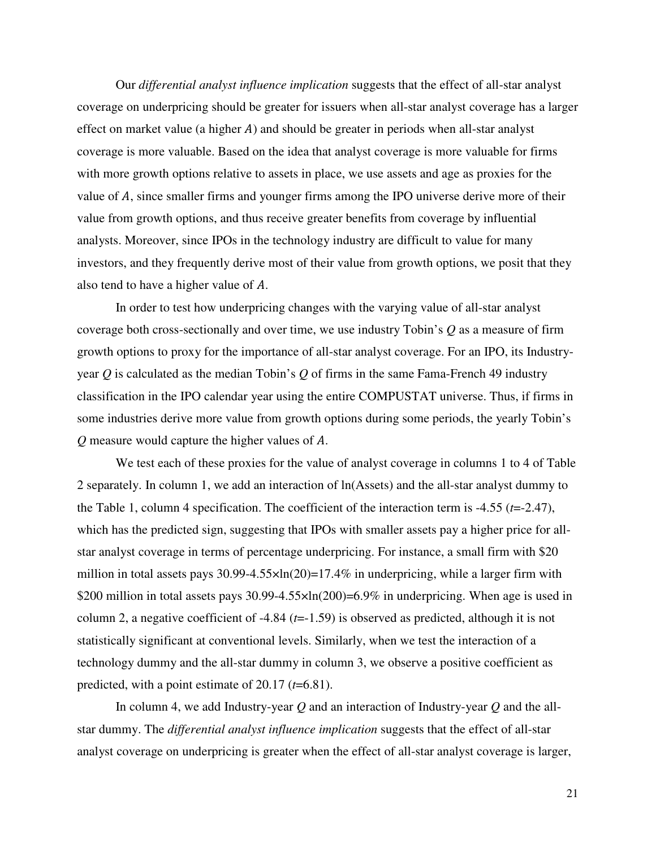Our *differential analyst influence implication* suggests that the effect of all-star analyst coverage on underpricing should be greater for issuers when all-star analyst coverage has a larger effect on market value (a higher  $A$ ) and should be greater in periods when all-star analyst coverage is more valuable. Based on the idea that analyst coverage is more valuable for firms with more growth options relative to assets in place, we use assets and age as proxies for the value of  $A$ , since smaller firms and younger firms among the IPO universe derive more of their value from growth options, and thus receive greater benefits from coverage by influential analysts. Moreover, since IPOs in the technology industry are difficult to value for many investors, and they frequently derive most of their value from growth options, we posit that they also tend to have a higher value of  $A$ .

In order to test how underpricing changes with the varying value of all-star analyst coverage both cross-sectionally and over time, we use industry Tobin's *Q* as a measure of firm growth options to proxy for the importance of all-star analyst coverage. For an IPO, its Industryyear *Q* is calculated as the median Tobin's *Q* of firms in the same Fama-French 49 industry classification in the IPO calendar year using the entire COMPUSTAT universe. Thus, if firms in some industries derive more value from growth options during some periods, the yearly Tobin's *Q* measure would capture the higher values of *A*.

We test each of these proxies for the value of analyst coverage in columns 1 to 4 of Table 2 separately. In column 1, we add an interaction of ln(Assets) and the all-star analyst dummy to the Table 1, column 4 specification. The coefficient of the interaction term is -4.55 (*t*=-2.47), which has the predicted sign, suggesting that IPOs with smaller assets pay a higher price for allstar analyst coverage in terms of percentage underpricing. For instance, a small firm with \$20 million in total assets pays 30.99-4.55×ln(20)=17.4% in underpricing, while a larger firm with \$200 million in total assets pays 30.99-4.55×ln(200)=6.9% in underpricing. When age is used in column 2, a negative coefficient of -4.84 (*t*=-1.59) is observed as predicted, although it is not statistically significant at conventional levels. Similarly, when we test the interaction of a technology dummy and the all-star dummy in column 3, we observe a positive coefficient as predicted, with a point estimate of 20.17 (*t*=6.81).

In column 4, we add Industry-year *Q* and an interaction of Industry-year *Q* and the allstar dummy. The *differential analyst influence implication* suggests that the effect of all-star analyst coverage on underpricing is greater when the effect of all-star analyst coverage is larger,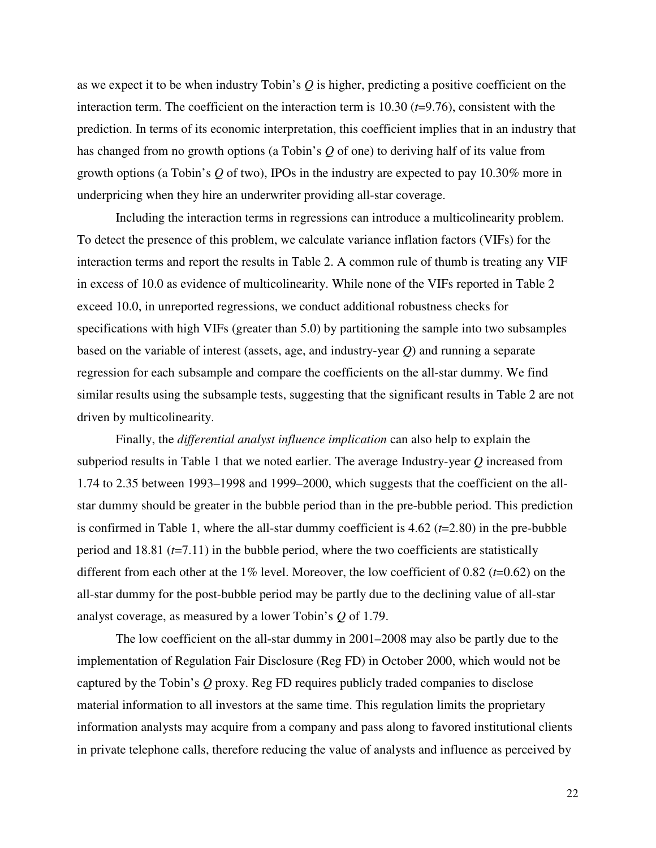as we expect it to be when industry Tobin's *Q* is higher, predicting a positive coefficient on the interaction term. The coefficient on the interaction term is  $10.30$  ( $t=9.76$ ), consistent with the prediction. In terms of its economic interpretation, this coefficient implies that in an industry that has changed from no growth options (a Tobin's *Q* of one) to deriving half of its value from growth options (a Tobin's *Q* of two), IPOs in the industry are expected to pay 10.30% more in underpricing when they hire an underwriter providing all-star coverage.

Including the interaction terms in regressions can introduce a multicolinearity problem. To detect the presence of this problem, we calculate variance inflation factors (VIFs) for the interaction terms and report the results in Table 2. A common rule of thumb is treating any VIF in excess of 10.0 as evidence of multicolinearity. While none of the VIFs reported in Table 2 exceed 10.0, in unreported regressions, we conduct additional robustness checks for specifications with high VIFs (greater than 5.0) by partitioning the sample into two subsamples based on the variable of interest (assets, age, and industry-year *Q*) and running a separate regression for each subsample and compare the coefficients on the all-star dummy. We find similar results using the subsample tests, suggesting that the significant results in Table 2 are not driven by multicolinearity.

Finally, the *differential analyst influence implication* can also help to explain the subperiod results in Table 1 that we noted earlier. The average Industry-year *Q* increased from 1.74 to 2.35 between 1993–1998 and 1999–2000, which suggests that the coefficient on the allstar dummy should be greater in the bubble period than in the pre-bubble period. This prediction is confirmed in Table 1, where the all-star dummy coefficient is  $4.62$  ( $t=2.80$ ) in the pre-bubble period and 18.81 (*t*=7.11) in the bubble period, where the two coefficients are statistically different from each other at the 1% level. Moreover, the low coefficient of 0.82 (*t*=0.62) on the all-star dummy for the post-bubble period may be partly due to the declining value of all-star analyst coverage, as measured by a lower Tobin's *Q* of 1.79.

The low coefficient on the all-star dummy in 2001–2008 may also be partly due to the implementation of Regulation Fair Disclosure (Reg FD) in October 2000, which would not be captured by the Tobin's *Q* proxy. Reg FD requires publicly traded companies to disclose material information to all investors at the same time. This regulation limits the proprietary information analysts may acquire from a company and pass along to favored institutional clients in private telephone calls, therefore reducing the value of analysts and influence as perceived by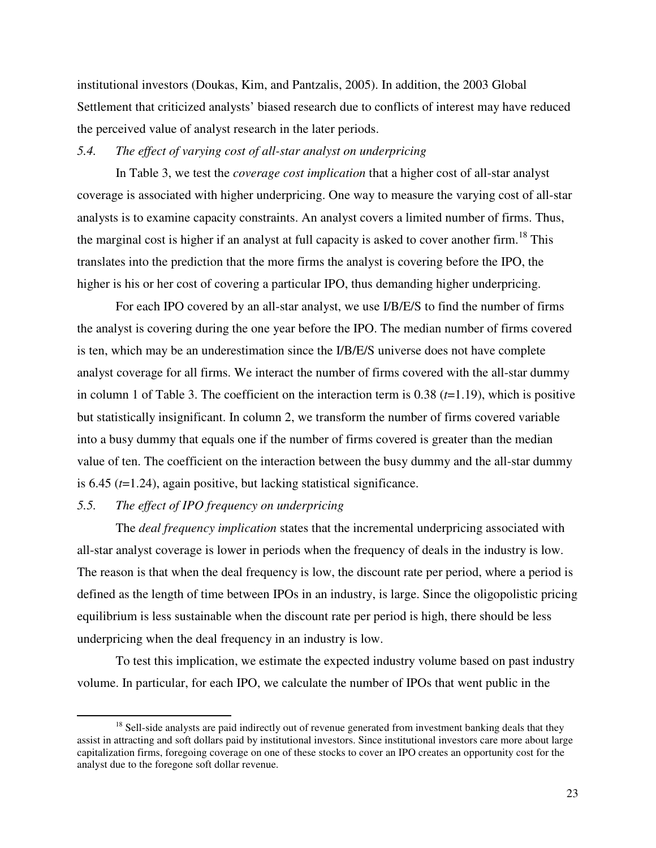institutional investors (Doukas, Kim, and Pantzalis, 2005). In addition, the 2003 Global Settlement that criticized analysts' biased research due to conflicts of interest may have reduced the perceived value of analyst research in the later periods.

## *5.4. The effect of varying cost of all-star analyst on underpricing*

In Table 3, we test the *coverage cost implication* that a higher cost of all-star analyst coverage is associated with higher underpricing. One way to measure the varying cost of all-star analysts is to examine capacity constraints. An analyst covers a limited number of firms. Thus, the marginal cost is higher if an analyst at full capacity is asked to cover another firm.<sup>18</sup> This translates into the prediction that the more firms the analyst is covering before the IPO, the higher is his or her cost of covering a particular IPO, thus demanding higher underpricing.

For each IPO covered by an all-star analyst, we use I/B/E/S to find the number of firms the analyst is covering during the one year before the IPO. The median number of firms covered is ten, which may be an underestimation since the I/B/E/S universe does not have complete analyst coverage for all firms. We interact the number of firms covered with the all-star dummy in column 1 of Table 3. The coefficient on the interaction term is 0.38 (*t*=1.19), which is positive but statistically insignificant. In column 2, we transform the number of firms covered variable into a busy dummy that equals one if the number of firms covered is greater than the median value of ten. The coefficient on the interaction between the busy dummy and the all-star dummy is 6.45 (*t*=1.24), again positive, but lacking statistical significance.

## *5.5. The effect of IPO frequency on underpricing*

l

The *deal frequency implication* states that the incremental underpricing associated with all-star analyst coverage is lower in periods when the frequency of deals in the industry is low. The reason is that when the deal frequency is low, the discount rate per period, where a period is defined as the length of time between IPOs in an industry, is large. Since the oligopolistic pricing equilibrium is less sustainable when the discount rate per period is high, there should be less underpricing when the deal frequency in an industry is low.

To test this implication, we estimate the expected industry volume based on past industry volume. In particular, for each IPO, we calculate the number of IPOs that went public in the

 $<sup>18</sup>$  Sell-side analysts are paid indirectly out of revenue generated from investment banking deals that they</sup> assist in attracting and soft dollars paid by institutional investors. Since institutional investors care more about large capitalization firms, foregoing coverage on one of these stocks to cover an IPO creates an opportunity cost for the analyst due to the foregone soft dollar revenue.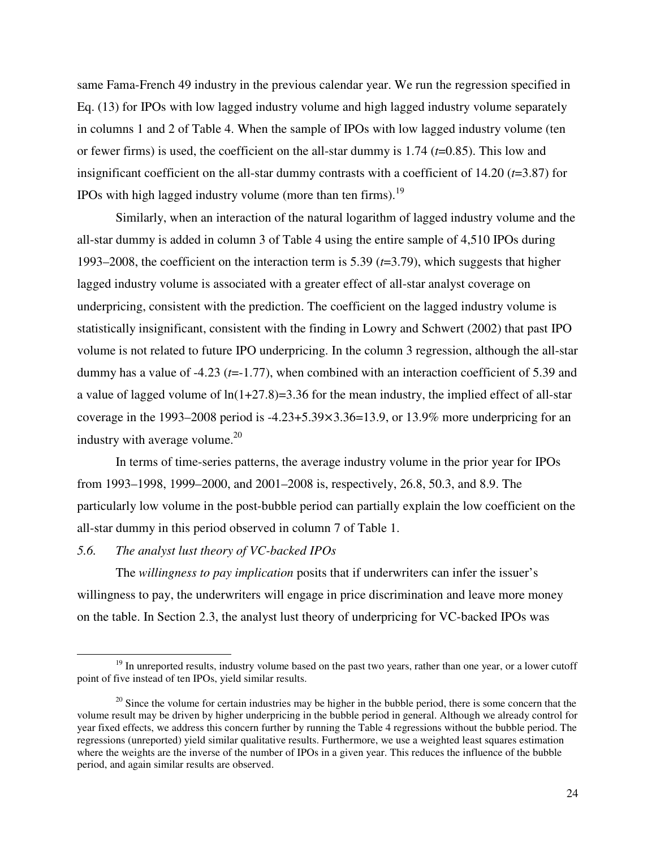same Fama-French 49 industry in the previous calendar year. We run the regression specified in Eq. (13) for IPOs with low lagged industry volume and high lagged industry volume separately in columns 1 and 2 of Table 4. When the sample of IPOs with low lagged industry volume (ten or fewer firms) is used, the coefficient on the all-star dummy is 1.74 (*t*=0.85). This low and insignificant coefficient on the all-star dummy contrasts with a coefficient of 14.20 (*t*=3.87) for IPOs with high lagged industry volume (more than ten firms).<sup>19</sup>

Similarly, when an interaction of the natural logarithm of lagged industry volume and the all-star dummy is added in column 3 of Table 4 using the entire sample of 4,510 IPOs during 1993–2008, the coefficient on the interaction term is 5.39 (*t*=3.79), which suggests that higher lagged industry volume is associated with a greater effect of all-star analyst coverage on underpricing, consistent with the prediction. The coefficient on the lagged industry volume is statistically insignificant, consistent with the finding in Lowry and Schwert (2002) that past IPO volume is not related to future IPO underpricing. In the column 3 regression, although the all-star dummy has a value of -4.23 (*t*=-1.77), when combined with an interaction coefficient of 5.39 and a value of lagged volume of  $ln(1+27.8)=3.36$  for the mean industry, the implied effect of all-star coverage in the 1993–2008 period is  $-4.23+5.39\times3.36=13.9$ , or 13.9% more underpricing for an industry with average volume. $^{20}$ 

In terms of time-series patterns, the average industry volume in the prior year for IPOs from 1993–1998, 1999–2000, and 2001–2008 is, respectively, 26.8, 50.3, and 8.9. The particularly low volume in the post-bubble period can partially explain the low coefficient on the all-star dummy in this period observed in column 7 of Table 1.

## *5.6. The analyst lust theory of VC-backed IPOs*

 $\overline{a}$ 

The *willingness to pay implication* posits that if underwriters can infer the issuer's willingness to pay, the underwriters will engage in price discrimination and leave more money on the table. In Section 2.3, the analyst lust theory of underpricing for VC-backed IPOs was

<sup>&</sup>lt;sup>19</sup> In unreported results, industry volume based on the past two years, rather than one year, or a lower cutoff point of five instead of ten IPOs, yield similar results.

 $20$  Since the volume for certain industries may be higher in the bubble period, there is some concern that the volume result may be driven by higher underpricing in the bubble period in general. Although we already control for year fixed effects, we address this concern further by running the Table 4 regressions without the bubble period. The regressions (unreported) yield similar qualitative results. Furthermore, we use a weighted least squares estimation where the weights are the inverse of the number of IPOs in a given year. This reduces the influence of the bubble period, and again similar results are observed.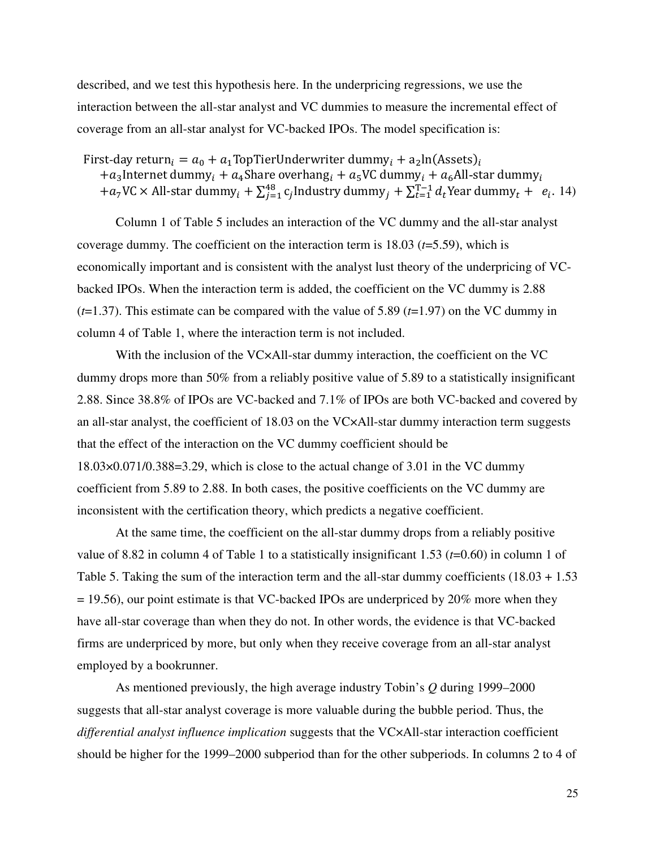described, and we test this hypothesis here. In the underpricing regressions, we use the interaction between the all-star analyst and VC dummies to measure the incremental effect of coverage from an all-star analyst for VC-backed IPOs. The model specification is:

First-day return<sub>i</sub> =  $a_0 + a_1$ TopTierUnderwriter dummy<sub>i</sub> +  $a_2$ ln(Assets)<sub>i</sub>  $+a_3$ Internet dummy $_i + a_4$ Share overhang $_i + a_5$ VC dummy $_i + a_6$ All-star dummy $_i$ +a<sub>7</sub>VC × All-star dummy<sub>i</sub> +  $\sum_{j=1}^{48} c_j$ Industry dummy<sub>j</sub> +  $\sum_{t=1}^{T-1} d_t$ Year dummy<sub>t</sub> +  $e_i$ . 14)

Column 1 of Table 5 includes an interaction of the VC dummy and the all-star analyst coverage dummy. The coefficient on the interaction term is 18.03 (*t*=5.59), which is economically important and is consistent with the analyst lust theory of the underpricing of VCbacked IPOs. When the interaction term is added, the coefficient on the VC dummy is 2.88 (*t*=1.37). This estimate can be compared with the value of 5.89 (*t*=1.97) on the VC dummy in column 4 of Table 1, where the interaction term is not included.

With the inclusion of the VC×All-star dummy interaction, the coefficient on the VC dummy drops more than 50% from a reliably positive value of 5.89 to a statistically insignificant 2.88. Since 38.8% of IPOs are VC-backed and 7.1% of IPOs are both VC-backed and covered by an all-star analyst, the coefficient of 18.03 on the VC×All-star dummy interaction term suggests that the effect of the interaction on the VC dummy coefficient should be 18.03×0.071/0.388=3.29, which is close to the actual change of 3.01 in the VC dummy coefficient from 5.89 to 2.88. In both cases, the positive coefficients on the VC dummy are inconsistent with the certification theory, which predicts a negative coefficient.

At the same time, the coefficient on the all-star dummy drops from a reliably positive value of 8.82 in column 4 of Table 1 to a statistically insignificant 1.53 (*t*=0.60) in column 1 of Table 5. Taking the sum of the interaction term and the all-star dummy coefficients (18.03 + 1.53)  $= 19.56$ ), our point estimate is that VC-backed IPOs are underpriced by 20% more when they have all-star coverage than when they do not. In other words, the evidence is that VC-backed firms are underpriced by more, but only when they receive coverage from an all-star analyst employed by a bookrunner.

As mentioned previously, the high average industry Tobin's *Q* during 1999–2000 suggests that all-star analyst coverage is more valuable during the bubble period. Thus, the *differential analyst influence implication* suggests that the VC×All-star interaction coefficient should be higher for the 1999–2000 subperiod than for the other subperiods. In columns 2 to 4 of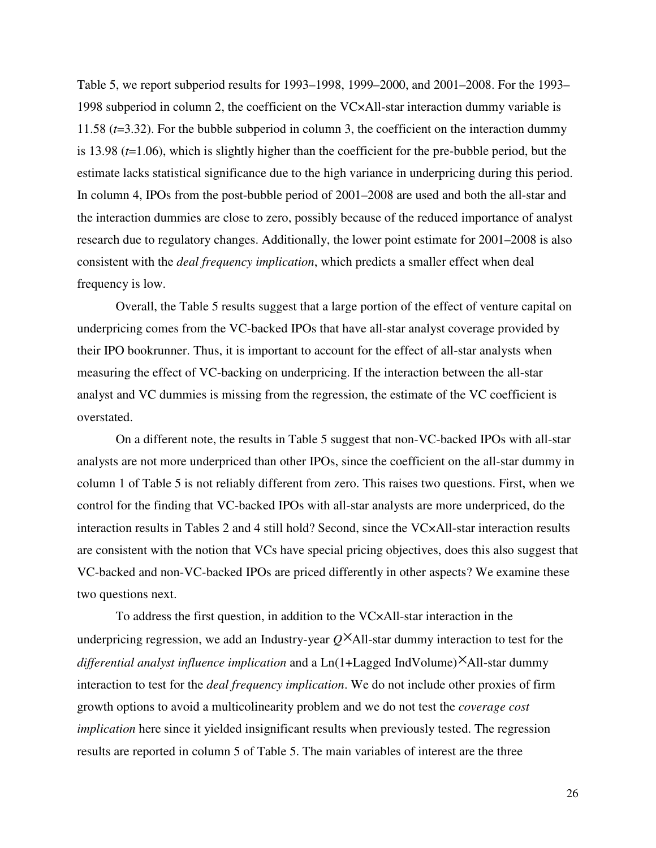Table 5, we report subperiod results for 1993–1998, 1999–2000, and 2001–2008. For the 1993– 1998 subperiod in column 2, the coefficient on the VC×All-star interaction dummy variable is 11.58 (*t*=3.32). For the bubble subperiod in column 3, the coefficient on the interaction dummy is 13.98 (*t*=1.06), which is slightly higher than the coefficient for the pre-bubble period, but the estimate lacks statistical significance due to the high variance in underpricing during this period. In column 4, IPOs from the post-bubble period of 2001–2008 are used and both the all-star and the interaction dummies are close to zero, possibly because of the reduced importance of analyst research due to regulatory changes. Additionally, the lower point estimate for 2001–2008 is also consistent with the *deal frequency implication*, which predicts a smaller effect when deal frequency is low.

Overall, the Table 5 results suggest that a large portion of the effect of venture capital on underpricing comes from the VC-backed IPOs that have all-star analyst coverage provided by their IPO bookrunner. Thus, it is important to account for the effect of all-star analysts when measuring the effect of VC-backing on underpricing. If the interaction between the all-star analyst and VC dummies is missing from the regression, the estimate of the VC coefficient is overstated.

On a different note, the results in Table 5 suggest that non-VC-backed IPOs with all-star analysts are not more underpriced than other IPOs, since the coefficient on the all-star dummy in column 1 of Table 5 is not reliably different from zero. This raises two questions. First, when we control for the finding that VC-backed IPOs with all-star analysts are more underpriced, do the interaction results in Tables 2 and 4 still hold? Second, since the VC×All-star interaction results are consistent with the notion that VCs have special pricing objectives, does this also suggest that VC-backed and non-VC-backed IPOs are priced differently in other aspects? We examine these two questions next.

To address the first question, in addition to the VC×All-star interaction in the underpricing regression, we add an Industry-year  $Q^{\times}$ All-star dummy interaction to test for the *differential analyst influence implication* and a Ln(1+Lagged IndVolume)×All-star dummy interaction to test for the *deal frequency implication*. We do not include other proxies of firm growth options to avoid a multicolinearity problem and we do not test the *coverage cost implication* here since it yielded insignificant results when previously tested. The regression results are reported in column 5 of Table 5. The main variables of interest are the three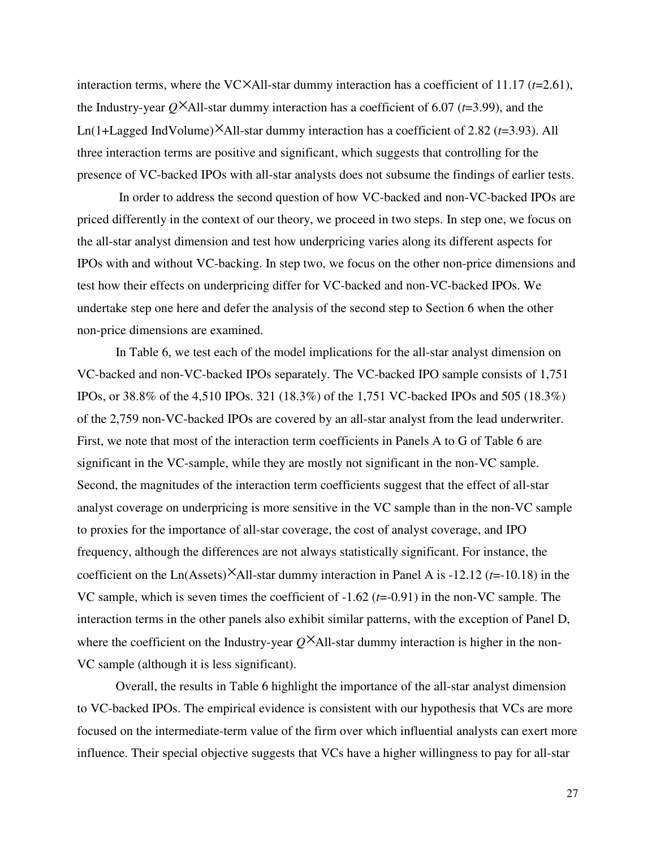interaction terms, where the VC×All-star dummy interaction has a coefficient of 11.17 (*t*=2.61), the Industry-year  $Q^{\times}$ All-star dummy interaction has a coefficient of 6.07 ( $t=3.99$ ), and the Ln(1+Lagged IndVolume)×All-star dummy interaction has a coefficient of 2.82 (*t*=3.93). All three interaction terms are positive and significant, which suggests that controlling for the presence of VC-backed IPOs with all-star analysts does not subsume the findings of earlier tests.

 In order to address the second question of how VC-backed and non-VC-backed IPOs are priced differently in the context of our theory, we proceed in two steps. In step one, we focus on the all-star analyst dimension and test how underpricing varies along its different aspects for IPOs with and without VC-backing. In step two, we focus on the other non-price dimensions and test how their effects on underpricing differ for VC-backed and non-VC-backed IPOs. We undertake step one here and defer the analysis of the second step to Section 6 when the other non-price dimensions are examined.

In Table 6, we test each of the model implications for the all-star analyst dimension on VC-backed and non-VC-backed IPOs separately. The VC-backed IPO sample consists of 1,751 IPOs, or 38.8% of the 4,510 IPOs. 321 (18.3%) of the 1,751 VC-backed IPOs and 505 (18.3%) of the 2,759 non-VC-backed IPOs are covered by an all-star analyst from the lead underwriter. First, we note that most of the interaction term coefficients in Panels A to G of Table 6 are significant in the VC-sample, while they are mostly not significant in the non-VC sample. Second, the magnitudes of the interaction term coefficients suggest that the effect of all-star analyst coverage on underpricing is more sensitive in the VC sample than in the non-VC sample to proxies for the importance of all-star coverage, the cost of analyst coverage, and IPO frequency, although the differences are not always statistically significant. For instance, the coefficient on the Ln(Assets)×All-star dummy interaction in Panel A is -12.12 (*t*=-10.18) in the VC sample, which is seven times the coefficient of -1.62 (*t*=-0.91) in the non-VC sample. The interaction terms in the other panels also exhibit similar patterns, with the exception of Panel D, where the coefficient on the Industry-year  $Q^{\times}$ All-star dummy interaction is higher in the non-VC sample (although it is less significant).

Overall, the results in Table 6 highlight the importance of the all-star analyst dimension to VC-backed IPOs. The empirical evidence is consistent with our hypothesis that VCs are more focused on the intermediate-term value of the firm over which influential analysts can exert more influence. Their special objective suggests that VCs have a higher willingness to pay for all-star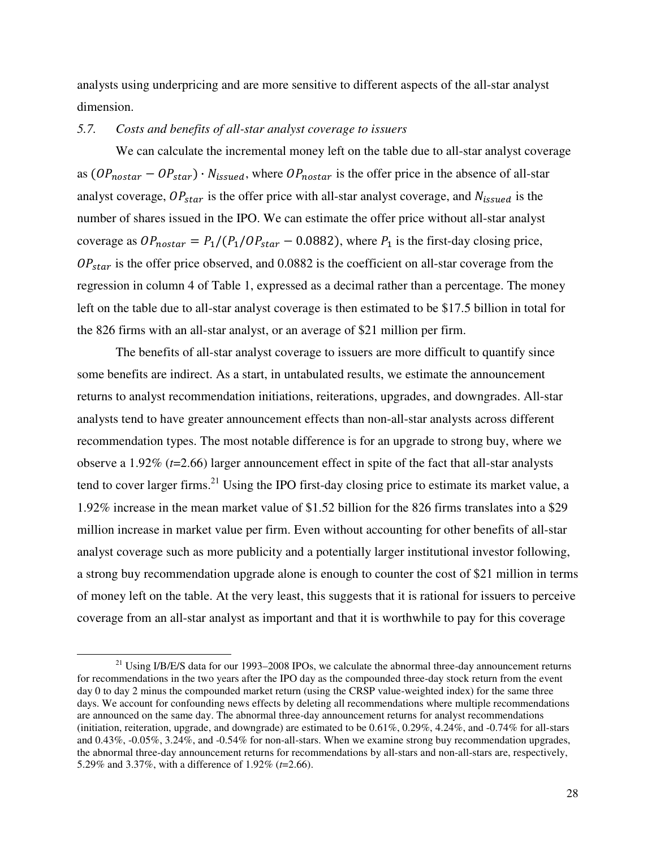analysts using underpricing and are more sensitive to different aspects of the all-star analyst dimension.

## *5.7. Costs and benefits of all-star analyst coverage to issuers*

We can calculate the incremental money left on the table due to all-star analyst coverage as  $OP_{nostar} - OP_{star} \cdot N_{issued}$ , where  $OP_{nostar}$  is the offer price in the absence of all-star analyst coverage,  $OP_{star}$  is the offer price with all-star analyst coverage, and  $N_{issued}$  is the number of shares issued in the IPO. We can estimate the offer price without all-star analyst coverage as  $OP_{nostar} = P_1/(P_1/OP_{star} - 0.0882)$ , where  $P_1$  is the first-day closing price,  $OP_{star}$  is the offer price observed, and 0.0882 is the coefficient on all-star coverage from the regression in column 4 of Table 1, expressed as a decimal rather than a percentage. The money left on the table due to all-star analyst coverage is then estimated to be \$17.5 billion in total for the 826 firms with an all-star analyst, or an average of \$21 million per firm.

The benefits of all-star analyst coverage to issuers are more difficult to quantify since some benefits are indirect. As a start, in untabulated results, we estimate the announcement returns to analyst recommendation initiations, reiterations, upgrades, and downgrades. All-star analysts tend to have greater announcement effects than non-all-star analysts across different recommendation types. The most notable difference is for an upgrade to strong buy, where we observe a 1.92% (*t*=2.66) larger announcement effect in spite of the fact that all-star analysts tend to cover larger firms.<sup>21</sup> Using the IPO first-day closing price to estimate its market value, a 1.92% increase in the mean market value of \$1.52 billion for the 826 firms translates into a \$29 million increase in market value per firm. Even without accounting for other benefits of all-star analyst coverage such as more publicity and a potentially larger institutional investor following, a strong buy recommendation upgrade alone is enough to counter the cost of \$21 million in terms of money left on the table. At the very least, this suggests that it is rational for issuers to perceive coverage from an all-star analyst as important and that it is worthwhile to pay for this coverage

 $\overline{a}$ 

 $^{21}$  Using I/B/E/S data for our 1993–2008 IPOs, we calculate the abnormal three-day announcement returns for recommendations in the two years after the IPO day as the compounded three-day stock return from the event day 0 to day 2 minus the compounded market return (using the CRSP value-weighted index) for the same three days. We account for confounding news effects by deleting all recommendations where multiple recommendations are announced on the same day. The abnormal three-day announcement returns for analyst recommendations (initiation, reiteration, upgrade, and downgrade) are estimated to be 0.61%, 0.29%, 4.24%, and -0.74% for all-stars and 0.43%, -0.05%, 3.24%, and -0.54% for non-all-stars. When we examine strong buy recommendation upgrades, the abnormal three-day announcement returns for recommendations by all-stars and non-all-stars are, respectively, 5.29% and 3.37%, with a difference of 1.92% (*t*=2.66).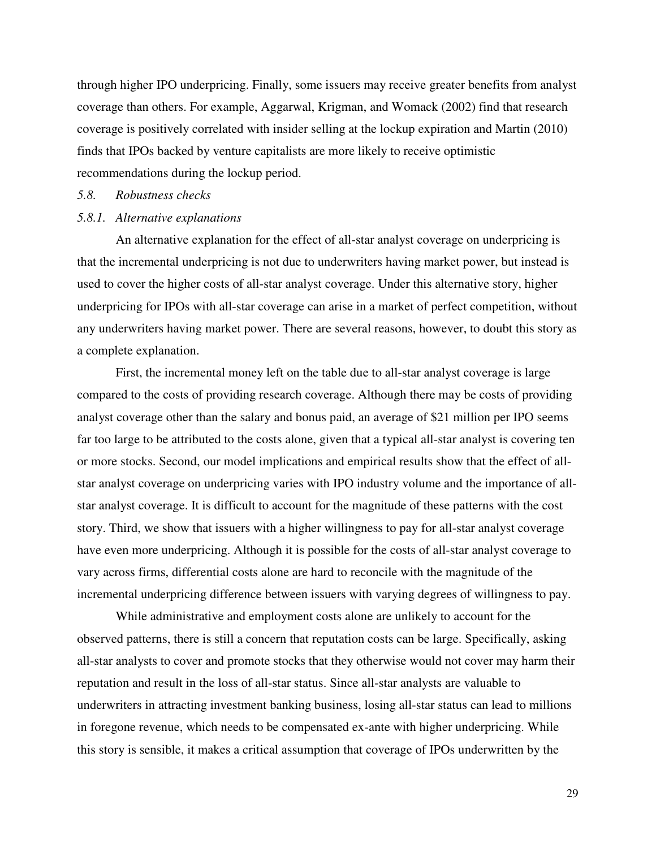through higher IPO underpricing. Finally, some issuers may receive greater benefits from analyst coverage than others. For example, Aggarwal, Krigman, and Womack (2002) find that research coverage is positively correlated with insider selling at the lockup expiration and Martin (2010) finds that IPOs backed by venture capitalists are more likely to receive optimistic recommendations during the lockup period.

#### *5.8. Robustness checks*

### *5.8.1. Alternative explanations*

An alternative explanation for the effect of all-star analyst coverage on underpricing is that the incremental underpricing is not due to underwriters having market power, but instead is used to cover the higher costs of all-star analyst coverage. Under this alternative story, higher underpricing for IPOs with all-star coverage can arise in a market of perfect competition, without any underwriters having market power. There are several reasons, however, to doubt this story as a complete explanation.

First, the incremental money left on the table due to all-star analyst coverage is large compared to the costs of providing research coverage. Although there may be costs of providing analyst coverage other than the salary and bonus paid, an average of \$21 million per IPO seems far too large to be attributed to the costs alone, given that a typical all-star analyst is covering ten or more stocks. Second, our model implications and empirical results show that the effect of allstar analyst coverage on underpricing varies with IPO industry volume and the importance of allstar analyst coverage. It is difficult to account for the magnitude of these patterns with the cost story. Third, we show that issuers with a higher willingness to pay for all-star analyst coverage have even more underpricing. Although it is possible for the costs of all-star analyst coverage to vary across firms, differential costs alone are hard to reconcile with the magnitude of the incremental underpricing difference between issuers with varying degrees of willingness to pay.

While administrative and employment costs alone are unlikely to account for the observed patterns, there is still a concern that reputation costs can be large. Specifically, asking all-star analysts to cover and promote stocks that they otherwise would not cover may harm their reputation and result in the loss of all-star status. Since all-star analysts are valuable to underwriters in attracting investment banking business, losing all-star status can lead to millions in foregone revenue, which needs to be compensated ex-ante with higher underpricing. While this story is sensible, it makes a critical assumption that coverage of IPOs underwritten by the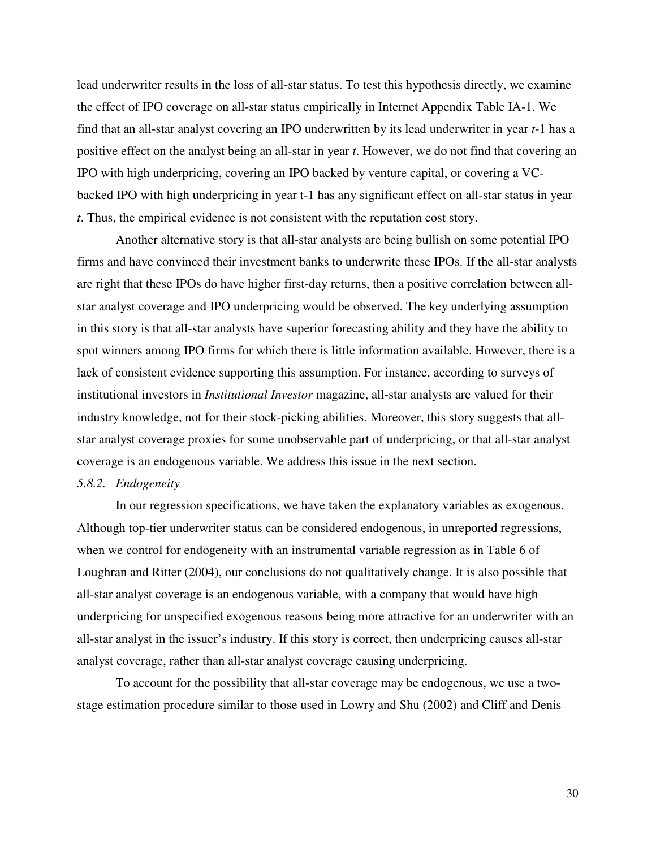lead underwriter results in the loss of all-star status. To test this hypothesis directly, we examine the effect of IPO coverage on all-star status empirically in Internet Appendix Table IA-1. We find that an all-star analyst covering an IPO underwritten by its lead underwriter in year *t*-1 has a positive effect on the analyst being an all-star in year *t*. However, we do not find that covering an IPO with high underpricing, covering an IPO backed by venture capital, or covering a VCbacked IPO with high underpricing in year t-1 has any significant effect on all-star status in year *t*. Thus, the empirical evidence is not consistent with the reputation cost story.

Another alternative story is that all-star analysts are being bullish on some potential IPO firms and have convinced their investment banks to underwrite these IPOs. If the all-star analysts are right that these IPOs do have higher first-day returns, then a positive correlation between allstar analyst coverage and IPO underpricing would be observed. The key underlying assumption in this story is that all-star analysts have superior forecasting ability and they have the ability to spot winners among IPO firms for which there is little information available. However, there is a lack of consistent evidence supporting this assumption. For instance, according to surveys of institutional investors in *Institutional Investor* magazine, all-star analysts are valued for their industry knowledge, not for their stock-picking abilities. Moreover, this story suggests that allstar analyst coverage proxies for some unobservable part of underpricing, or that all-star analyst coverage is an endogenous variable. We address this issue in the next section.

## *5.8.2. Endogeneity*

In our regression specifications, we have taken the explanatory variables as exogenous. Although top-tier underwriter status can be considered endogenous, in unreported regressions, when we control for endogeneity with an instrumental variable regression as in Table 6 of Loughran and Ritter (2004), our conclusions do not qualitatively change. It is also possible that all-star analyst coverage is an endogenous variable, with a company that would have high underpricing for unspecified exogenous reasons being more attractive for an underwriter with an all-star analyst in the issuer's industry. If this story is correct, then underpricing causes all-star analyst coverage, rather than all-star analyst coverage causing underpricing.

To account for the possibility that all-star coverage may be endogenous, we use a twostage estimation procedure similar to those used in Lowry and Shu (2002) and Cliff and Denis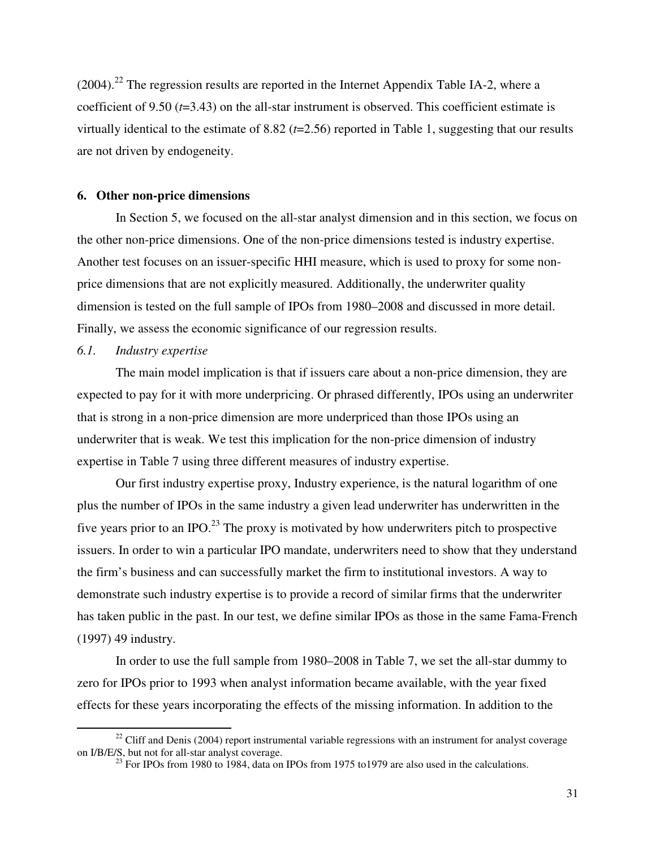$(2004).^{22}$  The regression results are reported in the Internet Appendix Table IA-2, where a coefficient of 9.50 (*t*=3.43) on the all-star instrument is observed. This coefficient estimate is virtually identical to the estimate of 8.82 (*t*=2.56) reported in Table 1, suggesting that our results are not driven by endogeneity.

#### **6. Other non-price dimensions**

In Section 5, we focused on the all-star analyst dimension and in this section, we focus on the other non-price dimensions. One of the non-price dimensions tested is industry expertise. Another test focuses on an issuer-specific HHI measure, which is used to proxy for some nonprice dimensions that are not explicitly measured. Additionally, the underwriter quality dimension is tested on the full sample of IPOs from 1980–2008 and discussed in more detail. Finally, we assess the economic significance of our regression results.

#### *6.1. Industry expertise*

 $\overline{a}$ 

The main model implication is that if issuers care about a non-price dimension, they are expected to pay for it with more underpricing. Or phrased differently, IPOs using an underwriter that is strong in a non-price dimension are more underpriced than those IPOs using an underwriter that is weak. We test this implication for the non-price dimension of industry expertise in Table 7 using three different measures of industry expertise.

Our first industry expertise proxy, Industry experience, is the natural logarithm of one plus the number of IPOs in the same industry a given lead underwriter has underwritten in the five years prior to an IPO.<sup>23</sup> The proxy is motivated by how underwriters pitch to prospective issuers. In order to win a particular IPO mandate, underwriters need to show that they understand the firm's business and can successfully market the firm to institutional investors. A way to demonstrate such industry expertise is to provide a record of similar firms that the underwriter has taken public in the past. In our test, we define similar IPOs as those in the same Fama-French (1997) 49 industry.

In order to use the full sample from 1980–2008 in Table 7, we set the all-star dummy to zero for IPOs prior to 1993 when analyst information became available, with the year fixed effects for these years incorporating the effects of the missing information. In addition to the

 $^{22}$  Cliff and Denis (2004) report instrumental variable regressions with an instrument for analyst coverage on I/B/E/S, but not for all-star analyst coverage.

 $^{23}$  For IPOs from 1980 to 1984, data on IPOs from 1975 to 1979 are also used in the calculations.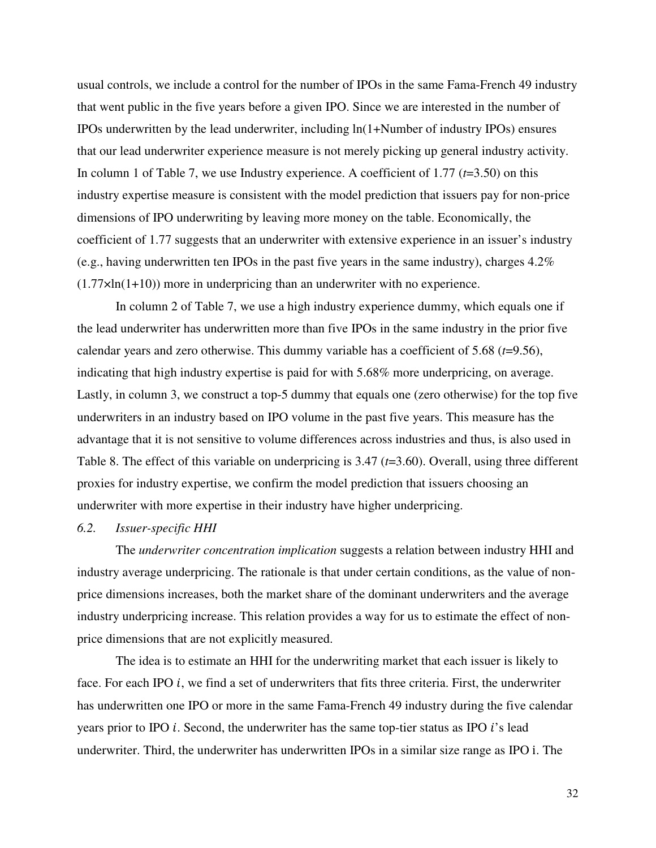usual controls, we include a control for the number of IPOs in the same Fama-French 49 industry that went public in the five years before a given IPO. Since we are interested in the number of IPOs underwritten by the lead underwriter, including ln(1+Number of industry IPOs) ensures that our lead underwriter experience measure is not merely picking up general industry activity. In column 1 of Table 7, we use Industry experience. A coefficient of 1.77 (*t*=3.50) on this industry expertise measure is consistent with the model prediction that issuers pay for non-price dimensions of IPO underwriting by leaving more money on the table. Economically, the coefficient of 1.77 suggests that an underwriter with extensive experience in an issuer's industry (e.g., having underwritten ten IPOs in the past five years in the same industry), charges 4.2%  $(1.77\times\ln(1+10))$  more in underpricing than an underwriter with no experience.

In column 2 of Table 7, we use a high industry experience dummy, which equals one if the lead underwriter has underwritten more than five IPOs in the same industry in the prior five calendar years and zero otherwise. This dummy variable has a coefficient of 5.68 (*t*=9.56), indicating that high industry expertise is paid for with 5.68% more underpricing, on average. Lastly, in column 3, we construct a top-5 dummy that equals one (zero otherwise) for the top five underwriters in an industry based on IPO volume in the past five years. This measure has the advantage that it is not sensitive to volume differences across industries and thus, is also used in Table 8. The effect of this variable on underpricing is 3.47 (*t*=3.60). Overall, using three different proxies for industry expertise, we confirm the model prediction that issuers choosing an underwriter with more expertise in their industry have higher underpricing.

#### *6.2. Issuer-specific HHI*

The *underwriter concentration implication* suggests a relation between industry HHI and industry average underpricing. The rationale is that under certain conditions, as the value of nonprice dimensions increases, both the market share of the dominant underwriters and the average industry underpricing increase. This relation provides a way for us to estimate the effect of nonprice dimensions that are not explicitly measured.

The idea is to estimate an HHI for the underwriting market that each issuer is likely to face. For each IPO  $i$ , we find a set of underwriters that fits three criteria. First, the underwriter has underwritten one IPO or more in the same Fama-French 49 industry during the five calendar years prior to IPO *i*. Second, the underwriter has the same top-tier status as IPO *i*'s lead underwriter. Third, the underwriter has underwritten IPOs in a similar size range as IPO i. The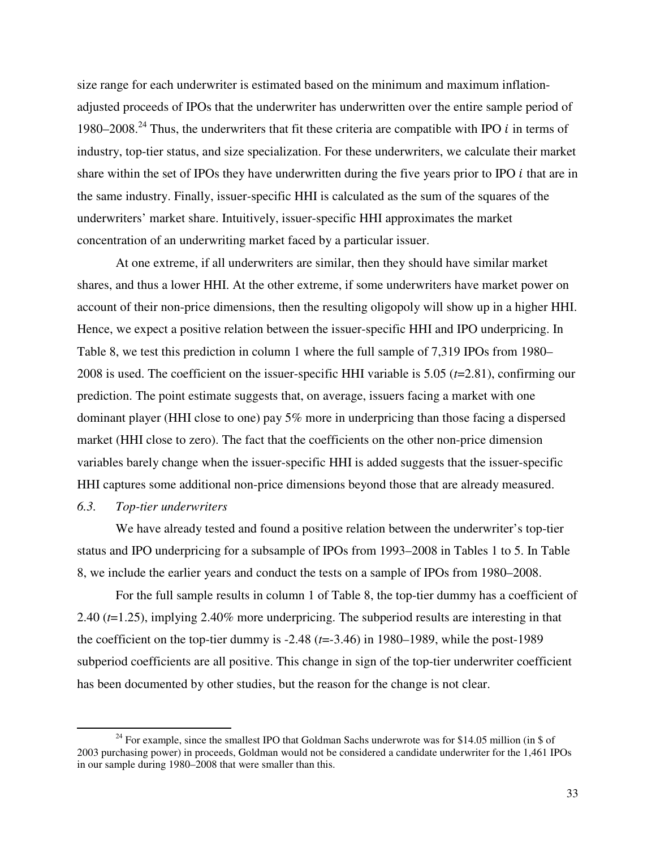size range for each underwriter is estimated based on the minimum and maximum inflationadjusted proceeds of IPOs that the underwriter has underwritten over the entire sample period of 1980–2008.<sup>24</sup> Thus, the underwriters that fit these criteria are compatible with IPO  $i$  in terms of industry, top-tier status, and size specialization. For these underwriters, we calculate their market share within the set of IPOs they have underwritten during the five years prior to IPO  $i$  that are in the same industry. Finally, issuer-specific HHI is calculated as the sum of the squares of the underwriters' market share. Intuitively, issuer-specific HHI approximates the market concentration of an underwriting market faced by a particular issuer.

At one extreme, if all underwriters are similar, then they should have similar market shares, and thus a lower HHI. At the other extreme, if some underwriters have market power on account of their non-price dimensions, then the resulting oligopoly will show up in a higher HHI. Hence, we expect a positive relation between the issuer-specific HHI and IPO underpricing. In Table 8, we test this prediction in column 1 where the full sample of 7,319 IPOs from 1980– 2008 is used. The coefficient on the issuer-specific HHI variable is 5.05 (*t*=2.81), confirming our prediction. The point estimate suggests that, on average, issuers facing a market with one dominant player (HHI close to one) pay 5% more in underpricing than those facing a dispersed market (HHI close to zero). The fact that the coefficients on the other non-price dimension variables barely change when the issuer-specific HHI is added suggests that the issuer-specific HHI captures some additional non-price dimensions beyond those that are already measured.

## *6.3. Top-tier underwriters*

 $\overline{a}$ 

We have already tested and found a positive relation between the underwriter's top-tier status and IPO underpricing for a subsample of IPOs from 1993–2008 in Tables 1 to 5. In Table 8, we include the earlier years and conduct the tests on a sample of IPOs from 1980–2008.

For the full sample results in column 1 of Table 8, the top-tier dummy has a coefficient of 2.40 (*t*=1.25), implying 2.40% more underpricing. The subperiod results are interesting in that the coefficient on the top-tier dummy is -2.48 (*t*=-3.46) in 1980–1989, while the post-1989 subperiod coefficients are all positive. This change in sign of the top-tier underwriter coefficient has been documented by other studies, but the reason for the change is not clear.

<sup>&</sup>lt;sup>24</sup> For example, since the smallest IPO that Goldman Sachs underwrote was for \$14.05 million (in \$ of 2003 purchasing power) in proceeds, Goldman would not be considered a candidate underwriter for the 1,461 IPOs in our sample during 1980–2008 that were smaller than this.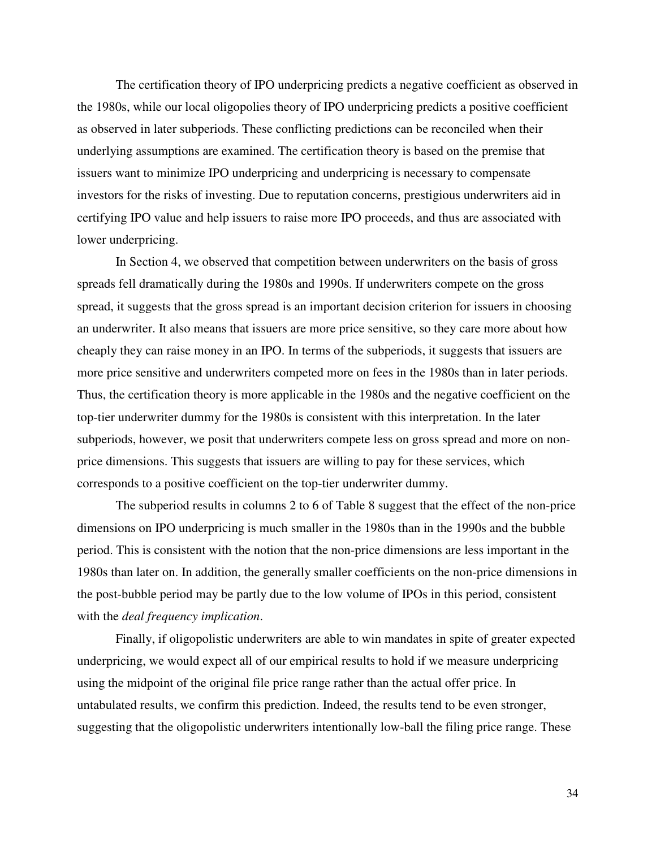The certification theory of IPO underpricing predicts a negative coefficient as observed in the 1980s, while our local oligopolies theory of IPO underpricing predicts a positive coefficient as observed in later subperiods. These conflicting predictions can be reconciled when their underlying assumptions are examined. The certification theory is based on the premise that issuers want to minimize IPO underpricing and underpricing is necessary to compensate investors for the risks of investing. Due to reputation concerns, prestigious underwriters aid in certifying IPO value and help issuers to raise more IPO proceeds, and thus are associated with lower underpricing.

In Section 4, we observed that competition between underwriters on the basis of gross spreads fell dramatically during the 1980s and 1990s. If underwriters compete on the gross spread, it suggests that the gross spread is an important decision criterion for issuers in choosing an underwriter. It also means that issuers are more price sensitive, so they care more about how cheaply they can raise money in an IPO. In terms of the subperiods, it suggests that issuers are more price sensitive and underwriters competed more on fees in the 1980s than in later periods. Thus, the certification theory is more applicable in the 1980s and the negative coefficient on the top-tier underwriter dummy for the 1980s is consistent with this interpretation. In the later subperiods, however, we posit that underwriters compete less on gross spread and more on nonprice dimensions. This suggests that issuers are willing to pay for these services, which corresponds to a positive coefficient on the top-tier underwriter dummy.

The subperiod results in columns 2 to 6 of Table 8 suggest that the effect of the non-price dimensions on IPO underpricing is much smaller in the 1980s than in the 1990s and the bubble period. This is consistent with the notion that the non-price dimensions are less important in the 1980s than later on. In addition, the generally smaller coefficients on the non-price dimensions in the post-bubble period may be partly due to the low volume of IPOs in this period, consistent with the *deal frequency implication*.

Finally, if oligopolistic underwriters are able to win mandates in spite of greater expected underpricing, we would expect all of our empirical results to hold if we measure underpricing using the midpoint of the original file price range rather than the actual offer price. In untabulated results, we confirm this prediction. Indeed, the results tend to be even stronger, suggesting that the oligopolistic underwriters intentionally low-ball the filing price range. These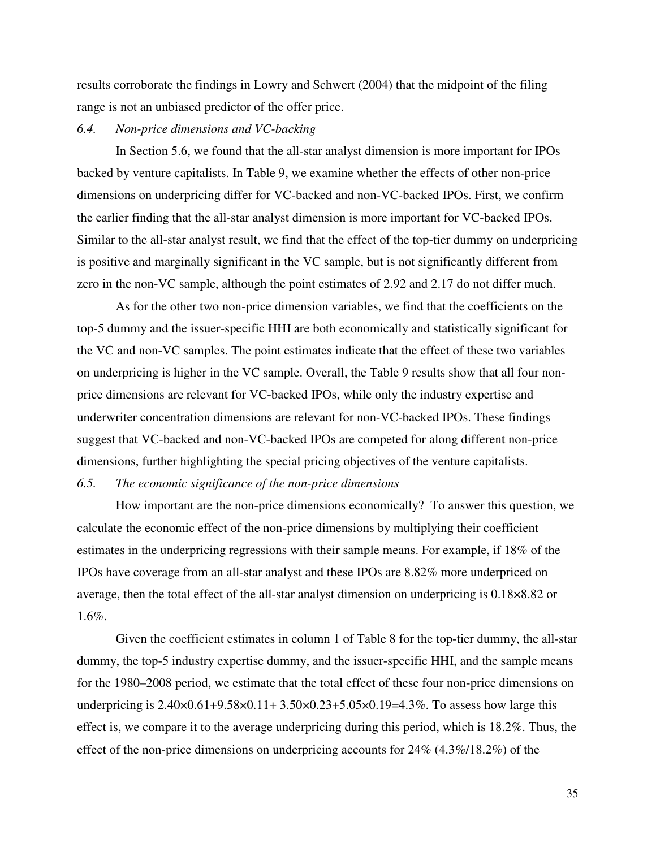results corroborate the findings in Lowry and Schwert (2004) that the midpoint of the filing range is not an unbiased predictor of the offer price.

#### *6.4. Non-price dimensions and VC-backing*

In Section 5.6, we found that the all-star analyst dimension is more important for IPOs backed by venture capitalists. In Table 9, we examine whether the effects of other non-price dimensions on underpricing differ for VC-backed and non-VC-backed IPOs. First, we confirm the earlier finding that the all-star analyst dimension is more important for VC-backed IPOs. Similar to the all-star analyst result, we find that the effect of the top-tier dummy on underpricing is positive and marginally significant in the VC sample, but is not significantly different from zero in the non-VC sample, although the point estimates of 2.92 and 2.17 do not differ much.

As for the other two non-price dimension variables, we find that the coefficients on the top-5 dummy and the issuer-specific HHI are both economically and statistically significant for the VC and non-VC samples. The point estimates indicate that the effect of these two variables on underpricing is higher in the VC sample. Overall, the Table 9 results show that all four nonprice dimensions are relevant for VC-backed IPOs, while only the industry expertise and underwriter concentration dimensions are relevant for non-VC-backed IPOs. These findings suggest that VC-backed and non-VC-backed IPOs are competed for along different non-price dimensions, further highlighting the special pricing objectives of the venture capitalists.

## *6.5. The economic significance of the non-price dimensions*

How important are the non-price dimensions economically? To answer this question, we calculate the economic effect of the non-price dimensions by multiplying their coefficient estimates in the underpricing regressions with their sample means. For example, if 18% of the IPOs have coverage from an all-star analyst and these IPOs are 8.82% more underpriced on average, then the total effect of the all-star analyst dimension on underpricing is 0.18×8.82 or 1.6%.

Given the coefficient estimates in column 1 of Table 8 for the top-tier dummy, the all-star dummy, the top-5 industry expertise dummy, and the issuer-specific HHI, and the sample means for the 1980–2008 period, we estimate that the total effect of these four non-price dimensions on underpricing is  $2.40 \times 0.61 + 9.58 \times 0.11 + 3.50 \times 0.23 + 5.05 \times 0.19 = 4.3\%$ . To assess how large this effect is, we compare it to the average underpricing during this period, which is 18.2%. Thus, the effect of the non-price dimensions on underpricing accounts for  $24\%$  (4.3\%/18.2\%) of the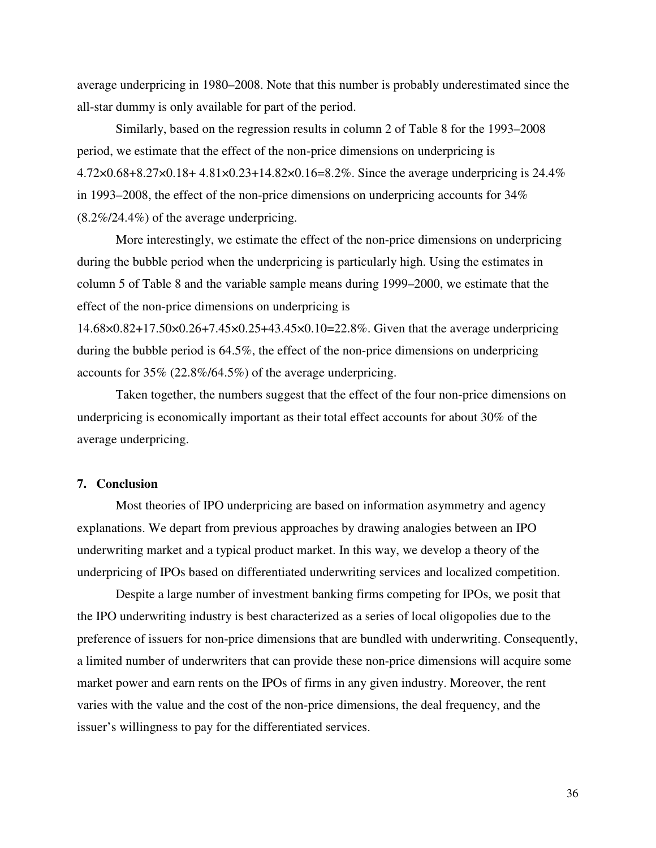average underpricing in 1980–2008. Note that this number is probably underestimated since the all-star dummy is only available for part of the period.

Similarly, based on the regression results in column 2 of Table 8 for the 1993–2008 period, we estimate that the effect of the non-price dimensions on underpricing is 4.72×0.68+8.27×0.18+ 4.81×0.23+14.82×0.16=8.2%. Since the average underpricing is 24.4% in 1993–2008, the effect of the non-price dimensions on underpricing accounts for 34% (8.2%/24.4%) of the average underpricing.

More interestingly, we estimate the effect of the non-price dimensions on underpricing during the bubble period when the underpricing is particularly high. Using the estimates in column 5 of Table 8 and the variable sample means during 1999–2000, we estimate that the effect of the non-price dimensions on underpricing is

14.68×0.82+17.50×0.26+7.45×0.25+43.45×0.10=22.8%. Given that the average underpricing during the bubble period is 64.5%, the effect of the non-price dimensions on underpricing accounts for 35% (22.8%/64.5%) of the average underpricing.

Taken together, the numbers suggest that the effect of the four non-price dimensions on underpricing is economically important as their total effect accounts for about 30% of the average underpricing.

#### **7. Conclusion**

Most theories of IPO underpricing are based on information asymmetry and agency explanations. We depart from previous approaches by drawing analogies between an IPO underwriting market and a typical product market. In this way, we develop a theory of the underpricing of IPOs based on differentiated underwriting services and localized competition.

Despite a large number of investment banking firms competing for IPOs, we posit that the IPO underwriting industry is best characterized as a series of local oligopolies due to the preference of issuers for non-price dimensions that are bundled with underwriting. Consequently, a limited number of underwriters that can provide these non-price dimensions will acquire some market power and earn rents on the IPOs of firms in any given industry. Moreover, the rent varies with the value and the cost of the non-price dimensions, the deal frequency, and the issuer's willingness to pay for the differentiated services.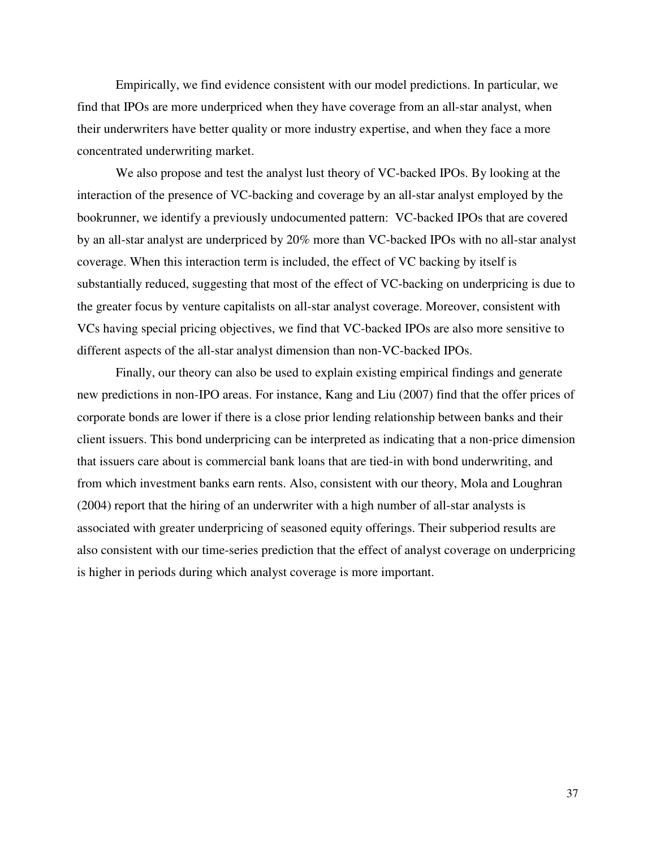Empirically, we find evidence consistent with our model predictions. In particular, we find that IPOs are more underpriced when they have coverage from an all-star analyst, when their underwriters have better quality or more industry expertise, and when they face a more concentrated underwriting market.

We also propose and test the analyst lust theory of VC-backed IPOs. By looking at the interaction of the presence of VC-backing and coverage by an all-star analyst employed by the bookrunner, we identify a previously undocumented pattern: VC-backed IPOs that are covered by an all-star analyst are underpriced by 20% more than VC-backed IPOs with no all-star analyst coverage. When this interaction term is included, the effect of VC backing by itself is substantially reduced, suggesting that most of the effect of VC-backing on underpricing is due to the greater focus by venture capitalists on all-star analyst coverage. Moreover, consistent with VCs having special pricing objectives, we find that VC-backed IPOs are also more sensitive to different aspects of the all-star analyst dimension than non-VC-backed IPOs.

Finally, our theory can also be used to explain existing empirical findings and generate new predictions in non-IPO areas. For instance, Kang and Liu (2007) find that the offer prices of corporate bonds are lower if there is a close prior lending relationship between banks and their client issuers. This bond underpricing can be interpreted as indicating that a non-price dimension that issuers care about is commercial bank loans that are tied-in with bond underwriting, and from which investment banks earn rents. Also, consistent with our theory, Mola and Loughran (2004) report that the hiring of an underwriter with a high number of all-star analysts is associated with greater underpricing of seasoned equity offerings. Their subperiod results are also consistent with our time-series prediction that the effect of analyst coverage on underpricing is higher in periods during which analyst coverage is more important.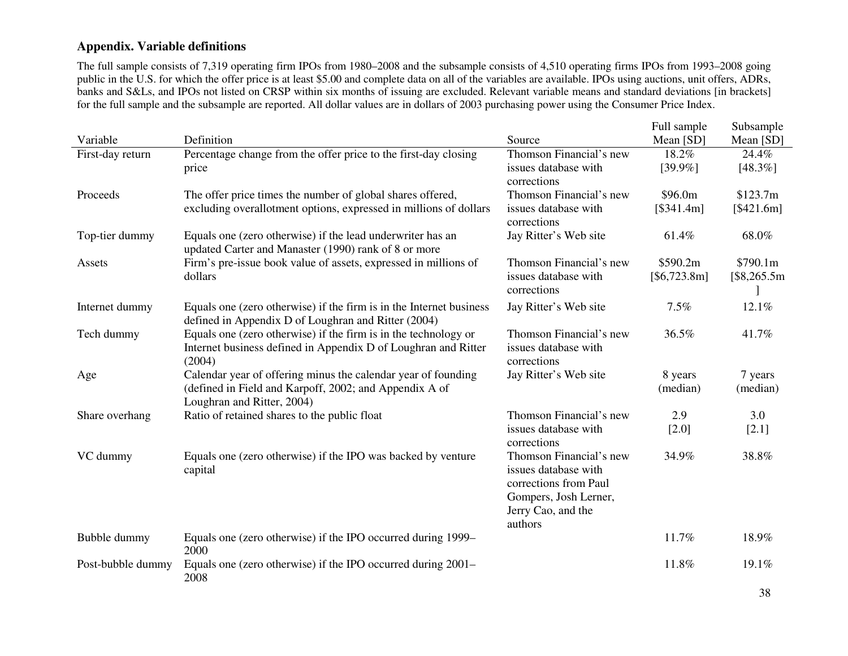## **Appendix. Variable definitions**

The full sample consists of 7,319 operating firm IPOs from 1980–2008 and the subsample consists of 4,510 operating firms IPOs from 1993–2008 going public in the U.S. for which the offer price is at least \$5.00 and complete data on all of the variables are available. IPOs using auctions, unit offers, ADRs, banks and S&Ls, and IPOs not listed on CRSP within six months of issuing are excluded. Relevant variable means and standard deviations [in brackets] for the full sample and the subsample are reported. All dollar values are in dollars of 2003 purchasing power using the Consumer Price Index.

|                   |                                                                                                                                                       |                                                                                                                                    | Full sample         | Subsample           |
|-------------------|-------------------------------------------------------------------------------------------------------------------------------------------------------|------------------------------------------------------------------------------------------------------------------------------------|---------------------|---------------------|
| Variable          | Definition                                                                                                                                            | Source                                                                                                                             | Mean [SD]           | Mean [SD]           |
| First-day return  | Percentage change from the offer price to the first-day closing                                                                                       | Thomson Financial's new                                                                                                            | 18.2%               | 24.4%               |
|                   | price                                                                                                                                                 | issues database with<br>corrections                                                                                                | $[39.9\%]$          | $[48.3\%]$          |
| Proceeds          | The offer price times the number of global shares offered,                                                                                            | Thomson Financial's new                                                                                                            | \$96.0m             | \$123.7m            |
|                   | excluding overallotment options, expressed in millions of dollars                                                                                     | issues database with<br>corrections                                                                                                | [\$341.4m]          | [\$421.6m]          |
| Top-tier dummy    | Equals one (zero otherwise) if the lead underwriter has an<br>updated Carter and Manaster (1990) rank of 8 or more                                    | Jay Ritter's Web site                                                                                                              | 61.4%               | 68.0%               |
| Assets            | Firm's pre-issue book value of assets, expressed in millions of                                                                                       | Thomson Financial's new                                                                                                            | \$590.2m            | \$790.1m            |
|                   | dollars                                                                                                                                               | issues database with<br>corrections                                                                                                | [\$6,723.8m]        | [\$8,265.5m         |
| Internet dummy    | Equals one (zero otherwise) if the firm is in the Internet business<br>defined in Appendix D of Loughran and Ritter (2004)                            | Jay Ritter's Web site                                                                                                              | 7.5%                | 12.1%               |
| Tech dummy        | Equals one (zero otherwise) if the firm is in the technology or<br>Internet business defined in Appendix D of Loughran and Ritter<br>(2004)           | Thomson Financial's new<br>issues database with<br>corrections                                                                     | 36.5%               | 41.7%               |
| Age               | Calendar year of offering minus the calendar year of founding<br>(defined in Field and Karpoff, 2002; and Appendix A of<br>Loughran and Ritter, 2004) | Jay Ritter's Web site                                                                                                              | 8 years<br>(median) | 7 years<br>(median) |
| Share overhang    | Ratio of retained shares to the public float                                                                                                          | Thomson Financial's new                                                                                                            | 2.9                 | 3.0                 |
|                   |                                                                                                                                                       | issues database with<br>corrections                                                                                                | $[2.0]$             | $[2.1]$             |
| VC dummy          | Equals one (zero otherwise) if the IPO was backed by venture<br>capital                                                                               | Thomson Financial's new<br>issues database with<br>corrections from Paul<br>Gompers, Josh Lerner,<br>Jerry Cao, and the<br>authors | 34.9%               | 38.8%               |
| Bubble dummy      | Equals one (zero otherwise) if the IPO occurred during 1999–<br>2000                                                                                  |                                                                                                                                    | 11.7%               | 18.9%               |
| Post-bubble dummy | Equals one (zero otherwise) if the IPO occurred during 2001–<br>2008                                                                                  |                                                                                                                                    | 11.8%               | 19.1%               |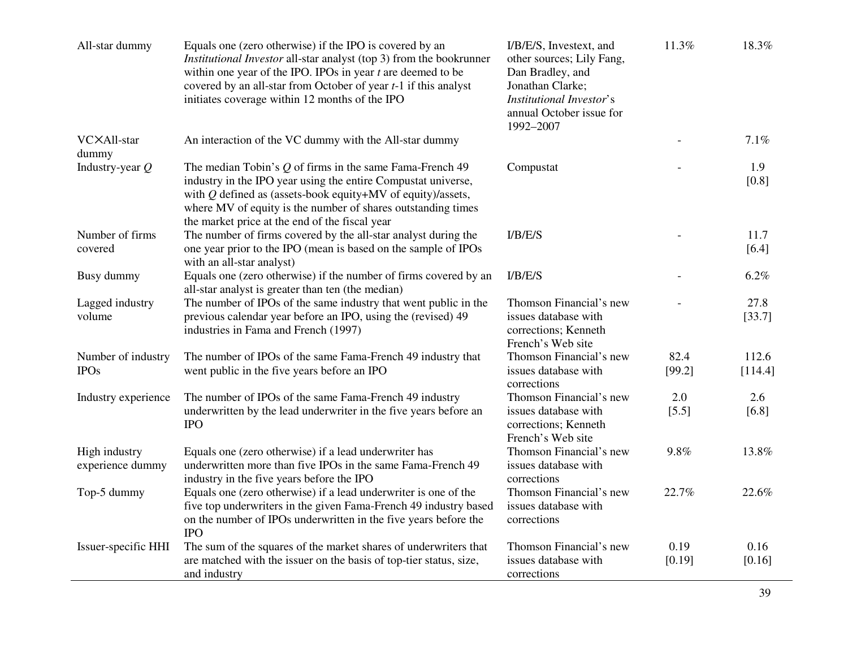| All-star dummy                    | Equals one (zero otherwise) if the IPO is covered by an<br><i>Institutional Investor</i> all-star analyst (top 3) from the bookrunner<br>within one year of the IPO. IPOs in year $t$ are deemed to be<br>covered by an all-star from October of year t-1 if this analyst<br>initiates coverage within 12 months of the IPO | I/B/E/S, Investext, and<br>other sources; Lily Fang,<br>Dan Bradley, and<br>Jonathan Clarke;<br><b>Institutional Investor's</b><br>annual October issue for<br>1992-2007 | 11.3%          | 18.3%            |
|-----------------------------------|-----------------------------------------------------------------------------------------------------------------------------------------------------------------------------------------------------------------------------------------------------------------------------------------------------------------------------|--------------------------------------------------------------------------------------------------------------------------------------------------------------------------|----------------|------------------|
| VCXAll-star<br>dummy              | An interaction of the VC dummy with the All-star dummy                                                                                                                                                                                                                                                                      |                                                                                                                                                                          |                | 7.1%             |
| Industry-year $Q$                 | The median Tobin's $Q$ of firms in the same Fama-French 49<br>industry in the IPO year using the entire Compustat universe,<br>with $Q$ defined as (assets-book equity+MV of equity)/assets,<br>where MV of equity is the number of shares outstanding times<br>the market price at the end of the fiscal year              | Compustat                                                                                                                                                                |                | 1.9<br>$[0.8]$   |
| Number of firms<br>covered        | The number of firms covered by the all-star analyst during the<br>one year prior to the IPO (mean is based on the sample of IPOs<br>with an all-star analyst)                                                                                                                                                               | I/B/E/S                                                                                                                                                                  |                | 11.7<br>[6.4]    |
| Busy dummy                        | Equals one (zero otherwise) if the number of firms covered by an<br>all-star analyst is greater than ten (the median)                                                                                                                                                                                                       | I/B/E/S                                                                                                                                                                  |                | 6.2%             |
| Lagged industry<br>volume         | The number of IPOs of the same industry that went public in the<br>previous calendar year before an IPO, using the (revised) 49<br>industries in Fama and French (1997)                                                                                                                                                     | Thomson Financial's new<br>issues database with<br>corrections; Kenneth<br>French's Web site                                                                             |                | 27.8<br>[33.7]   |
| Number of industry<br><b>IPOs</b> | The number of IPOs of the same Fama-French 49 industry that<br>went public in the five years before an IPO                                                                                                                                                                                                                  | Thomson Financial's new<br>issues database with<br>corrections                                                                                                           | 82.4<br>[99.2] | 112.6<br>[114.4] |
| Industry experience               | The number of IPOs of the same Fama-French 49 industry<br>underwritten by the lead underwriter in the five years before an<br><b>IPO</b>                                                                                                                                                                                    | Thomson Financial's new<br>issues database with<br>corrections; Kenneth<br>French's Web site                                                                             | 2.0<br>$[5.5]$ | 2.6<br>$[6.8]$   |
| High industry<br>experience dummy | Equals one (zero otherwise) if a lead underwriter has<br>underwritten more than five IPOs in the same Fama-French 49<br>industry in the five years before the IPO                                                                                                                                                           | Thomson Financial's new<br>issues database with<br>corrections                                                                                                           | 9.8%           | 13.8%            |
| Top-5 dummy                       | Equals one (zero otherwise) if a lead underwriter is one of the<br>five top underwriters in the given Fama-French 49 industry based<br>on the number of IPOs underwritten in the five years before the<br><b>IPO</b>                                                                                                        | Thomson Financial's new<br>issues database with<br>corrections                                                                                                           | 22.7%          | 22.6%            |
| Issuer-specific HHI               | The sum of the squares of the market shares of underwriters that<br>are matched with the issuer on the basis of top-tier status, size,<br>and industry                                                                                                                                                                      | Thomson Financial's new<br>issues database with<br>corrections                                                                                                           | 0.19<br>[0.19] | 0.16<br>[0.16]   |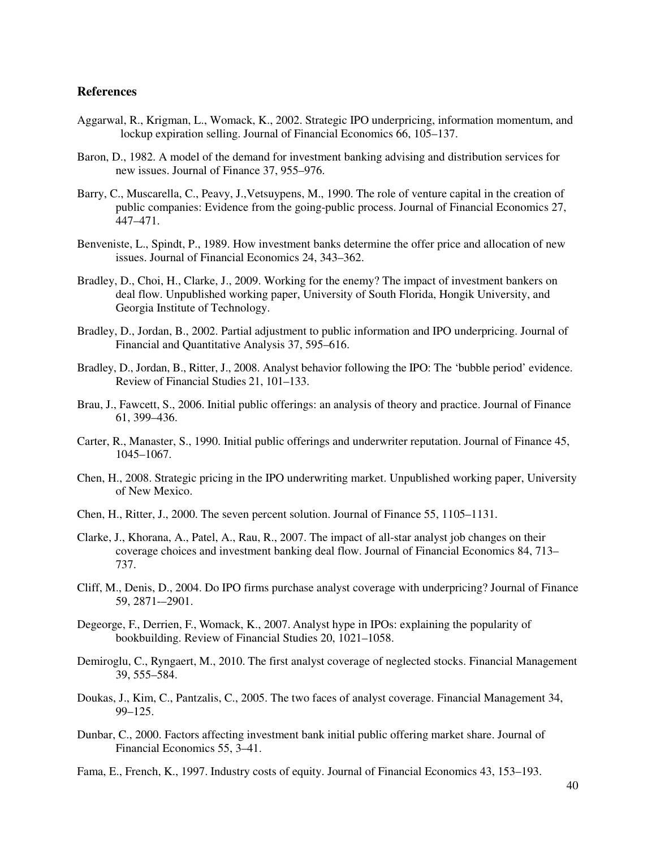#### **References**

- Aggarwal, R., Krigman, L., Womack, K., 2002. Strategic IPO underpricing, information momentum, and lockup expiration selling. Journal of Financial Economics 66, 105–137.
- Baron, D., 1982. A model of the demand for investment banking advising and distribution services for new issues. Journal of Finance 37, 955–976.
- Barry, C., Muscarella, C., Peavy, J.,Vetsuypens, M., 1990. The role of venture capital in the creation of public companies: Evidence from the going-public process. Journal of Financial Economics 27, 447–471.
- Benveniste, L., Spindt, P., 1989. How investment banks determine the offer price and allocation of new issues. Journal of Financial Economics 24, 343–362.
- Bradley, D., Choi, H., Clarke, J., 2009. Working for the enemy? The impact of investment bankers on deal flow. Unpublished working paper, University of South Florida, Hongik University, and Georgia Institute of Technology.
- Bradley, D., Jordan, B., 2002. Partial adjustment to public information and IPO underpricing. Journal of Financial and Quantitative Analysis 37, 595–616.
- Bradley, D., Jordan, B., Ritter, J., 2008. Analyst behavior following the IPO: The 'bubble period' evidence. Review of Financial Studies 21, 101–133.
- Brau, J., Fawcett, S., 2006. Initial public offerings: an analysis of theory and practice. Journal of Finance 61, 399–436.
- Carter, R., Manaster, S., 1990. Initial public offerings and underwriter reputation. Journal of Finance 45, 1045–1067.
- Chen, H., 2008. Strategic pricing in the IPO underwriting market. Unpublished working paper, University of New Mexico.
- Chen, H., Ritter, J., 2000. The seven percent solution. Journal of Finance 55, 1105–1131.
- Clarke, J., Khorana, A., Patel, A., Rau, R., 2007. The impact of all-star analyst job changes on their coverage choices and investment banking deal flow. Journal of Financial Economics 84, 713– 737.
- Cliff, M., Denis, D., 2004. Do IPO firms purchase analyst coverage with underpricing? Journal of Finance 59, 2871-–2901.
- Degeorge, F., Derrien, F., Womack, K., 2007. Analyst hype in IPOs: explaining the popularity of bookbuilding. Review of Financial Studies 20, 1021–1058.
- Demiroglu, C., Ryngaert, M., 2010. The first analyst coverage of neglected stocks. Financial Management 39, 555–584.
- Doukas, J., Kim, C., Pantzalis, C., 2005. The two faces of analyst coverage. Financial Management 34, 99–125.
- Dunbar, C., 2000. Factors affecting investment bank initial public offering market share. Journal of Financial Economics 55, 3–41.

Fama, E., French, K., 1997. Industry costs of equity. Journal of Financial Economics 43, 153–193.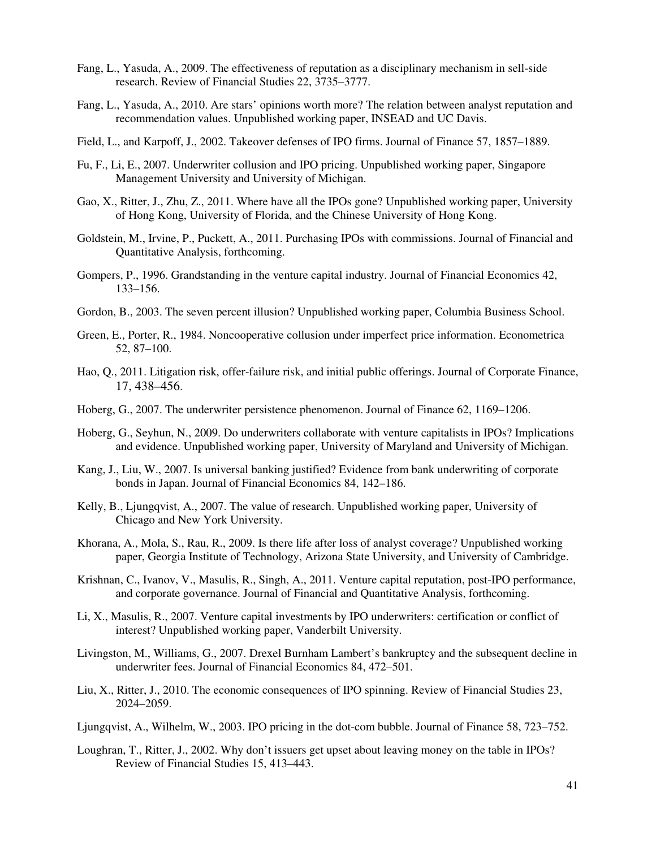- Fang, L., Yasuda, A., 2009. The effectiveness of reputation as a disciplinary mechanism in sell-side research. Review of Financial Studies 22, 3735–3777.
- Fang, L., Yasuda, A., 2010. Are stars' opinions worth more? The relation between analyst reputation and recommendation values. Unpublished working paper, INSEAD and UC Davis.
- Field, L., and Karpoff, J., 2002. Takeover defenses of IPO firms. Journal of Finance 57, 1857–1889.
- Fu, F., Li, E., 2007. Underwriter collusion and IPO pricing. Unpublished working paper, Singapore Management University and University of Michigan.
- Gao, X., Ritter, J., Zhu, Z., 2011. Where have all the IPOs gone? Unpublished working paper, University of Hong Kong, University of Florida, and the Chinese University of Hong Kong.
- Goldstein, M., Irvine, P., Puckett, A., 2011. Purchasing IPOs with commissions. Journal of Financial and Quantitative Analysis, forthcoming.
- Gompers, P., 1996. Grandstanding in the venture capital industry. Journal of Financial Economics 42, 133–156.
- Gordon, B., 2003. The seven percent illusion? Unpublished working paper, Columbia Business School.
- Green, E., Porter, R., 1984. Noncooperative collusion under imperfect price information. Econometrica 52, 87–100.
- Hao, Q., 2011. Litigation risk, offer-failure risk, and initial public offerings. Journal of Corporate Finance, 17, 438–456.
- Hoberg, G., 2007. The underwriter persistence phenomenon. Journal of Finance 62, 1169–1206.
- Hoberg, G., Seyhun, N., 2009. Do underwriters collaborate with venture capitalists in IPOs? Implications and evidence. Unpublished working paper, University of Maryland and University of Michigan.
- Kang, J., Liu, W., 2007. Is universal banking justified? Evidence from bank underwriting of corporate bonds in Japan. Journal of Financial Economics 84, 142–186.
- Kelly, B., Ljungqvist, A., 2007. The value of research. Unpublished working paper, University of Chicago and New York University.
- Khorana, A., Mola, S., Rau, R., 2009. Is there life after loss of analyst coverage? Unpublished working paper, Georgia Institute of Technology, Arizona State University, and University of Cambridge.
- Krishnan, C., Ivanov, V., Masulis, R., Singh, A., 2011. Venture capital reputation, post-IPO performance, and corporate governance. Journal of Financial and Quantitative Analysis, forthcoming.
- Li, X., Masulis, R., 2007. Venture capital investments by IPO underwriters: certification or conflict of interest? Unpublished working paper, Vanderbilt University.
- Livingston, M., Williams, G., 2007. Drexel Burnham Lambert's bankruptcy and the subsequent decline in underwriter fees. Journal of Financial Economics 84, 472–501.
- Liu, X., Ritter, J., 2010. The economic consequences of IPO spinning. Review of Financial Studies 23, 2024–2059.
- Ljungqvist, A., Wilhelm, W., 2003. IPO pricing in the dot-com bubble. Journal of Finance 58, 723–752.
- Loughran, T., Ritter, J., 2002. Why don't issuers get upset about leaving money on the table in IPOs? Review of Financial Studies 15, 413–443.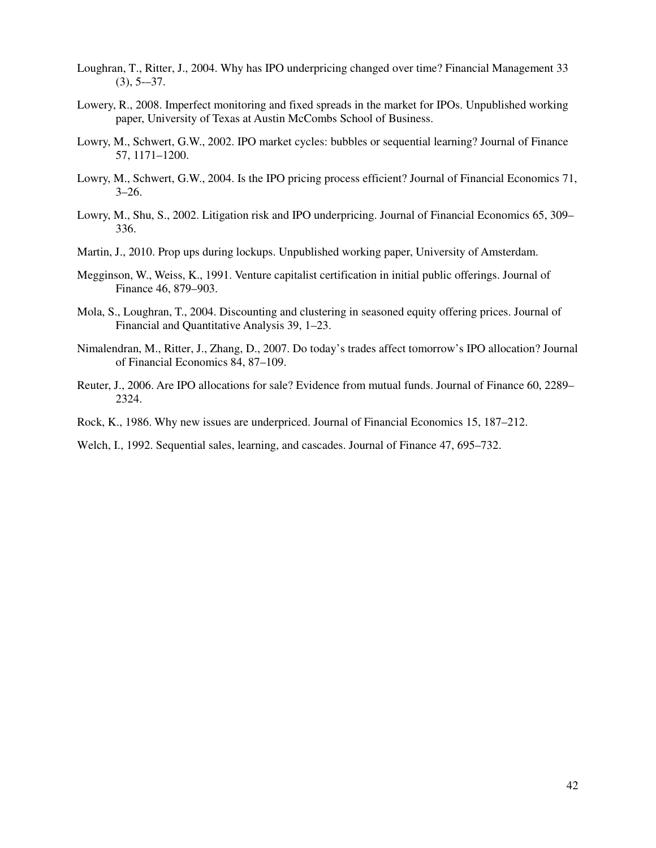- Loughran, T., Ritter, J., 2004. Why has IPO underpricing changed over time? Financial Management 33  $(3), 5-37.$
- Lowery, R., 2008. Imperfect monitoring and fixed spreads in the market for IPOs. Unpublished working paper, University of Texas at Austin McCombs School of Business.
- Lowry, M., Schwert, G.W., 2002. IPO market cycles: bubbles or sequential learning? Journal of Finance 57, 1171–1200.
- Lowry, M., Schwert, G.W., 2004. Is the IPO pricing process efficient? Journal of Financial Economics 71,  $3 - 26.$
- Lowry, M., Shu, S., 2002. Litigation risk and IPO underpricing. Journal of Financial Economics 65, 309– 336.
- Martin, J., 2010. Prop ups during lockups. Unpublished working paper, University of Amsterdam.
- Megginson, W., Weiss, K., 1991. Venture capitalist certification in initial public offerings. Journal of Finance 46, 879–903.
- Mola, S., Loughran, T., 2004. Discounting and clustering in seasoned equity offering prices. Journal of Financial and Quantitative Analysis 39, 1–23.
- Nimalendran, M., Ritter, J., Zhang, D., 2007. Do today's trades affect tomorrow's IPO allocation? Journal of Financial Economics 84, 87–109.
- Reuter, J., 2006. Are IPO allocations for sale? Evidence from mutual funds. Journal of Finance 60, 2289– 2324.
- Rock, K., 1986. Why new issues are underpriced. Journal of Financial Economics 15, 187–212.
- Welch, I., 1992. Sequential sales, learning, and cascades. Journal of Finance 47, 695–732.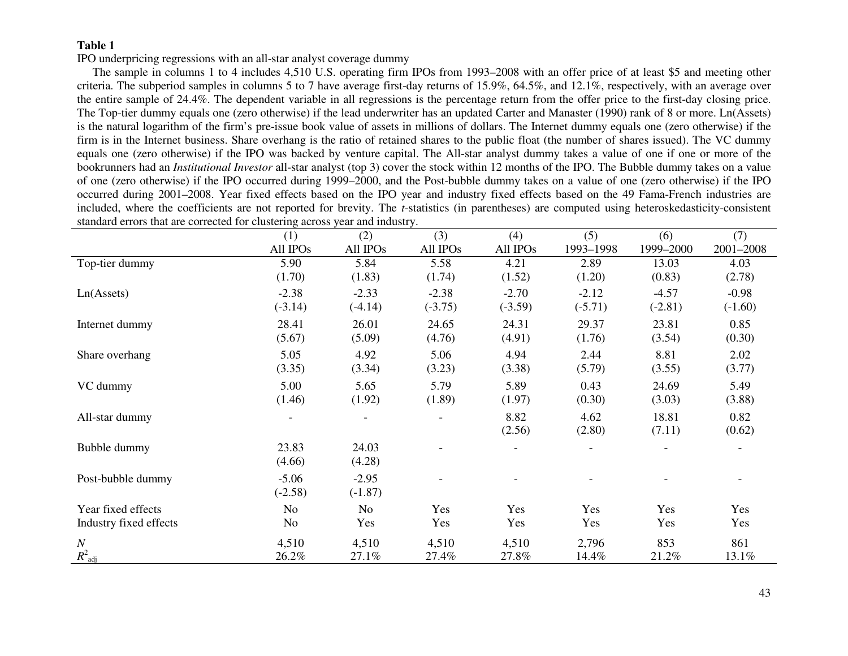IPO underpricing regressions with an all-star analyst coverage dummy

 The sample in columns 1 to 4 includes 4,510 U.S. operating firm IPOs from 1993–2008 with an offer price of at least \$5 and meeting other criteria. The subperiod samples in columns 5 to 7 have average first-day returns of 15.9%, 64.5%, and 12.1%, respectively, with an average over the entire sample of 24.4%. The dependent variable in all regressions is the percentage return from the offer price to the first-day closing price. The Top-tier dummy equals one (zero otherwise) if the lead underwriter has an updated Carter and Manaster (1990) rank of 8 or more. Ln(Assets) is the natural logarithm of the firm's pre-issue book value of assets in millions of dollars. The Internet dummy equals one (zero otherwise) if the firm is in the Internet business. Share overhang is the ratio of retained shares to the public float (the number of shares issued). The VC dummy equals one (zero otherwise) if the IPO was backed by venture capital. The All-star analyst dummy takes a value of one if one or more of the bookrunners had an *Institutional Investor* all-star analyst (top 3) cover the stock within 12 months of the IPO. The Bubble dummy takes on a value of one (zero otherwise) if the IPO occurred during 1999–2000, and the Post-bubble dummy takes on a value of one (zero otherwise) if the IPO occurred during 2001–2008. Year fixed effects based on the IPO year and industry fixed effects based on the 49 Fama-French industries are included, where the coefficients are not reported for brevity. The *t*-statistics (in parentheses) are computed using heteroskedasticity-consistent standard errors that are corrected for clustering across year and industry.

|                        | (1)                      | (2)                      | (3)                      | (4)       | (5)       | (6)       | (7)       |
|------------------------|--------------------------|--------------------------|--------------------------|-----------|-----------|-----------|-----------|
|                        | All IPOs                 | All IPOs                 | All IPOs                 | All IPOs  | 1993-1998 | 1999-2000 | 2001-2008 |
| Top-tier dummy         | 5.90                     | 5.84                     | 5.58                     | 4.21      | 2.89      | 13.03     | 4.03      |
|                        | (1.70)                   | (1.83)                   | (1.74)                   | (1.52)    | (1.20)    | (0.83)    | (2.78)    |
| Ln(A <sub>s</sub> )    | $-2.38$                  | $-2.33$                  | $-2.38$                  | $-2.70$   | $-2.12$   | $-4.57$   | $-0.98$   |
|                        | $(-3.14)$                | $(-4.14)$                | $(-3.75)$                | $(-3.59)$ | $(-5.71)$ | $(-2.81)$ | $(-1.60)$ |
| Internet dummy         | 28.41                    | 26.01                    | 24.65                    | 24.31     | 29.37     | 23.81     | 0.85      |
|                        | (5.67)                   | (5.09)                   | (4.76)                   | (4.91)    | (1.76)    | (3.54)    | (0.30)    |
| Share overhang         | 5.05                     | 4.92                     | 5.06                     | 4.94      | 2.44      | 8.81      | 2.02      |
|                        | (3.35)                   | (3.34)                   | (3.23)                   | (3.38)    | (5.79)    | (3.55)    | (3.77)    |
| VC dummy               | 5.00                     | 5.65                     | 5.79                     | 5.89      | 0.43      | 24.69     | 5.49      |
|                        | (1.46)                   | (1.92)                   | (1.89)                   | (1.97)    | (0.30)    | (3.03)    | (3.88)    |
| All-star dummy         | $\overline{\phantom{0}}$ | $\overline{\phantom{a}}$ | $\overline{\phantom{a}}$ | 8.82      | 4.62      | 18.81     | 0.82      |
|                        |                          |                          |                          | (2.56)    | (2.80)    | (7.11)    | (0.62)    |
| Bubble dummy           | 23.83                    | 24.03                    |                          |           |           |           |           |
|                        | (4.66)                   | (4.28)                   |                          |           |           |           |           |
| Post-bubble dummy      | $-5.06$                  | $-2.95$                  |                          |           |           |           |           |
|                        | $(-2.58)$                | $(-1.87)$                |                          |           |           |           |           |
| Year fixed effects     | N <sub>o</sub>           | N <sub>o</sub>           | Yes                      | Yes       | Yes       | Yes       | Yes       |
| Industry fixed effects | No                       | Yes                      | Yes                      | Yes       | Yes       | Yes       | Yes       |
| $\cal N$               | 4,510                    | 4,510                    | 4,510                    | 4,510     | 2,796     | 853       | 861       |
| $R^2_{\text{adj}}$     | 26.2%                    | 27.1%                    | 27.4%                    | 27.8%     | 14.4%     | 21.2%     | 13.1%     |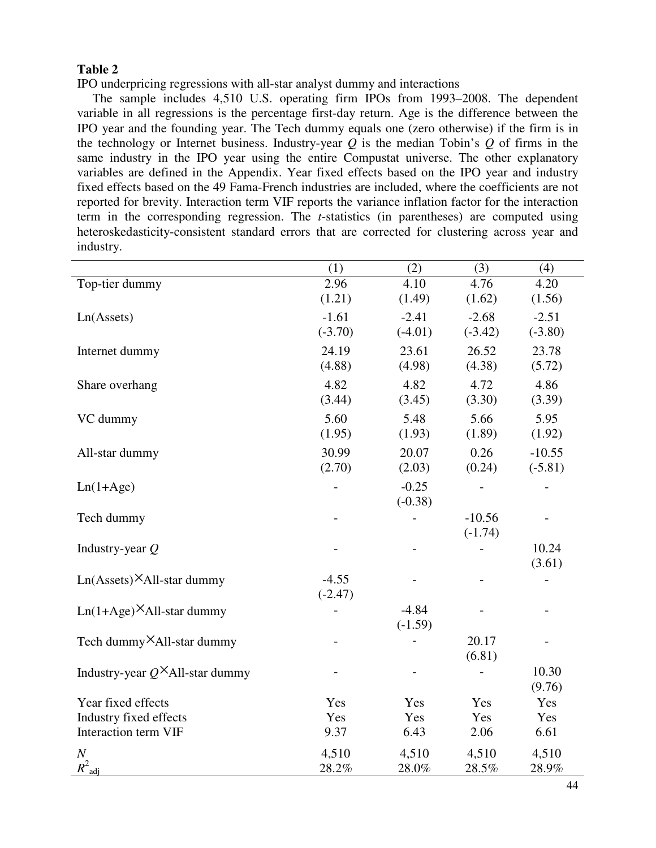IPO underpricing regressions with all-star analyst dummy and interactions

The sample includes 4,510 U.S. operating firm IPOs from 1993–2008. The dependent variable in all regressions is the percentage first-day return. Age is the difference between the IPO year and the founding year. The Tech dummy equals one (zero otherwise) if the firm is in the technology or Internet business. Industry-year *Q* is the median Tobin's *Q* of firms in the same industry in the IPO year using the entire Compustat universe. The other explanatory variables are defined in the Appendix. Year fixed effects based on the IPO year and industry fixed effects based on the 49 Fama-French industries are included, where the coefficients are not reported for brevity. Interaction term VIF reports the variance inflation factor for the interaction term in the corresponding regression. The *t*-statistics (in parentheses) are computed using heteroskedasticity-consistent standard errors that are corrected for clustering across year and industry.

|                                           | (1)       | (2)       | (3)       | (4)       |
|-------------------------------------------|-----------|-----------|-----------|-----------|
| Top-tier dummy                            | 2.96      | 4.10      | 4.76      | 4.20      |
|                                           | (1.21)    | (1.49)    | (1.62)    | (1.56)    |
| Ln(Assets)                                | $-1.61$   | $-2.41$   | $-2.68$   | $-2.51$   |
|                                           | $(-3.70)$ | $(-4.01)$ | $(-3.42)$ | $(-3.80)$ |
| Internet dummy                            | 24.19     | 23.61     | 26.52     | 23.78     |
|                                           | (4.88)    | (4.98)    | (4.38)    | (5.72)    |
| Share overhang                            | 4.82      | 4.82      | 4.72      | 4.86      |
|                                           | (3.44)    | (3.45)    | (3.30)    | (3.39)    |
| VC dummy                                  | 5.60      | 5.48      | 5.66      | 5.95      |
|                                           | (1.95)    | (1.93)    | (1.89)    | (1.92)    |
| All-star dummy                            | 30.99     | 20.07     | 0.26      | $-10.55$  |
|                                           | (2.70)    | (2.03)    | (0.24)    | $(-5.81)$ |
| $Ln(1+Age)$                               |           | $-0.25$   |           |           |
|                                           |           | $(-0.38)$ |           |           |
| Tech dummy                                |           |           | $-10.56$  |           |
|                                           |           |           | $(-1.74)$ |           |
| Industry-year $Q$                         |           |           |           | 10.24     |
|                                           |           |           |           | (3.61)    |
| $Ln(Assets)$ <sup>×</sup> All-star dummy  | $-4.55$   |           |           |           |
|                                           | $(-2.47)$ |           |           |           |
| $Ln(1+Age)$ ×All-star dummy               |           | $-4.84$   |           |           |
|                                           |           | $(-1.59)$ |           |           |
| Tech dummy XAII-star dummy                |           |           | 20.17     |           |
|                                           |           |           | (6.81)    |           |
| Industry-year $Q^{\times}$ All-star dummy |           |           |           | 10.30     |
|                                           |           |           |           | (9.76)    |
| Year fixed effects                        | Yes       | Yes       | Yes       | Yes       |
| Industry fixed effects                    | Yes       | Yes       | Yes       | Yes       |
| Interaction term VIF                      | 9.37      | 6.43      | 2.06      | 6.61      |
| $\boldsymbol{N}$                          | 4,510     | 4,510     | 4,510     | 4,510     |
| $R^2_{\text{adj}}$                        | 28.2%     | 28.0%     | 28.5%     | 28.9%     |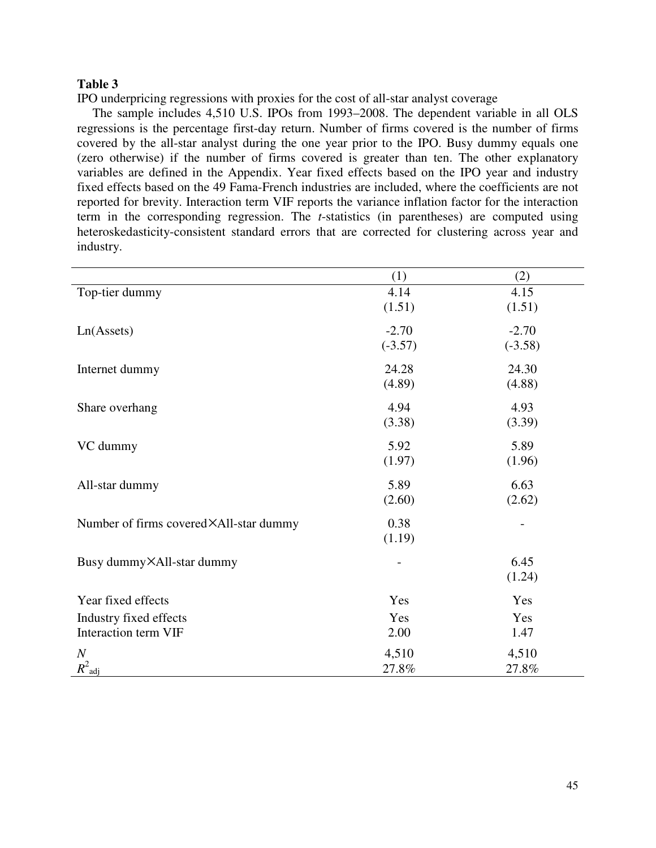IPO underpricing regressions with proxies for the cost of all-star analyst coverage

The sample includes 4,510 U.S. IPOs from 1993–2008. The dependent variable in all OLS regressions is the percentage first-day return. Number of firms covered is the number of firms covered by the all-star analyst during the one year prior to the IPO. Busy dummy equals one (zero otherwise) if the number of firms covered is greater than ten. The other explanatory variables are defined in the Appendix. Year fixed effects based on the IPO year and industry fixed effects based on the 49 Fama-French industries are included, where the coefficients are not reported for brevity. Interaction term VIF reports the variance inflation factor for the interaction term in the corresponding regression. The *t*-statistics (in parentheses) are computed using heteroskedasticity-consistent standard errors that are corrected for clustering across year and industry.

|                                         | (1)       | (2)       |
|-----------------------------------------|-----------|-----------|
| Top-tier dummy                          | 4.14      | 4.15      |
|                                         | (1.51)    | (1.51)    |
| Ln(A <sub>s</sub> )                     | $-2.70$   | $-2.70$   |
|                                         | $(-3.57)$ | $(-3.58)$ |
| Internet dummy                          | 24.28     | 24.30     |
|                                         | (4.89)    | (4.88)    |
| Share overhang                          | 4.94      | 4.93      |
|                                         | (3.38)    | (3.39)    |
| VC dummy                                | 5.92      | 5.89      |
|                                         | (1.97)    | (1.96)    |
| All-star dummy                          | 5.89      | 6.63      |
|                                         | (2.60)    | (2.62)    |
| Number of firms covered XAII-star dummy | 0.38      |           |
|                                         | (1.19)    |           |
| Busy dummy XAII-star dummy              |           | 6.45      |
|                                         |           | (1.24)    |
| Year fixed effects                      | Yes       | Yes       |
| Industry fixed effects                  | Yes       | Yes       |
| Interaction term VIF                    | 2.00      | 1.47      |
| $\boldsymbol{N}$                        | 4,510     | 4,510     |
| $R^2_{\text{adj}}$                      | 27.8%     | 27.8%     |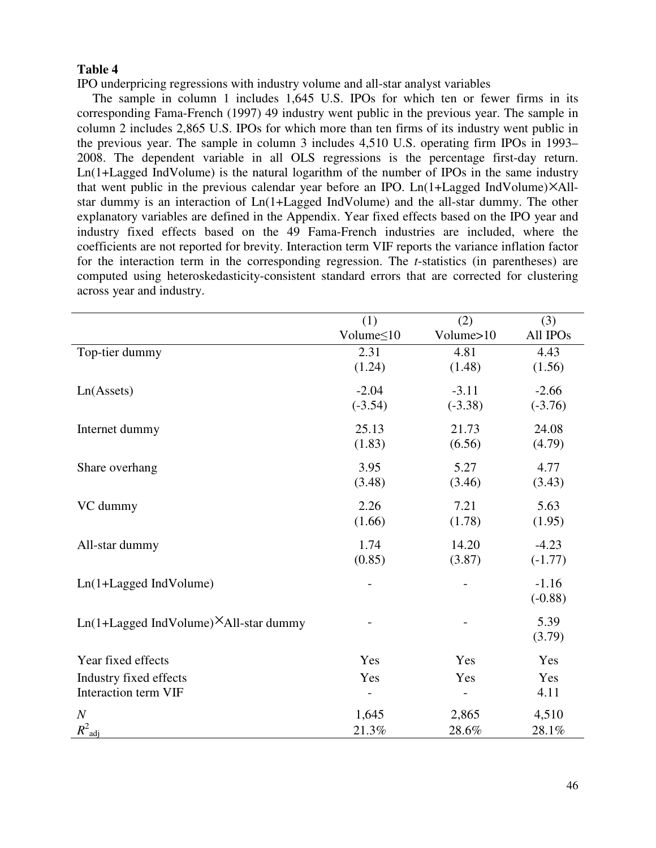IPO underpricing regressions with industry volume and all-star analyst variables

The sample in column 1 includes 1,645 U.S. IPOs for which ten or fewer firms in its corresponding Fama-French (1997) 49 industry went public in the previous year. The sample in column 2 includes 2,865 U.S. IPOs for which more than ten firms of its industry went public in the previous year. The sample in column 3 includes 4,510 U.S. operating firm IPOs in 1993– 2008. The dependent variable in all OLS regressions is the percentage first-day return. Ln(1+Lagged IndVolume) is the natural logarithm of the number of IPOs in the same industry that went public in the previous calendar year before an IPO. Ln(1+Lagged IndVolume)×Allstar dummy is an interaction of Ln(1+Lagged IndVolume) and the all-star dummy. The other explanatory variables are defined in the Appendix. Year fixed effects based on the IPO year and industry fixed effects based on the 49 Fama-French industries are included, where the coefficients are not reported for brevity. Interaction term VIF reports the variance inflation factor for the interaction term in the corresponding regression. The *t*-statistics (in parentheses) are computed using heteroskedasticity-consistent standard errors that are corrected for clustering across year and industry.

|                                                  | (1)        | (2)       | (3)       |
|--------------------------------------------------|------------|-----------|-----------|
|                                                  | Volume <10 | Volume>10 | All IPOs  |
| Top-tier dummy                                   | 2.31       | 4.81      | 4.43      |
|                                                  | (1.24)     | (1.48)    | (1.56)    |
| Ln(A <sub>s</sub> )                              | $-2.04$    | $-3.11$   | $-2.66$   |
|                                                  | $(-3.54)$  | $(-3.38)$ | $(-3.76)$ |
| Internet dummy                                   | 25.13      | 21.73     | 24.08     |
|                                                  | (1.83)     | (6.56)    | (4.79)    |
| Share overhang                                   | 3.95       | 5.27      | 4.77      |
|                                                  | (3.48)     | (3.46)    | (3.43)    |
| VC dummy                                         | 2.26       | 7.21      | 5.63      |
|                                                  | (1.66)     | (1.78)    | (1.95)    |
| All-star dummy                                   | 1.74       | 14.20     | $-4.23$   |
|                                                  | (0.85)     | (3.87)    | $(-1.77)$ |
| $Ln(1+Lagger$ IndVolume)                         |            |           | $-1.16$   |
|                                                  |            |           | $(-0.88)$ |
| $Ln(1+Lagger$ IndVolume) $\times$ All-star dummy |            |           | 5.39      |
|                                                  |            |           | (3.79)    |
| Year fixed effects                               | Yes        | Yes       | Yes       |
| Industry fixed effects                           | Yes        | Yes       | Yes       |
| Interaction term VIF                             |            |           | 4.11      |
| $\boldsymbol{N}$                                 | 1,645      | 2,865     | 4,510     |
| $R^2_{\text{adj}}$                               | 21.3%      | 28.6%     | 28.1%     |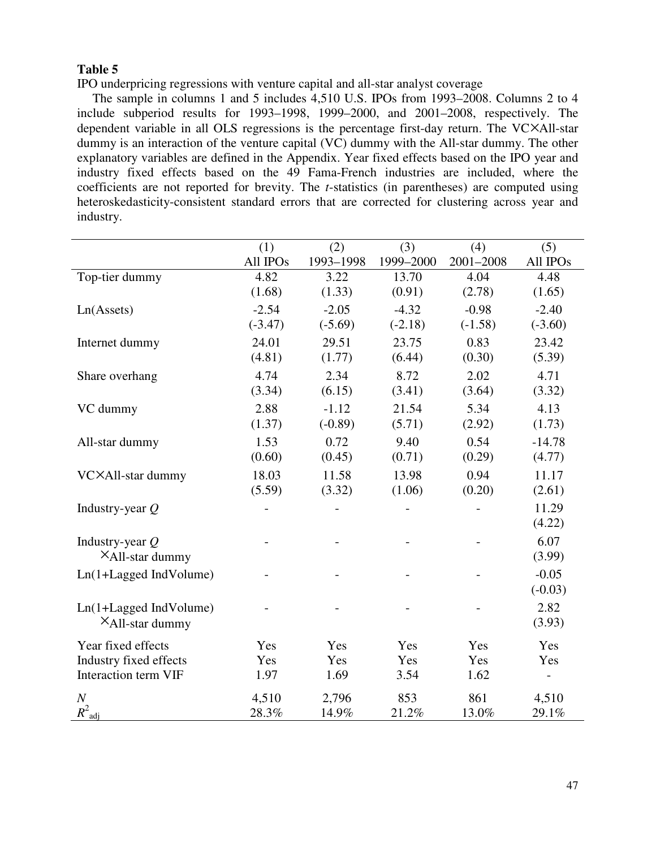IPO underpricing regressions with venture capital and all-star analyst coverage

The sample in columns 1 and 5 includes 4,510 U.S. IPOs from 1993–2008. Columns 2 to 4 include subperiod results for 1993–1998, 1999–2000, and 2001–2008, respectively. The dependent variable in all OLS regressions is the percentage first-day return. The VC×All-star dummy is an interaction of the venture capital (VC) dummy with the All-star dummy. The other explanatory variables are defined in the Appendix. Year fixed effects based on the IPO year and industry fixed effects based on the 49 Fama-French industries are included, where the coefficients are not reported for brevity. The *t*-statistics (in parentheses) are computed using heteroskedasticity-consistent standard errors that are corrected for clustering across year and industry.

|                        | (1)       | (2)       | (3)       | (4)       | (5)                      |
|------------------------|-----------|-----------|-----------|-----------|--------------------------|
|                        | All IPOs  | 1993-1998 | 1999-2000 | 2001-2008 | All IPOs                 |
| Top-tier dummy         | 4.82      | 3.22      | 13.70     | 4.04      | 4.48                     |
|                        | (1.68)    | (1.33)    | (0.91)    | (2.78)    | (1.65)                   |
| Ln(Assets)             | $-2.54$   | $-2.05$   | $-4.32$   | $-0.98$   | $-2.40$                  |
|                        | $(-3.47)$ | $(-5.69)$ | $(-2.18)$ | $(-1.58)$ | $(-3.60)$                |
| Internet dummy         | 24.01     | 29.51     | 23.75     | 0.83      | 23.42                    |
|                        | (4.81)    | (1.77)    | (6.44)    | (0.30)    | (5.39)                   |
| Share overhang         | 4.74      | 2.34      | 8.72      | 2.02      | 4.71                     |
|                        | (3.34)    | (6.15)    | (3.41)    | (3.64)    | (3.32)                   |
| VC dummy               | 2.88      | $-1.12$   | 21.54     | 5.34      | 4.13                     |
|                        | (1.37)    | $(-0.89)$ | (5.71)    | (2.92)    | (1.73)                   |
| All-star dummy         | 1.53      | 0.72      | 9.40      | 0.54      | $-14.78$                 |
|                        | (0.60)    | (0.45)    | (0.71)    | (0.29)    | (4.77)                   |
| VC×All-star dummy      | 18.03     | 11.58     | 13.98     | 0.94      | 11.17                    |
|                        | (5.59)    | (3.32)    | (1.06)    | (0.20)    | (2.61)                   |
| Industry-year $Q$      |           |           |           |           | 11.29                    |
|                        |           |           |           |           | (4.22)                   |
| Industry-year $Q$      |           |           |           |           | 6.07                     |
| $X$ All-star dummy     |           |           |           |           | (3.99)                   |
| Ln(1+Lagged IndVolume) |           |           |           |           | $-0.05$                  |
|                        |           |           |           |           | $(-0.03)$                |
| Ln(1+Lagged IndVolume) |           |           |           |           | 2.82                     |
| $X$ All-star dummy     |           |           |           |           | (3.93)                   |
| Year fixed effects     | Yes       | Yes       | Yes       | Yes       | Yes                      |
| Industry fixed effects | Yes       | Yes       | Yes       | Yes       | Yes                      |
| Interaction term VIF   | 1.97      | 1.69      | 3.54      | 1.62      | $\overline{\phantom{a}}$ |
| $\overline{N}$         | 4,510     | 2,796     | 853       | 861       | 4,510                    |
| $R^2_{\text{adj}}$     | 28.3%     | 14.9%     | 21.2%     | 13.0%     | 29.1%                    |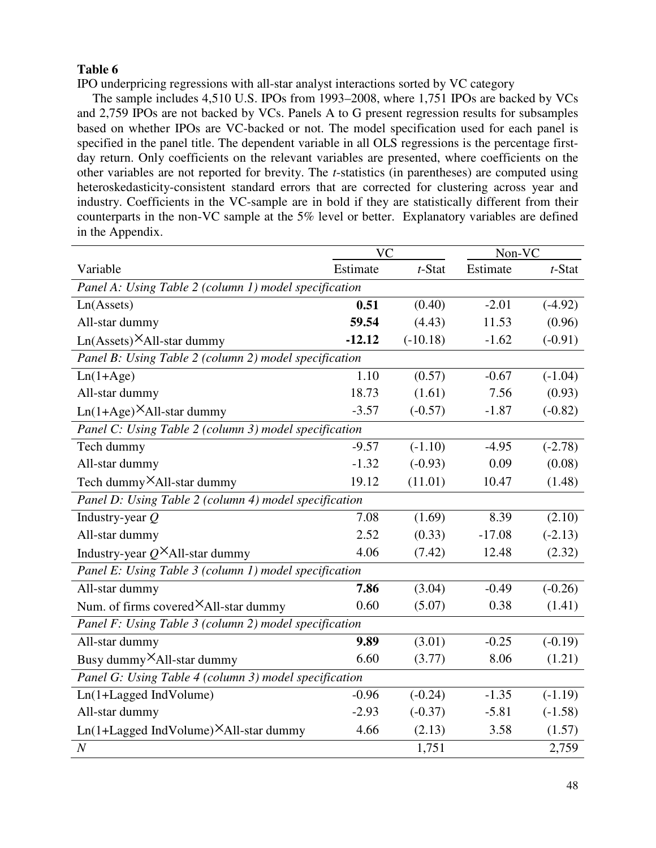IPO underpricing regressions with all-star analyst interactions sorted by VC category

The sample includes 4,510 U.S. IPOs from 1993–2008, where 1,751 IPOs are backed by VCs and 2,759 IPOs are not backed by VCs. Panels A to G present regression results for subsamples based on whether IPOs are VC-backed or not. The model specification used for each panel is specified in the panel title. The dependent variable in all OLS regressions is the percentage firstday return. Only coefficients on the relevant variables are presented, where coefficients on the other variables are not reported for brevity. The *t*-statistics (in parentheses) are computed using heteroskedasticity-consistent standard errors that are corrected for clustering across year and industry. Coefficients in the VC-sample are in bold if they are statistically different from their counterparts in the non-VC sample at the 5% level or better. Explanatory variables are defined in the Appendix.

|                                                       | <b>VC</b> |            | Non-VC   |           |
|-------------------------------------------------------|-----------|------------|----------|-----------|
| Variable                                              | Estimate  | $t$ -Stat  | Estimate | $t$ -Stat |
| Panel A: Using Table 2 (column 1) model specification |           |            |          |           |
| Ln(Assets)                                            | 0.51      | (0.40)     | $-2.01$  | $(-4.92)$ |
| All-star dummy                                        | 59.54     | (4.43)     | 11.53    | (0.96)    |
| Ln(Assets) <sup>X</sup> All-star dummy                | $-12.12$  | $(-10.18)$ | $-1.62$  | $(-0.91)$ |
| Panel B: Using Table 2 (column 2) model specification |           |            |          |           |
| $Ln(1+Age)$                                           | 1.10      | (0.57)     | $-0.67$  | $(-1.04)$ |
| All-star dummy                                        | 18.73     | (1.61)     | 7.56     | (0.93)    |
| $Ln(1+Age)$ <sup>×</sup> All-star dummy               | $-3.57$   | $(-0.57)$  | $-1.87$  | $(-0.82)$ |
| Panel C: Using Table 2 (column 3) model specification |           |            |          |           |
| Tech dummy                                            | $-9.57$   | $(-1.10)$  | $-4.95$  | $(-2.78)$ |
| All-star dummy                                        | $-1.32$   | $(-0.93)$  | 0.09     | (0.08)    |
| Tech dummy XAII-star dummy                            | 19.12     | (11.01)    | 10.47    | (1.48)    |
| Panel D: Using Table 2 (column 4) model specification |           |            |          |           |
| Industry-year $Q$                                     | 7.08      | (1.69)     | 8.39     | (2.10)    |
| All-star dummy                                        | 2.52      | (0.33)     | $-17.08$ | $(-2.13)$ |
| Industry-year $Q^{\times}$ All-star dummy             | 4.06      | (7.42)     | 12.48    | (2.32)    |
| Panel E: Using Table 3 (column 1) model specification |           |            |          |           |
| All-star dummy                                        | 7.86      | (3.04)     | $-0.49$  | $(-0.26)$ |
| Num. of firms covered XAII-star dummy                 | 0.60      | (5.07)     | 0.38     | (1.41)    |
| Panel F: Using Table 3 (column 2) model specification |           |            |          |           |
| All-star dummy                                        | 9.89      | (3.01)     | $-0.25$  | $(-0.19)$ |
| Busy dummy XAII-star dummy                            | 6.60      | (3.77)     | 8.06     | (1.21)    |
| Panel G: Using Table 4 (column 3) model specification |           |            |          |           |
| Ln(1+Lagged IndVolume)                                | $-0.96$   | $(-0.24)$  | $-1.35$  | $(-1.19)$ |
| All-star dummy                                        | $-2.93$   | $(-0.37)$  | $-5.81$  | $(-1.58)$ |
| $Ln(1+Lagger$ IndVolume) $\times$ All-star dummy      | 4.66      | (2.13)     | 3.58     | (1.57)    |
| $\boldsymbol{N}$                                      |           | 1,751      |          | 2,759     |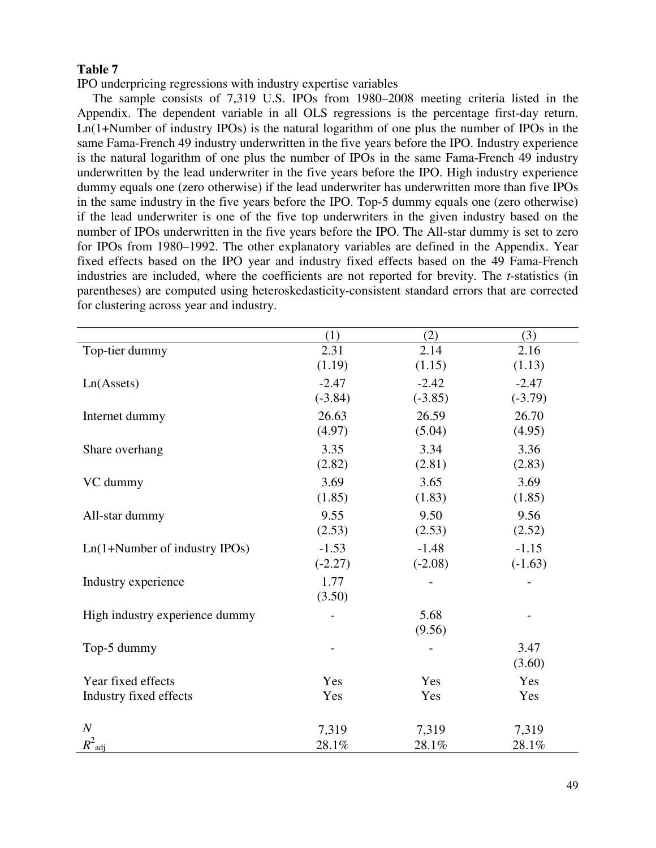IPO underpricing regressions with industry expertise variables

The sample consists of 7,319 U.S. IPOs from 1980–2008 meeting criteria listed in the Appendix. The dependent variable in all OLS regressions is the percentage first-day return. Ln(1+Number of industry IPOs) is the natural logarithm of one plus the number of IPOs in the same Fama-French 49 industry underwritten in the five years before the IPO. Industry experience is the natural logarithm of one plus the number of IPOs in the same Fama-French 49 industry underwritten by the lead underwriter in the five years before the IPO. High industry experience dummy equals one (zero otherwise) if the lead underwriter has underwritten more than five IPOs in the same industry in the five years before the IPO. Top-5 dummy equals one (zero otherwise) if the lead underwriter is one of the five top underwriters in the given industry based on the number of IPOs underwritten in the five years before the IPO. The All-star dummy is set to zero for IPOs from 1980–1992. The other explanatory variables are defined in the Appendix. Year fixed effects based on the IPO year and industry fixed effects based on the 49 Fama-French industries are included, where the coefficients are not reported for brevity. The *t*-statistics (in parentheses) are computed using heteroskedasticity-consistent standard errors that are corrected for clustering across year and industry.

|                                 | (1)       | (2)       | (3)       |
|---------------------------------|-----------|-----------|-----------|
| Top-tier dummy                  | 2.31      | 2.14      | 2.16      |
|                                 | (1.19)    | (1.15)    | (1.13)    |
| Ln(A <sub>s</sub> )             | $-2.47$   | $-2.42$   | $-2.47$   |
|                                 | $(-3.84)$ | $(-3.85)$ | $(-3.79)$ |
| Internet dummy                  | 26.63     | 26.59     | 26.70     |
|                                 | (4.97)    | (5.04)    | (4.95)    |
| Share overhang                  | 3.35      | 3.34      | 3.36      |
|                                 | (2.82)    | (2.81)    | (2.83)    |
| VC dummy                        | 3.69      | 3.65      | 3.69      |
|                                 | (1.85)    | (1.83)    | (1.85)    |
| All-star dummy                  | 9.55      | 9.50      | 9.56      |
|                                 | (2.53)    | (2.53)    | (2.52)    |
| $Ln(1+Number of industry IPCs)$ | $-1.53$   | $-1.48$   | $-1.15$   |
|                                 | $(-2.27)$ | $(-2.08)$ | $(-1.63)$ |
| Industry experience             | 1.77      |           |           |
|                                 | (3.50)    |           |           |
| High industry experience dummy  |           | 5.68      |           |
|                                 |           | (9.56)    |           |
| Top-5 dummy                     |           |           | 3.47      |
|                                 |           |           | (3.60)    |
| Year fixed effects              | Yes       | Yes       | Yes       |
| Industry fixed effects          | Yes       | Yes       | Yes       |
|                                 |           |           |           |
| $\boldsymbol{N}$                | 7,319     | 7,319     | 7,319     |
| $R^2_{\text{adj}}$              | 28.1%     | 28.1%     | 28.1%     |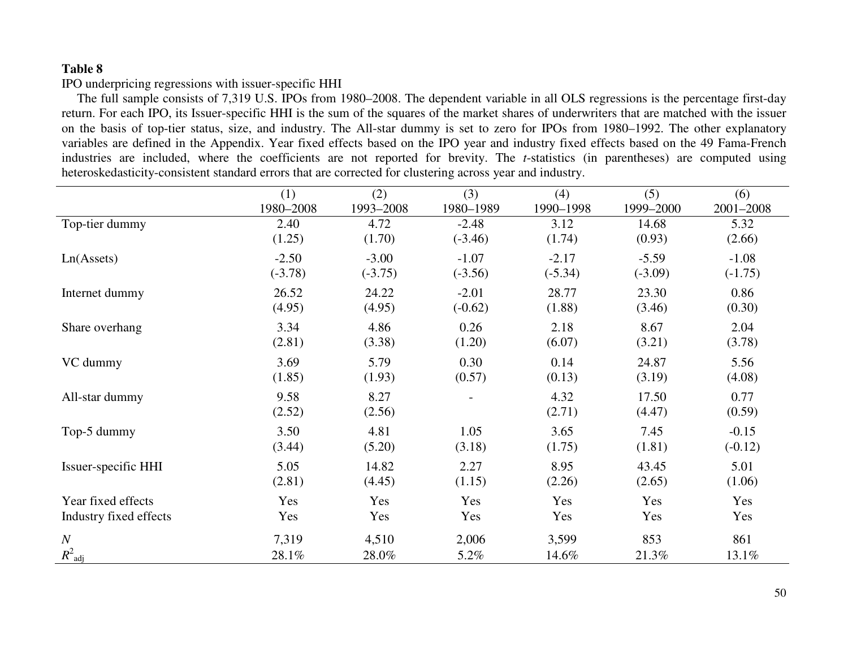IPO underpricing regressions with issuer-specific HHI

 The full sample consists of 7,319 U.S. IPOs from 1980–2008. The dependent variable in all OLS regressions is the percentage first-day return. For each IPO, its Issuer-specific HHI is the sum of the squares of the market shares of underwriters that are matched with the issuer on the basis of top-tier status, size, and industry. The All-star dummy is set to zero for IPOs from 1980–1992. The other explanatory variables are defined in the Appendix. Year fixed effects based on the IPO year and industry fixed effects based on the 49 Fama-French industries are included, where the coefficients are not reported for brevity. The *t*-statistics (in parentheses) are computed using heteroskedasticity-consistent standard errors that are corrected for clustering across year and industry.

|                        | (1)       | (2)       | (3)       | (4)       | (5)       | (6)       |
|------------------------|-----------|-----------|-----------|-----------|-----------|-----------|
|                        | 1980-2008 | 1993-2008 | 1980-1989 | 1990-1998 | 1999-2000 | 2001-2008 |
| Top-tier dummy         | 2.40      | 4.72      | $-2.48$   | 3.12      | 14.68     | 5.32      |
|                        | (1.25)    | (1.70)    | $(-3.46)$ | (1.74)    | (0.93)    | (2.66)    |
| Ln(A <sub>s</sub> )    | $-2.50$   | $-3.00$   | $-1.07$   | $-2.17$   | $-5.59$   | $-1.08$   |
|                        | $(-3.78)$ | $(-3.75)$ | $(-3.56)$ | $(-5.34)$ | $(-3.09)$ | $(-1.75)$ |
| Internet dummy         | 26.52     | 24.22     | $-2.01$   | 28.77     | 23.30     | 0.86      |
|                        | (4.95)    | (4.95)    | $(-0.62)$ | (1.88)    | (3.46)    | (0.30)    |
| Share overhang         | 3.34      | 4.86      | 0.26      | 2.18      | 8.67      | 2.04      |
|                        | (2.81)    | (3.38)    | (1.20)    | (6.07)    | (3.21)    | (3.78)    |
| VC dummy               | 3.69      | 5.79      | 0.30      | 0.14      | 24.87     | 5.56      |
|                        | (1.85)    | (1.93)    | (0.57)    | (0.13)    | (3.19)    | (4.08)    |
| All-star dummy         | 9.58      | 8.27      |           | 4.32      | 17.50     | 0.77      |
|                        | (2.52)    | (2.56)    |           | (2.71)    | (4.47)    | (0.59)    |
| Top-5 dummy            | 3.50      | 4.81      | 1.05      | 3.65      | 7.45      | $-0.15$   |
|                        | (3.44)    | (5.20)    | (3.18)    | (1.75)    | (1.81)    | $(-0.12)$ |
| Issuer-specific HHI    | 5.05      | 14.82     | 2.27      | 8.95      | 43.45     | 5.01      |
|                        | (2.81)    | (4.45)    | (1.15)    | (2.26)    | (2.65)    | (1.06)    |
| Year fixed effects     | Yes       | Yes       | Yes       | Yes       | Yes       | Yes       |
| Industry fixed effects | Yes       | Yes       | Yes       | Yes       | Yes       | Yes       |
| $\boldsymbol{N}$       | 7,319     | 4,510     | 2,006     | 3,599     | 853       | 861       |
| $R^2_{\text{adj}}$     | 28.1%     | 28.0%     | 5.2%      | 14.6%     | 21.3%     | 13.1%     |